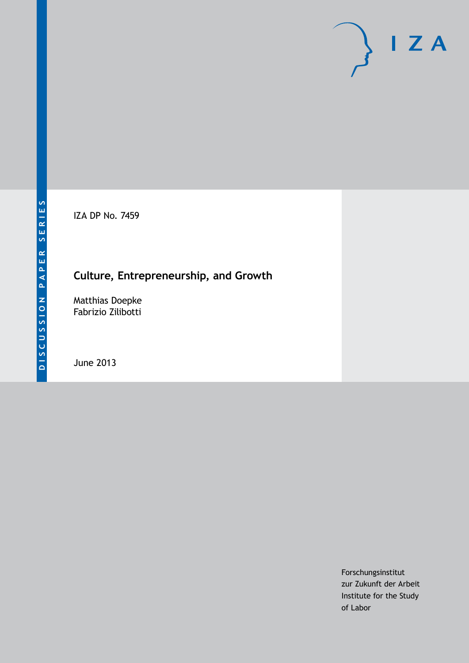IZA DP No. 7459

# **Culture, Entrepreneurship, and Growth**

Matthias Doepke Fabrizio Zilibotti

June 2013

Forschungsinstitut zur Zukunft der Arbeit Institute for the Study of Labor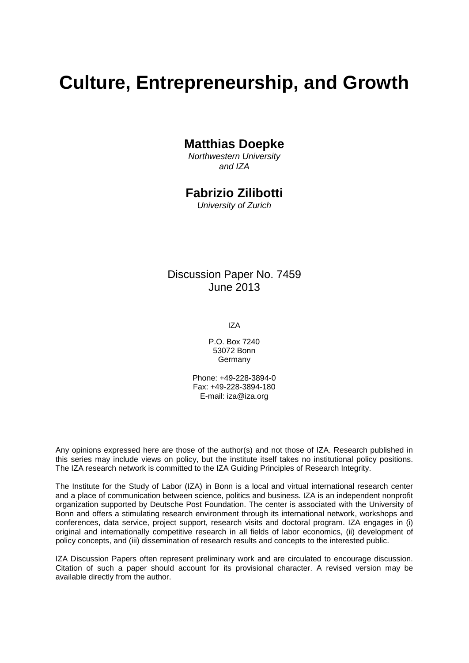# **Culture, Entrepreneurship, and Growth**

### **Matthias Doepke**

*Northwestern University and IZA*

### **Fabrizio Zilibotti**

*University of Zurich*

Discussion Paper No. 7459 June 2013

IZA

P.O. Box 7240 53072 Bonn Germany

Phone: +49-228-3894-0 Fax: +49-228-3894-180 E-mail: [iza@iza.org](mailto:iza@iza.org)

Any opinions expressed here are those of the author(s) and not those of IZA. Research published in this series may include views on policy, but the institute itself takes no institutional policy positions. The IZA research network is committed to the IZA Guiding Principles of Research Integrity.

The Institute for the Study of Labor (IZA) in Bonn is a local and virtual international research center and a place of communication between science, politics and business. IZA is an independent nonprofit organization supported by Deutsche Post Foundation. The center is associated with the University of Bonn and offers a stimulating research environment through its international network, workshops and conferences, data service, project support, research visits and doctoral program. IZA engages in (i) original and internationally competitive research in all fields of labor economics, (ii) development of policy concepts, and (iii) dissemination of research results and concepts to the interested public.

<span id="page-1-0"></span>IZA Discussion Papers often represent preliminary work and are circulated to encourage discussion. Citation of such a paper should account for its provisional character. A revised version may be available directly from the author.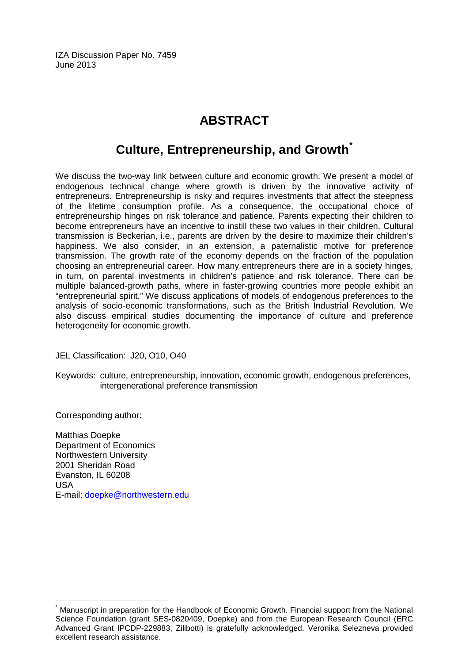IZA Discussion Paper No. 7459 June 2013

## **ABSTRACT**

## **Culture, Entrepreneurship, and Growth[\\*](#page-1-0)**

We discuss the two-way link between culture and economic growth. We present a model of endogenous technical change where growth is driven by the innovative activity of entrepreneurs. Entrepreneurship is risky and requires investments that affect the steepness of the lifetime consumption profile. As a consequence, the occupational choice of entrepreneurship hinges on risk tolerance and patience. Parents expecting their children to become entrepreneurs have an incentive to instill these two values in their children. Cultural transmission is Beckerian, i.e., parents are driven by the desire to maximize their children's happiness. We also consider, in an extension, a paternalistic motive for preference transmission. The growth rate of the economy depends on the fraction of the population choosing an entrepreneurial career. How many entrepreneurs there are in a society hinges, in turn, on parental investments in children's patience and risk tolerance. There can be multiple balanced-growth paths, where in faster-growing countries more people exhibit an "entrepreneurial spirit." We discuss applications of models of endogenous preferences to the analysis of socio-economic transformations, such as the British Industrial Revolution. We also discuss empirical studies documenting the importance of culture and preference heterogeneity for economic growth.

JEL Classification: J20, O10, O40

Keywords: culture, entrepreneurship, innovation, economic growth, endogenous preferences, intergenerational preference transmission

Corresponding author:

Matthias Doepke Department of Economics Northwestern University 2001 Sheridan Road Evanston, IL 60208 USA E-mail: [doepke@northwestern.edu](mailto:doepke@northwestern.edu)

Manuscript in preparation for the Handbook of Economic Growth. Financial support from the National Science Foundation (grant SES-0820409, Doepke) and from the European Research Council (ERC Advanced Grant IPCDP-229883, Zilibotti) is gratefully acknowledged. Veronika Selezneva provided excellent research assistance.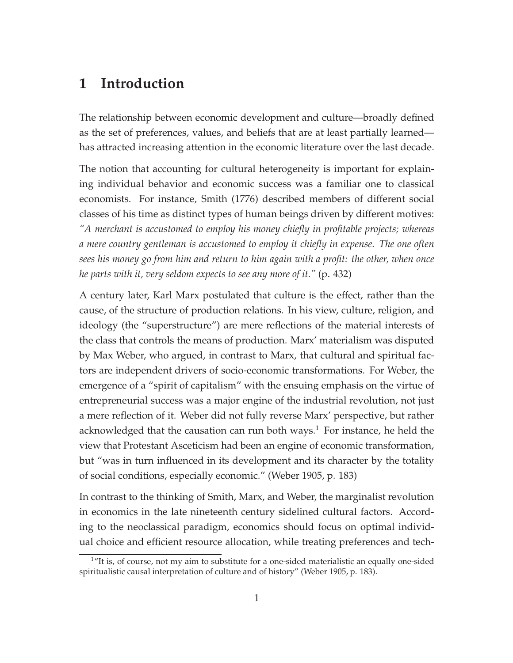## **1 Introduction**

The relationship between economic development and culture—broadly defined as the set of preferences, values, and beliefs that are at least partially learned has attracted increasing attention in the economic literature over the last decade.

The notion that accounting for cultural heterogeneity is important for explaining individual behavior and economic success was a familiar one to classical economists. For instance, Smith (1776) described members of different social classes of his time as distinct types of human beings driven by different motives: *"A merchant is accustomed to employ his money chiefly in profitable projects; whereas a mere country gentleman is accustomed to employ it chiefly in expense. The one often sees his money go from him and return to him again with a profit: the other, when once he parts with it, very seldom expects to see any more of it."* (p. 432)

A century later, Karl Marx postulated that culture is the effect, rather than the cause, of the structure of production relations. In his view, culture, religion, and ideology (the "superstructure") are mere reflections of the material interests of the class that controls the means of production. Marx' materialism was disputed by Max Weber, who argued, in contrast to Marx, that cultural and spiritual factors are independent drivers of socio-economic transformations. For Weber, the emergence of a "spirit of capitalism" with the ensuing emphasis on the virtue of entrepreneurial success was a major engine of the industrial revolution, not just a mere reflection of it. Weber did not fully reverse Marx' perspective, but rather acknowledged that the causation can run both ways.<sup>1</sup> For instance, he held the view that Protestant Asceticism had been an engine of economic transformation, but "was in turn influenced in its development and its character by the totality of social conditions, especially economic." (Weber 1905, p. 183)

In contrast to the thinking of Smith, Marx, and Weber, the marginalist revolution in economics in the late nineteenth century sidelined cultural factors. According to the neoclassical paradigm, economics should focus on optimal individual choice and efficient resource allocation, while treating preferences and tech-

 $1$ "It is, of course, not my aim to substitute for a one-sided materialistic an equally one-sided spiritualistic causal interpretation of culture and of history" (Weber 1905, p. 183).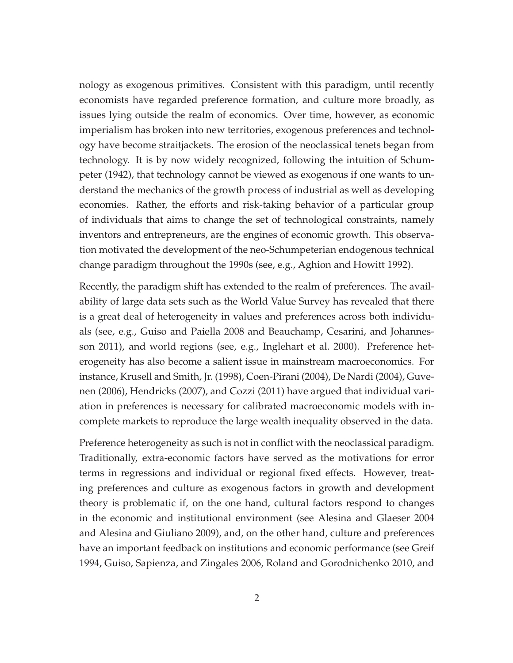nology as exogenous primitives. Consistent with this paradigm, until recently economists have regarded preference formation, and culture more broadly, as issues lying outside the realm of economics. Over time, however, as economic imperialism has broken into new territories, exogenous preferences and technology have become straitjackets. The erosion of the neoclassical tenets began from technology. It is by now widely recognized, following the intuition of Schumpeter (1942), that technology cannot be viewed as exogenous if one wants to understand the mechanics of the growth process of industrial as well as developing economies. Rather, the efforts and risk-taking behavior of a particular group of individuals that aims to change the set of technological constraints, namely inventors and entrepreneurs, are the engines of economic growth. This observation motivated the development of the neo-Schumpeterian endogenous technical change paradigm throughout the 1990s (see, e.g., Aghion and Howitt 1992).

Recently, the paradigm shift has extended to the realm of preferences. The availability of large data sets such as the World Value Survey has revealed that there is a great deal of heterogeneity in values and preferences across both individuals (see, e.g., Guiso and Paiella 2008 and Beauchamp, Cesarini, and Johannesson 2011), and world regions (see, e.g., Inglehart et al. 2000). Preference heterogeneity has also become a salient issue in mainstream macroeconomics. For instance, Krusell and Smith, Jr. (1998), Coen-Pirani (2004), De Nardi (2004), Guvenen (2006), Hendricks (2007), and Cozzi (2011) have argued that individual variation in preferences is necessary for calibrated macroeconomic models with incomplete markets to reproduce the large wealth inequality observed in the data.

Preference heterogeneity as such is not in conflict with the neoclassical paradigm. Traditionally, extra-economic factors have served as the motivations for error terms in regressions and individual or regional fixed effects. However, treating preferences and culture as exogenous factors in growth and development theory is problematic if, on the one hand, cultural factors respond to changes in the economic and institutional environment (see Alesina and Glaeser 2004 and Alesina and Giuliano 2009), and, on the other hand, culture and preferences have an important feedback on institutions and economic performance (see Greif 1994, Guiso, Sapienza, and Zingales 2006, Roland and Gorodnichenko 2010, and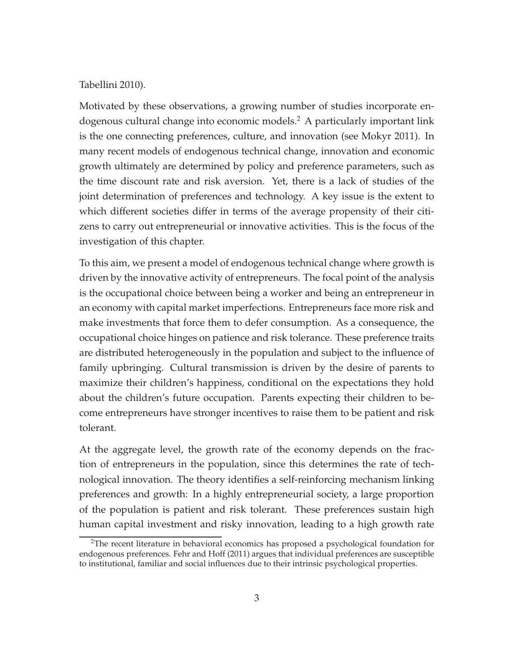#### Tabellini 2010).

Motivated by these observations, a growing number of studies incorporate endogenous cultural change into economic models.<sup>2</sup> A particularly important link is the one connecting preferences, culture, and innovation (see Mokyr 2011). In many recent models of endogenous technical change, innovation and economic growth ultimately are determined by policy and preference parameters, such as the time discount rate and risk aversion. Yet, there is a lack of studies of the joint determination of preferences and technology. A key issue is the extent to which different societies differ in terms of the average propensity of their citizens to carry out entrepreneurial or innovative activities. This is the focus of the investigation of this chapter.

To this aim, we present a model of endogenous technical change where growth is driven by the innovative activity of entrepreneurs. The focal point of the analysis is the occupational choice between being a worker and being an entrepreneur in an economy with capital market imperfections. Entrepreneurs face more risk and make investments that force them to defer consumption. As a consequence, the occupational choice hinges on patience and risk tolerance. These preference traits are distributed heterogeneously in the population and subject to the influence of family upbringing. Cultural transmission is driven by the desire of parents to maximize their children's happiness, conditional on the expectations they hold about the children's future occupation. Parents expecting their children to become entrepreneurs have stronger incentives to raise them to be patient and risk tolerant.

At the aggregate level, the growth rate of the economy depends on the fraction of entrepreneurs in the population, since this determines the rate of technological innovation. The theory identifies a self-reinforcing mechanism linking preferences and growth: In a highly entrepreneurial society, a large proportion of the population is patient and risk tolerant. These preferences sustain high human capital investment and risky innovation, leading to a high growth rate

<sup>&</sup>lt;sup>2</sup>The recent literature in behavioral economics has proposed a psychological foundation for endogenous preferences. Fehr and Hoff (2011) argues that individual preferences are susceptible to institutional, familiar and social influences due to their intrinsic psychological properties.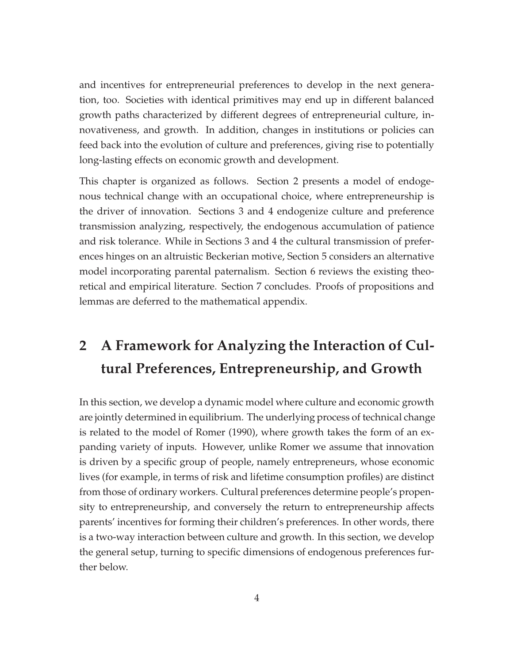and incentives for entrepreneurial preferences to develop in the next generation, too. Societies with identical primitives may end up in different balanced growth paths characterized by different degrees of entrepreneurial culture, innovativeness, and growth. In addition, changes in institutions or policies can feed back into the evolution of culture and preferences, giving rise to potentially long-lasting effects on economic growth and development.

This chapter is organized as follows. Section 2 presents a model of endogenous technical change with an occupational choice, where entrepreneurship is the driver of innovation. Sections 3 and 4 endogenize culture and preference transmission analyzing, respectively, the endogenous accumulation of patience and risk tolerance. While in Sections 3 and 4 the cultural transmission of preferences hinges on an altruistic Beckerian motive, Section 5 considers an alternative model incorporating parental paternalism. Section 6 reviews the existing theoretical and empirical literature. Section 7 concludes. Proofs of propositions and lemmas are deferred to the mathematical appendix.

# **2 A Framework for Analyzing the Interaction of Cultural Preferences, Entrepreneurship, and Growth**

In this section, we develop a dynamic model where culture and economic growth are jointly determined in equilibrium. The underlying process of technical change is related to the model of Romer (1990), where growth takes the form of an expanding variety of inputs. However, unlike Romer we assume that innovation is driven by a specific group of people, namely entrepreneurs, whose economic lives (for example, in terms of risk and lifetime consumption profiles) are distinct from those of ordinary workers. Cultural preferences determine people's propensity to entrepreneurship, and conversely the return to entrepreneurship affects parents' incentives for forming their children's preferences. In other words, there is a two-way interaction between culture and growth. In this section, we develop the general setup, turning to specific dimensions of endogenous preferences further below.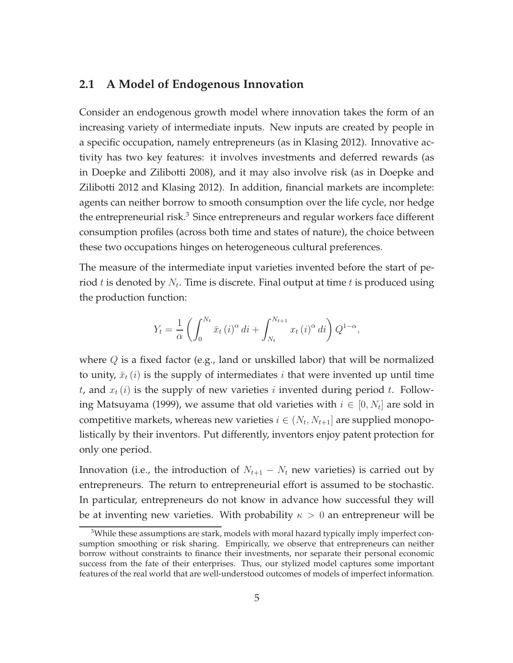#### **2.1 A Model of Endogenous Innovation**

Consider an endogenous growth model where innovation takes the form of an increasing variety of intermediate inputs. New inputs are created by people in a specific occupation, namely entrepreneurs (as in Klasing 2012). Innovative activity has two key features: it involves investments and deferred rewards (as in Doepke and Zilibotti 2008), and it may also involve risk (as in Doepke and Zilibotti 2012 and Klasing 2012). In addition, financial markets are incomplete: agents can neither borrow to smooth consumption over the life cycle, nor hedge the entrepreneurial risk. $3$  Since entrepreneurs and regular workers face different consumption profiles (across both time and states of nature), the choice between these two occupations hinges on heterogeneous cultural preferences.

The measure of the intermediate input varieties invented before the start of period  $t$  is denoted by  $N_t$ . Time is discrete. Final output at time  $t$  is produced using the production function:

$$
Y_t = \frac{1}{\alpha} \left( \int_0^{N_t} \bar{x}_t \left( i \right)^{\alpha} dt + \int_{N_t}^{N_{t+1}} x_t \left( i \right)^{\alpha} dt \right) Q^{1-\alpha},
$$

where  $Q$  is a fixed factor (e.g., land or unskilled labor) that will be normalized to unity,  $\bar{x}_t(i)$  is the supply of intermediates *i* that were invented up until time t, and  $x_t(i)$  is the supply of new varieties i invented during period t. Following Matsuyama (1999), we assume that old varieties with  $i\, \in\, [0,N_t]$  are sold in competitive markets, whereas new varieties  $i \in (N_t, N_{t+1}]$  are supplied monopolistically by their inventors. Put differently, inventors enjoy patent protection for only one period.

Innovation (i.e., the introduction of  $N_{t+1} - N_t$  new varieties) is carried out by entrepreneurs. The return to entrepreneurial effort is assumed to be stochastic. In particular, entrepreneurs do not know in advance how successful they will be at inventing new varieties. With probability  $\kappa > 0$  an entrepreneur will be

<sup>&</sup>lt;sup>3</sup>While these assumptions are stark, models with moral hazard typically imply imperfect consumption smoothing or risk sharing. Empirically, we observe that entrepreneurs can neither borrow without constraints to finance their investments, nor separate their personal economic success from the fate of their enterprises. Thus, our stylized model captures some important features of the real world that are well-understood outcomes of models of imperfect information.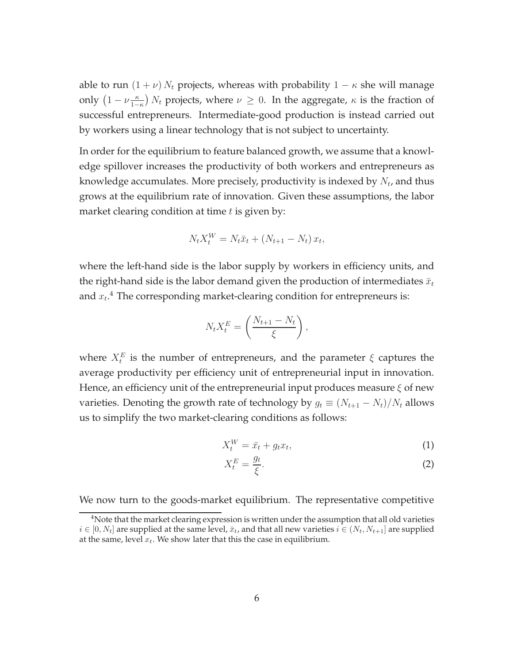able to run  $(1 + \nu) N_t$  projects, whereas with probability  $1 - \kappa$  she will manage only  $\left(1-\nu\frac{\kappa}{1-\nu}\right)$  $\frac{\kappa}{1-\kappa}$ )  $N_t$  projects, where  $\nu \geq 0$ . In the aggregate,  $\kappa$  is the fraction of successful entrepreneurs. Intermediate-good production is instead carried out by workers using a linear technology that is not subject to uncertainty.

In order for the equilibrium to feature balanced growth, we assume that a knowledge spillover increases the productivity of both workers and entrepreneurs as knowledge accumulates. More precisely, productivity is indexed by  $N_t$ , and thus grows at the equilibrium rate of innovation. Given these assumptions, the labor market clearing condition at time  $t$  is given by:

$$
N_t X_t^W = N_t \bar{x}_t + (N_{t+1} - N_t) x_t,
$$

where the left-hand side is the labor supply by workers in efficiency units, and the right-hand side is the labor demand given the production of intermediates  $\bar{x}_t$ and  $x_t$ .<sup>4</sup> The corresponding market-clearing condition for entrepreneurs is:

$$
N_t X_t^E = \left(\frac{N_{t+1} - N_t}{\xi}\right),
$$

where  $X_t^E$  is the number of entrepreneurs, and the parameter  $\xi$  captures the average productivity per efficiency unit of entrepreneurial input in innovation. Hence, an efficiency unit of the entrepreneurial input produces measure  $\xi$  of new varieties. Denoting the growth rate of technology by  $g_t \equiv (N_{t+1} - N_t)/N_t$  allows us to simplify the two market-clearing conditions as follows:

$$
X_t^W = \bar{x}_t + g_t x_t, \tag{1}
$$

$$
X_t^E = \frac{g_t}{\xi}.\tag{2}
$$

We now turn to the goods-market equilibrium. The representative competitive

<sup>&</sup>lt;sup>4</sup>Note that the market clearing expression is written under the assumption that all old varieties  $i \in [0, N_t]$  are supplied at the same level,  $\bar{x}_t$ , and that all new varieties  $i \in (N_t, N_{t+1}]$  are supplied at the same, level  $x_t$ . We show later that this the case in equilibrium.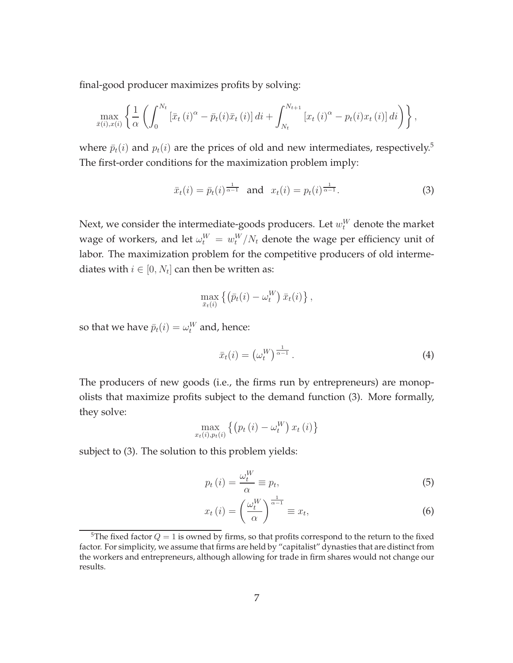final-good producer maximizes profits by solving:

$$
\max_{\bar{x}(i),x(i)} \left\{ \frac{1}{\alpha} \left( \int_0^{N_t} \left[ \bar{x}_t(i)^\alpha - \bar{p}_t(i)\bar{x}_t(i) \right] di + \int_{N_t}^{N_{t+1}} \left[ x_t(i)^\alpha - p_t(i)x_t(i) \right] di \right) \right\},\,
$$

where  $\bar{p}_t(i)$  and  $p_t(i)$  are the prices of old and new intermediates, respectively.<sup>5</sup> The first-order conditions for the maximization problem imply:

$$
\bar{x}_t(i) = \bar{p}_t(i)^{\frac{1}{\alpha - 1}}
$$
 and  $x_t(i) = p_t(i)^{\frac{1}{\alpha - 1}}$ . (3)

Next, we consider the intermediate-goods producers. Let  $w_{t}^{W}$  denote the market wage of workers, and let  $\omega_t^W = w_t^W/N_t$  denote the wage per efficiency unit of labor. The maximization problem for the competitive producers of old intermediates with  $i \in [0, N_t]$  can then be written as:

$$
\max_{\bar{x}_t(i)} \left\{ \left( \bar{p}_t(i) - \omega_t^W \right) \bar{x}_t(i) \right\},\,
$$

so that we have  $\bar{p}_t(i) = \omega_t^W$  and, hence:

$$
\bar{x}_t(i) = \left(\omega_t^W\right)^{\frac{1}{\alpha - 1}}.\tag{4}
$$

The producers of new goods (i.e., the firms run by entrepreneurs) are monopolists that maximize profits subject to the demand function (3). More formally, they solve:

$$
\max_{x_t(i), p_t(i)} \left\{ \left( p_t(i) - \omega_t^W \right) x_t(i) \right\}
$$

subject to (3). The solution to this problem yields:

$$
p_t(i) = \frac{\omega_t^W}{\alpha} \equiv p_t,\tag{5}
$$

$$
x_t(i) = \left(\frac{\omega_t^W}{\alpha}\right)^{\frac{1}{\alpha - 1}} \equiv x_t,\tag{6}
$$

<sup>&</sup>lt;sup>5</sup>The fixed factor  $Q = 1$  is owned by firms, so that profits correspond to the return to the fixed factor. For simplicity, we assume that firms are held by "capitalist" dynasties that are distinct from the workers and entrepreneurs, although allowing for trade in firm shares would not change our results.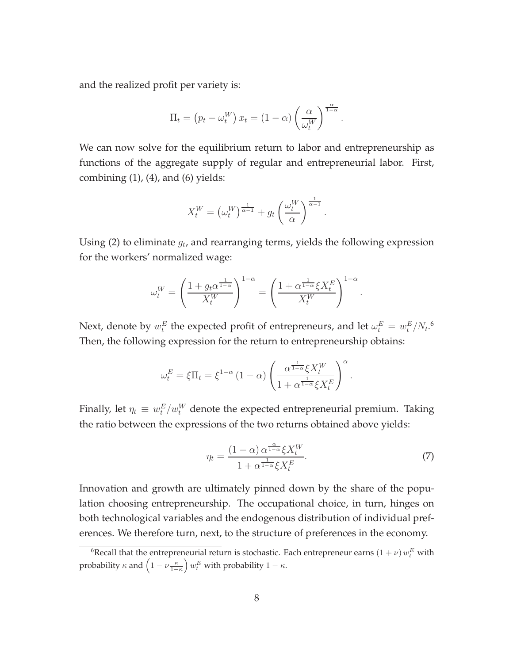and the realized profit per variety is:

$$
\Pi_t = (p_t - \omega_t^W) x_t = (1 - \alpha) \left(\frac{\alpha}{\omega_t^W}\right)^{\frac{\alpha}{1 - \alpha}}.
$$

We can now solve for the equilibrium return to labor and entrepreneurship as functions of the aggregate supply of regular and entrepreneurial labor. First, combining  $(1)$ ,  $(4)$ , and  $(6)$  yields:

$$
X_t^W = \left(\omega_t^W\right)^{\frac{1}{\alpha - 1}} + g_t \left(\frac{\omega_t^W}{\alpha}\right)^{\frac{1}{\alpha - 1}}.
$$

Using (2) to eliminate  $g_t$ , and rearranging terms, yields the following expression for the workers' normalized wage:

$$
\omega_t^W = \left(\frac{1 + g_t \alpha^{\frac{1}{1-\alpha}}}{X_t^W}\right)^{1-\alpha} = \left(\frac{1 + \alpha^{\frac{1}{1-\alpha}} \xi X_t^E}{X_t^W}\right)^{1-\alpha}
$$

Next, denote by  $w_t^E$  the expected profit of entrepreneurs, and let  $\omega_t^E = w_t^E/N_t.^6$ Then, the following expression for the return to entrepreneurship obtains:

$$
\omega_t^E = \xi \Pi_t = \xi^{1-\alpha} \left( 1 - \alpha \right) \left( \frac{\alpha^{\frac{1}{1-\alpha}} \xi X_t^W}{1 + \alpha^{\frac{1}{1-\alpha}} \xi X_t^E} \right)^{\alpha}.
$$

Finally, let  $\eta_t \equiv w_t^E/w_t^W$  denote the expected entrepreneurial premium. Taking the ratio between the expressions of the two returns obtained above yields:

$$
\eta_t = \frac{(1 - \alpha) \alpha^{\frac{\alpha}{1 - \alpha}} \xi X_t^W}{1 + \alpha^{\frac{1}{1 - \alpha}} \xi X_t^E}.
$$
\n<sup>(7)</sup>

.

Innovation and growth are ultimately pinned down by the share of the population choosing entrepreneurship. The occupational choice, in turn, hinges on both technological variables and the endogenous distribution of individual preferences. We therefore turn, next, to the structure of preferences in the economy.

<sup>&</sup>lt;sup>6</sup>Recall that the entrepreneurial return is stochastic. Each entrepreneur earns  $(1 + \nu) w_t^E$  with probability  $\kappa$  and  $\left(1-\nu\frac{\kappa}{1-\kappa}\right)w_t^E$  with probability  $1-\kappa$ .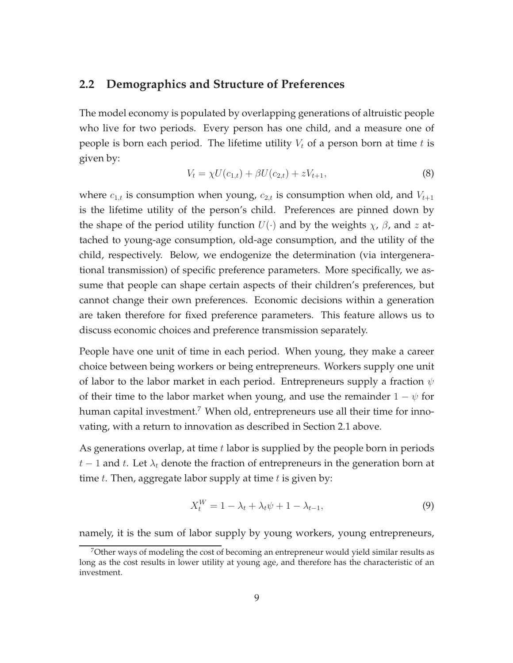#### **2.2 Demographics and Structure of Preferences**

The model economy is populated by overlapping generations of altruistic people who live for two periods. Every person has one child, and a measure one of people is born each period. The lifetime utility  $V_t$  of a person born at time t is given by:

$$
V_t = \chi U(c_{1,t}) + \beta U(c_{2,t}) + zV_{t+1}, \tag{8}
$$

where  $c_{1,t}$  is consumption when young,  $c_{2,t}$  is consumption when old, and  $V_{t+1}$ is the lifetime utility of the person's child. Preferences are pinned down by the shape of the period utility function  $U(\cdot)$  and by the weights  $\chi$ ,  $\beta$ , and z attached to young-age consumption, old-age consumption, and the utility of the child, respectively. Below, we endogenize the determination (via intergenerational transmission) of specific preference parameters. More specifically, we assume that people can shape certain aspects of their children's preferences, but cannot change their own preferences. Economic decisions within a generation are taken therefore for fixed preference parameters. This feature allows us to discuss economic choices and preference transmission separately.

People have one unit of time in each period. When young, they make a career choice between being workers or being entrepreneurs. Workers supply one unit of labor to the labor market in each period. Entrepreneurs supply a fraction  $\psi$ of their time to the labor market when young, and use the remainder  $1 - \psi$  for human capital investment.<sup>7</sup> When old, entrepreneurs use all their time for innovating, with a return to innovation as described in Section 2.1 above.

As generations overlap, at time  $t$  labor is supplied by the people born in periods t − 1 and t. Let  $\lambda_t$  denote the fraction of entrepreneurs in the generation born at time  $t$ . Then, aggregate labor supply at time  $t$  is given by:

$$
X_t^W = 1 - \lambda_t + \lambda_t \psi + 1 - \lambda_{t-1},\tag{9}
$$

namely, it is the sum of labor supply by young workers, young entrepreneurs,

<sup>&</sup>lt;sup>7</sup>Other ways of modeling the cost of becoming an entrepreneur would yield similar results as long as the cost results in lower utility at young age, and therefore has the characteristic of an investment.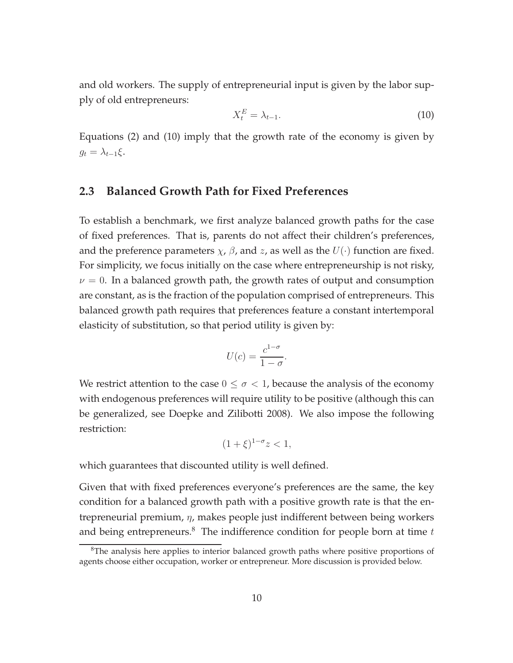and old workers. The supply of entrepreneurial input is given by the labor supply of old entrepreneurs:

$$
X_t^E = \lambda_{t-1}.\tag{10}
$$

Equations (2) and (10) imply that the growth rate of the economy is given by  $g_t = \lambda_{t-1}\xi$ .

#### **2.3 Balanced Growth Path for Fixed Preferences**

To establish a benchmark, we first analyze balanced growth paths for the case of fixed preferences. That is, parents do not affect their children's preferences, and the preference parameters  $\chi$ ,  $\beta$ , and  $z$ , as well as the  $U(\cdot)$  function are fixed. For simplicity, we focus initially on the case where entrepreneurship is not risky,  $\nu = 0$ . In a balanced growth path, the growth rates of output and consumption are constant, as is the fraction of the population comprised of entrepreneurs. This balanced growth path requires that preferences feature a constant intertemporal elasticity of substitution, so that period utility is given by:

$$
U(c) = \frac{c^{1-\sigma}}{1-\sigma}.
$$

We restrict attention to the case  $0 \leq \sigma < 1$ , because the analysis of the economy with endogenous preferences will require utility to be positive (although this can be generalized, see Doepke and Zilibotti 2008). We also impose the following restriction:

$$
(1+\xi)^{1-\sigma}z < 1,
$$

which guarantees that discounted utility is well defined.

Given that with fixed preferences everyone's preferences are the same, the key condition for a balanced growth path with a positive growth rate is that the entrepreneurial premium,  $\eta$ , makes people just indifferent between being workers and being entrepreneurs.<sup>8</sup> The indifference condition for people born at time  $t$ 

<sup>&</sup>lt;sup>8</sup>The analysis here applies to interior balanced growth paths where positive proportions of agents choose either occupation, worker or entrepreneur. More discussion is provided below.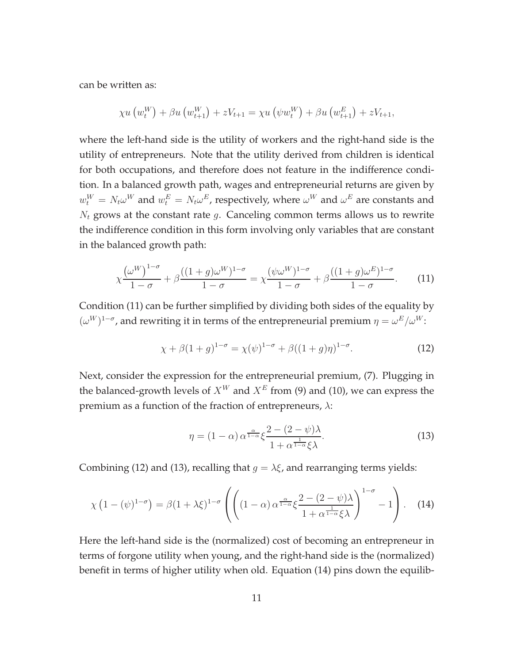can be written as:

$$
\chi u\left(w_{t}^{W}\right) + \beta u\left(w_{t+1}^{W}\right) + zV_{t+1} = \chi u\left(\psi w_{t}^{W}\right) + \beta u\left(w_{t+1}^{E}\right) + zV_{t+1},
$$

where the left-hand side is the utility of workers and the right-hand side is the utility of entrepreneurs. Note that the utility derived from children is identical for both occupations, and therefore does not feature in the indifference condition. In a balanced growth path, wages and entrepreneurial returns are given by  $w^W_t = N_t \omega^W$  and  $w^E_t = N_t \omega^E$ , respectively, where  $\omega^W$  and  $\omega^E$  are constants and  $N_t$  grows at the constant rate  $g$ . Canceling common terms allows us to rewrite the indifference condition in this form involving only variables that are constant in the balanced growth path:

$$
\chi \frac{\left(\omega^W\right)^{1-\sigma}}{1-\sigma} + \beta \frac{\left((1+g)\omega^W\right)^{1-\sigma}}{1-\sigma} = \chi \frac{\left(\psi\omega^W\right)^{1-\sigma}}{1-\sigma} + \beta \frac{\left((1+g)\omega^E\right)^{1-\sigma}}{1-\sigma}.\tag{11}
$$

Condition (11) can be further simplified by dividing both sides of the equality by  $(\omega^W)^{1-\sigma}$ , and rewriting it in terms of the entrepreneurial premium  $\eta = \omega^E / \omega^W$ :

$$
\chi + \beta (1+g)^{1-\sigma} = \chi(\psi)^{1-\sigma} + \beta ((1+g)\eta)^{1-\sigma}.
$$
 (12)

Next, consider the expression for the entrepreneurial premium, (7). Plugging in the balanced-growth levels of  $X^W$  and  $X^E$  from (9) and (10), we can express the premium as a function of the fraction of entrepreneurs,  $\lambda$ :

$$
\eta = (1 - \alpha) \alpha^{\frac{\alpha}{1 - \alpha}} \xi^{\frac{2 - (2 - \psi)\lambda}{1 + \alpha^{\frac{1}{1 - \alpha}} \xi \lambda}.
$$
\n(13)

Combining (12) and (13), recalling that  $g = \lambda \xi$ , and rearranging terms yields:

$$
\chi\left(1-(\psi)^{1-\sigma}\right) = \beta(1+\lambda\xi)^{1-\sigma}\left(\left((1-\alpha)\alpha^{\frac{\alpha}{1-\alpha}}\xi^{\frac{2-(2-\psi)\lambda}{1+\alpha^{\frac{1}{1-\alpha}}}\xi\lambda}\right)^{1-\sigma}-1\right).
$$
 (14)

Here the left-hand side is the (normalized) cost of becoming an entrepreneur in terms of forgone utility when young, and the right-hand side is the (normalized) benefit in terms of higher utility when old. Equation (14) pins down the equilib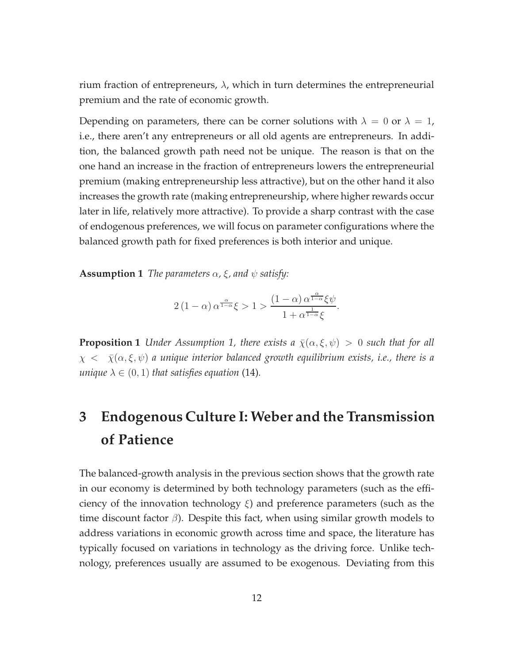rium fraction of entrepreneurs,  $\lambda$ , which in turn determines the entrepreneurial premium and the rate of economic growth.

Depending on parameters, there can be corner solutions with  $\lambda = 0$  or  $\lambda = 1$ , i.e., there aren't any entrepreneurs or all old agents are entrepreneurs. In addition, the balanced growth path need not be unique. The reason is that on the one hand an increase in the fraction of entrepreneurs lowers the entrepreneurial premium (making entrepreneurship less attractive), but on the other hand it also increases the growth rate (making entrepreneurship, where higher rewards occur later in life, relatively more attractive). To provide a sharp contrast with the case of endogenous preferences, we will focus on parameter configurations where the balanced growth path for fixed preferences is both interior and unique.

**Assumption 1** *The parameters*  $\alpha$ ,  $\xi$ , and  $\psi$  *satisfy:* 

$$
2(1-\alpha)\alpha^{\frac{\alpha}{1-\alpha}}\xi > 1 > \frac{(1-\alpha)\alpha^{\frac{\alpha}{1-\alpha}}\xi\psi}{1+\alpha^{\frac{1}{1-\alpha}}\xi}.
$$

**Proposition 1** *Under Assumption 1, there exists a*  $\bar{\chi}(\alpha, \xi, \psi) > 0$  *such that for all*  $\chi < \bar{\chi}(\alpha,\xi,\psi)$  *a unique interior balanced growth equilibrium exists, i.e., there is a unique*  $\lambda \in (0, 1)$  *that satisfies equation* (14).

# **3 Endogenous Culture I: Weber and the Transmission of Patience**

The balanced-growth analysis in the previous section shows that the growth rate in our economy is determined by both technology parameters (such as the efficiency of the innovation technology  $\xi$ ) and preference parameters (such as the time discount factor  $\beta$ ). Despite this fact, when using similar growth models to address variations in economic growth across time and space, the literature has typically focused on variations in technology as the driving force. Unlike technology, preferences usually are assumed to be exogenous. Deviating from this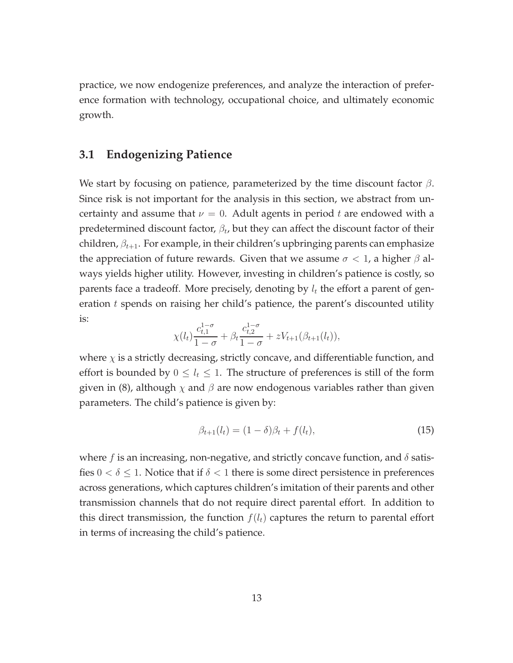practice, we now endogenize preferences, and analyze the interaction of preference formation with technology, occupational choice, and ultimately economic growth.

### **3.1 Endogenizing Patience**

We start by focusing on patience, parameterized by the time discount factor  $\beta$ . Since risk is not important for the analysis in this section, we abstract from uncertainty and assume that  $\nu = 0$ . Adult agents in period t are endowed with a predetermined discount factor,  $\beta_t$ , but they can affect the discount factor of their children,  $\beta_{t+1}$ . For example, in their children's upbringing parents can emphasize the appreciation of future rewards. Given that we assume  $\sigma < 1$ , a higher  $\beta$  always yields higher utility. However, investing in children's patience is costly, so parents face a tradeoff. More precisely, denoting by  $l_t$  the effort a parent of generation t spends on raising her child's patience, the parent's discounted utility is:

$$
\chi(l_t)\frac{c_{t,1}^{1-\sigma}}{1-\sigma} + \beta_t \frac{c_{t,2}^{1-\sigma}}{1-\sigma} + zV_{t+1}(\beta_{t+1}(l_t)),
$$

where  $\chi$  is a strictly decreasing, strictly concave, and differentiable function, and effort is bounded by  $0 \leq l_t \leq 1$ . The structure of preferences is still of the form given in (8), although  $\chi$  and  $\beta$  are now endogenous variables rather than given parameters. The child's patience is given by:

$$
\beta_{t+1}(l_t) = (1 - \delta)\beta_t + f(l_t), \tag{15}
$$

where f is an increasing, non-negative, and strictly concave function, and  $\delta$  satisfies  $0 < \delta \leq 1$ . Notice that if  $\delta < 1$  there is some direct persistence in preferences across generations, which captures children's imitation of their parents and other transmission channels that do not require direct parental effort. In addition to this direct transmission, the function  $f(l_t)$  captures the return to parental effort in terms of increasing the child's patience.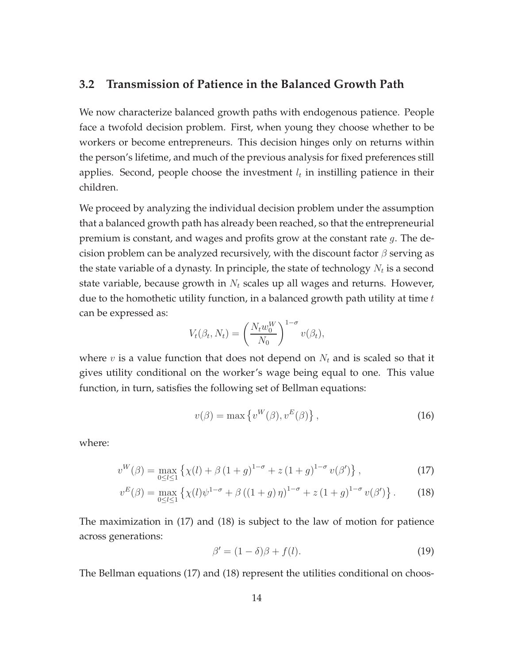#### **3.2 Transmission of Patience in the Balanced Growth Path**

We now characterize balanced growth paths with endogenous patience. People face a twofold decision problem. First, when young they choose whether to be workers or become entrepreneurs. This decision hinges only on returns within the person's lifetime, and much of the previous analysis for fixed preferences still applies. Second, people choose the investment  $l_t$  in instilling patience in their children.

We proceed by analyzing the individual decision problem under the assumption that a balanced growth path has already been reached, so that the entrepreneurial premium is constant, and wages and profits grow at the constant rate  $g$ . The decision problem can be analyzed recursively, with the discount factor  $\beta$  serving as the state variable of a dynasty. In principle, the state of technology  $N_t$  is a second state variable, because growth in  $N_t$  scales up all wages and returns. However, due to the homothetic utility function, in a balanced growth path utility at time  $t$ can be expressed as:

$$
V_t(\beta_t, N_t) = \left(\frac{N_t w_0^W}{N_0}\right)^{1-\sigma} v(\beta_t),
$$

where  $v$  is a value function that does not depend on  $N_t$  and is scaled so that it gives utility conditional on the worker's wage being equal to one. This value function, in turn, satisfies the following set of Bellman equations:

$$
v(\beta) = \max \left\{ v^W(\beta), v^E(\beta) \right\},\tag{16}
$$

where:

$$
v^{W}(\beta) = \max_{0 \le l \le 1} \left\{ \chi(l) + \beta \left( 1 + g \right)^{1 - \sigma} + z \left( 1 + g \right)^{1 - \sigma} v(\beta') \right\},\tag{17}
$$

$$
v^{E}(\beta) = \max_{0 \le l \le 1} \left\{ \chi(l)\psi^{1-\sigma} + \beta\left( (1+g)\,\eta \right)^{1-\sigma} + z\,(1+g)^{1-\sigma}\,v(\beta') \right\}.
$$
 (18)

The maximization in (17) and (18) is subject to the law of motion for patience across generations:

$$
\beta' = (1 - \delta)\beta + f(l). \tag{19}
$$

The Bellman equations (17) and (18) represent the utilities conditional on choos-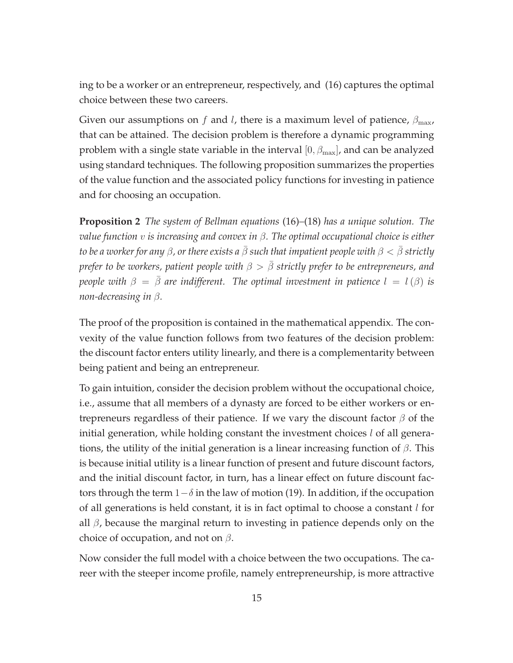ing to be a worker or an entrepreneur, respectively, and (16) captures the optimal choice between these two careers.

Given our assumptions on f and l, there is a maximum level of patience,  $\beta_{\text{max}}$ , that can be attained. The decision problem is therefore a dynamic programming problem with a single state variable in the interval  $[0, \beta_{\text{max}}]$ , and can be analyzed using standard techniques. The following proposition summarizes the properties of the value function and the associated policy functions for investing in patience and for choosing an occupation.

**Proposition 2** *The system of Bellman equations* (16)*–*(18) *has a unique solution. The value function* v *is increasing and convex in* β*. The optimal occupational choice is either to be a worker for any*  $\beta$ , or there exists a  $\beta$  such that impatient people with  $\beta < \beta$  strictly *prefer to be workers, patient people with*  $\beta > \beta$  *strictly prefer to be entrepreneurs, and people with*  $\beta = \overline{\beta}$  *are indifferent. The optimal investment in patience*  $l = l(\beta)$  *is non-decreasing in* β*.*

The proof of the proposition is contained in the mathematical appendix. The convexity of the value function follows from two features of the decision problem: the discount factor enters utility linearly, and there is a complementarity between being patient and being an entrepreneur.

To gain intuition, consider the decision problem without the occupational choice, i.e., assume that all members of a dynasty are forced to be either workers or entrepreneurs regardless of their patience. If we vary the discount factor  $\beta$  of the initial generation, while holding constant the investment choices  $l$  of all generations, the utility of the initial generation is a linear increasing function of  $\beta$ . This is because initial utility is a linear function of present and future discount factors, and the initial discount factor, in turn, has a linear effect on future discount factors through the term  $1-\delta$  in the law of motion (19). In addition, if the occupation of all generations is held constant, it is in fact optimal to choose a constant l for all  $\beta$ , because the marginal return to investing in patience depends only on the choice of occupation, and not on  $\beta$ .

Now consider the full model with a choice between the two occupations. The career with the steeper income profile, namely entrepreneurship, is more attractive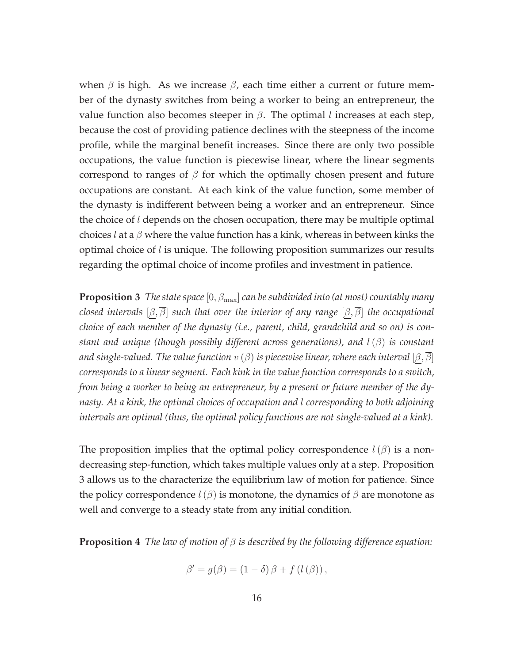when  $β$  is high. As we increase  $β$ , each time either a current or future member of the dynasty switches from being a worker to being an entrepreneur, the value function also becomes steeper in  $β$ . The optimal *l* increases at each step, because the cost of providing patience declines with the steepness of the income profile, while the marginal benefit increases. Since there are only two possible occupations, the value function is piecewise linear, where the linear segments correspond to ranges of  $\beta$  for which the optimally chosen present and future occupations are constant. At each kink of the value function, some member of the dynasty is indifferent between being a worker and an entrepreneur. Since the choice of  $l$  depends on the chosen occupation, there may be multiple optimal choices l at a  $\beta$  where the value function has a kink, whereas in between kinks the optimal choice of l is unique. The following proposition summarizes our results regarding the optimal choice of income profiles and investment in patience.

**Proposition 3** *The state space*  $[0, \beta_{\text{max}}]$  *can be subdivided into (at most) countably many closed intervals*  $[\beta, \overline{\beta}]$  *such that over the interior of any range*  $[\beta, \overline{\beta}]$  *the occupational choice of each member of the dynasty (i.e., parent, child, grandchild and so on) is constant and unique (though possibly different across generations), and* l (β) *is constant and single-valued. The value function* v (β) *is piecewise linear, where each interval* [β, β] *corresponds to a linear segment. Each kink in the value function corresponds to a switch, from being a worker to being an entrepreneur, by a present or future member of the dynasty. At a kink, the optimal choices of occupation and* l *corresponding to both adjoining intervals are optimal (thus, the optimal policy functions are not single-valued at a kink).*

The proposition implies that the optimal policy correspondence  $l(\beta)$  is a nondecreasing step-function, which takes multiple values only at a step. Proposition 3 allows us to the characterize the equilibrium law of motion for patience. Since the policy correspondence  $l(\beta)$  is monotone, the dynamics of  $\beta$  are monotone as well and converge to a steady state from any initial condition.

**Proposition 4** *The law of motion of* β *is described by the following difference equation:*

$$
\beta' = g(\beta) = (1 - \delta)\beta + f(l(\beta)),
$$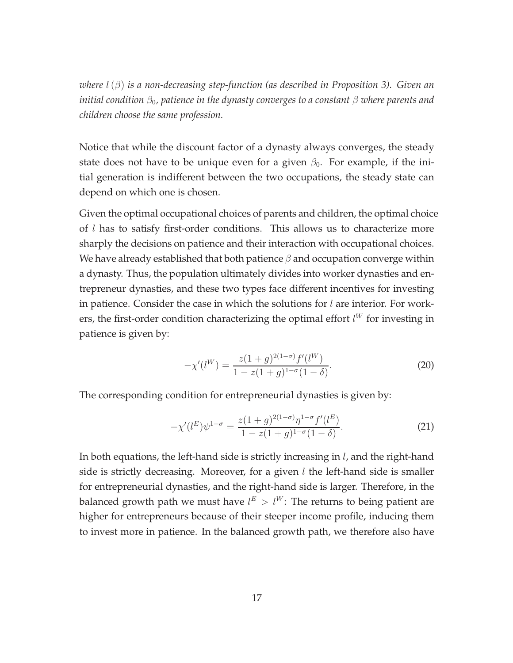*where* l (β) *is a non-decreasing step-function (as described in Proposition 3). Given an initial condition*  $\beta_0$ , patience in the dynasty converges to a constant  $\beta$  where parents and *children choose the same profession.*

Notice that while the discount factor of a dynasty always converges, the steady state does not have to be unique even for a given  $\beta_0$ . For example, if the initial generation is indifferent between the two occupations, the steady state can depend on which one is chosen.

Given the optimal occupational choices of parents and children, the optimal choice of l has to satisfy first-order conditions. This allows us to characterize more sharply the decisions on patience and their interaction with occupational choices. We have already established that both patience  $\beta$  and occupation converge within a dynasty. Thus, the population ultimately divides into worker dynasties and entrepreneur dynasties, and these two types face different incentives for investing in patience. Consider the case in which the solutions for  $l$  are interior. For workers, the first-order condition characterizing the optimal effort  $l^W$  for investing in patience is given by:

$$
-\chi'(l^W) = \frac{z(1+g)^{2(1-\sigma)}f'(l^W)}{1-z(1+g)^{1-\sigma}(1-\delta)}.
$$
\n(20)

The corresponding condition for entrepreneurial dynasties is given by:

$$
-\chi'(l^E)\psi^{1-\sigma} = \frac{z(1+g)^{2(1-\sigma)}\eta^{1-\sigma}f'(l^E)}{1-z(1+g)^{1-\sigma}(1-\delta)}.
$$
\n(21)

In both equations, the left-hand side is strictly increasing in l, and the right-hand side is strictly decreasing. Moreover, for a given  $l$  the left-hand side is smaller for entrepreneurial dynasties, and the right-hand side is larger. Therefore, in the balanced growth path we must have  $l^{E} > l^{W}$ : The returns to being patient are higher for entrepreneurs because of their steeper income profile, inducing them to invest more in patience. In the balanced growth path, we therefore also have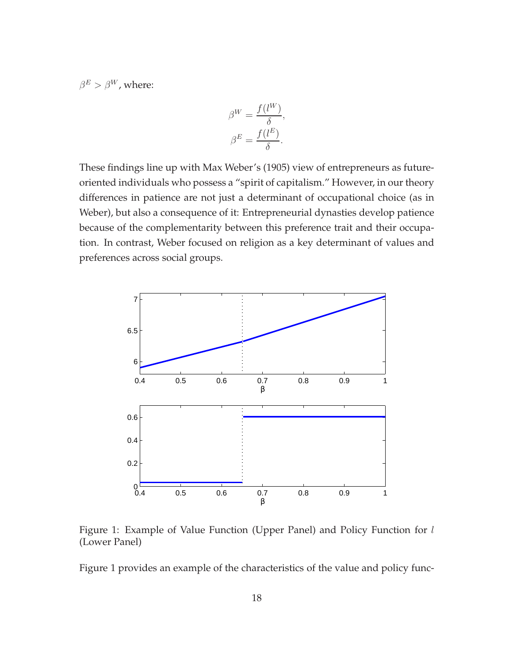$\beta^E>\beta^W$  , where:

$$
\beta^{W} = \frac{f(l^{W})}{\delta},
$$

$$
\beta^{E} = \frac{f(l^{E})}{\delta}.
$$

These findings line up with Max Weber's (1905) view of entrepreneurs as futureoriented individuals who possess a "spirit of capitalism." However, in our theory differences in patience are not just a determinant of occupational choice (as in Weber), but also a consequence of it: Entrepreneurial dynasties develop patience because of the complementarity between this preference trait and their occupation. In contrast, Weber focused on religion as a key determinant of values and preferences across social groups.



Figure 1: Example of Value Function (Upper Panel) and Policy Function for l (Lower Panel)

Figure 1 provides an example of the characteristics of the value and policy func-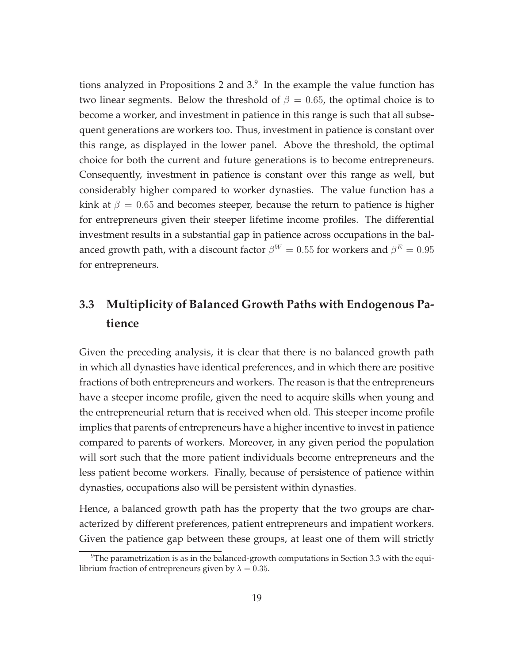tions analyzed in Propositions 2 and  $3<sup>9</sup>$  In the example the value function has two linear segments. Below the threshold of  $\beta = 0.65$ , the optimal choice is to become a worker, and investment in patience in this range is such that all subsequent generations are workers too. Thus, investment in patience is constant over this range, as displayed in the lower panel. Above the threshold, the optimal choice for both the current and future generations is to become entrepreneurs. Consequently, investment in patience is constant over this range as well, but considerably higher compared to worker dynasties. The value function has a kink at  $\beta = 0.65$  and becomes steeper, because the return to patience is higher for entrepreneurs given their steeper lifetime income profiles. The differential investment results in a substantial gap in patience across occupations in the balanced growth path, with a discount factor  $\beta^W=0.55$  for workers and  $\beta^E=0.95$ for entrepreneurs.

## **3.3 Multiplicity of Balanced Growth Paths with Endogenous Patience**

Given the preceding analysis, it is clear that there is no balanced growth path in which all dynasties have identical preferences, and in which there are positive fractions of both entrepreneurs and workers. The reason is that the entrepreneurs have a steeper income profile, given the need to acquire skills when young and the entrepreneurial return that is received when old. This steeper income profile implies that parents of entrepreneurs have a higher incentive to invest in patience compared to parents of workers. Moreover, in any given period the population will sort such that the more patient individuals become entrepreneurs and the less patient become workers. Finally, because of persistence of patience within dynasties, occupations also will be persistent within dynasties.

Hence, a balanced growth path has the property that the two groups are characterized by different preferences, patient entrepreneurs and impatient workers. Given the patience gap between these groups, at least one of them will strictly

 $9$ The parametrization is as in the balanced-growth computations in Section 3.3 with the equilibrium fraction of entrepreneurs given by  $\lambda = 0.35$ .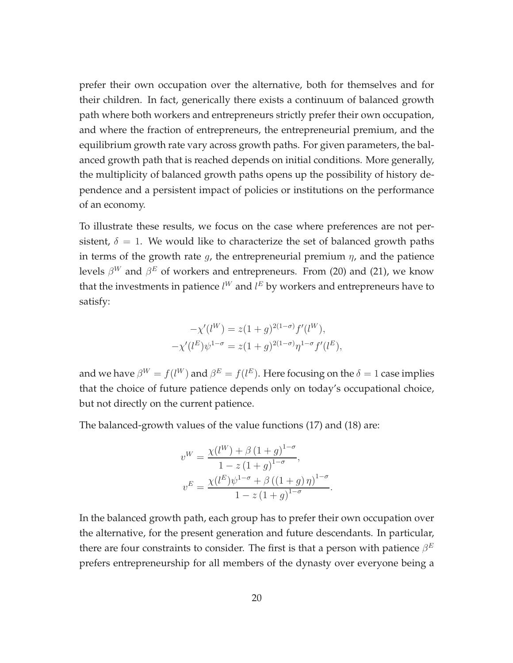prefer their own occupation over the alternative, both for themselves and for their children. In fact, generically there exists a continuum of balanced growth path where both workers and entrepreneurs strictly prefer their own occupation, and where the fraction of entrepreneurs, the entrepreneurial premium, and the equilibrium growth rate vary across growth paths. For given parameters, the balanced growth path that is reached depends on initial conditions. More generally, the multiplicity of balanced growth paths opens up the possibility of history dependence and a persistent impact of policies or institutions on the performance of an economy.

To illustrate these results, we focus on the case where preferences are not persistent,  $\delta = 1$ . We would like to characterize the set of balanced growth paths in terms of the growth rate g, the entrepreneurial premium  $\eta$ , and the patience levels  $\beta^W$  and  $\beta^E$  of workers and entrepreneurs. From (20) and (21), we know that the investments in patience  $l^W$  and  $l^E$  by workers and entrepreneurs have to satisfy:

$$
-\chi'(l^W) = z(1+g)^{2(1-\sigma)}f'(l^W),
$$
  

$$
-\chi'(l^E)\psi^{1-\sigma} = z(1+g)^{2(1-\sigma)}\eta^{1-\sigma}f'(l^E),
$$

and we have  $\beta^W=f(l^W)$  and  $\beta^E=f(l^E).$  Here focusing on the  $\delta=1$  case implies that the choice of future patience depends only on today's occupational choice, but not directly on the current patience.

The balanced-growth values of the value functions (17) and (18) are:

$$
v^{W} = \frac{\chi(l^{W}) + \beta (1+g)^{1-\sigma}}{1 - z (1+g)^{1-\sigma}},
$$
  

$$
v^{E} = \frac{\chi(l^{E})\psi^{1-\sigma} + \beta ((1+g)\eta)^{1-\sigma}}{1 - z (1+g)^{1-\sigma}}.
$$

In the balanced growth path, each group has to prefer their own occupation over the alternative, for the present generation and future descendants. In particular, there are four constraints to consider. The first is that a person with patience  $\beta^E$ prefers entrepreneurship for all members of the dynasty over everyone being a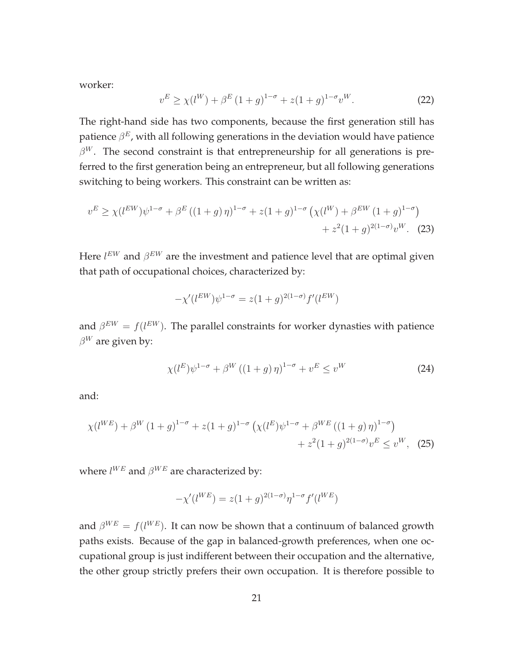worker:

$$
v^{E} \ge \chi(l^{W}) + \beta^{E} (1+g)^{1-\sigma} + z(1+g)^{1-\sigma} v^{W}.
$$
 (22)

The right-hand side has two components, because the first generation still has patience  $\beta^E$ , with all following generations in the deviation would have patience  $\beta^{W}$ . The second constraint is that entrepreneurship for all generations is preferred to the first generation being an entrepreneur, but all following generations switching to being workers. This constraint can be written as:

$$
v^{E} \ge \chi(l^{EW})\psi^{1-\sigma} + \beta^{E}((1+g)\eta)^{1-\sigma} + z(1+g)^{1-\sigma} \left(\chi(l^{W}) + \beta^{EW}(1+g)^{1-\sigma}\right) + z^{2}(1+g)^{2(1-\sigma)}v^{W}.
$$
 (23)

Here  $l^{EW}$  and  $\beta^{EW}$  are the investment and patience level that are optimal given that path of occupational choices, characterized by:

$$
-\chi'(l^{EW})\psi^{1-\sigma} = z(1+g)^{2(1-\sigma)}f'(l^{EW})
$$

and  $\beta^{EW} = f(l^{EW})$ . The parallel constraints for worker dynasties with patience  $\beta^{W}$  are given by:

$$
\chi(l^E)\psi^{1-\sigma} + \beta^W\left(\left(1+g\right)\eta\right)^{1-\sigma} + v^E \le v^W \tag{24}
$$

and:

$$
\chi(l^{WE}) + \beta^{W} (1+g)^{1-\sigma} + z(1+g)^{1-\sigma} \left( \chi(l^{E}) \psi^{1-\sigma} + \beta^{WE} ((1+g)\eta)^{1-\sigma} \right) + z^{2} (1+g)^{2(1-\sigma)} v^{E} \le v^{W}, \quad (25)
$$

where  $l^{WE}$  and  $\beta^{WE}$  are characterized by:

$$
-\chi'(l^{WE}) = z(1+g)^{2(1-\sigma)}\eta^{1-\sigma}f'(l^{WE})
$$

and  $\beta^{WE} = f(l^{WE})$ . It can now be shown that a continuum of balanced growth paths exists. Because of the gap in balanced-growth preferences, when one occupational group is just indifferent between their occupation and the alternative, the other group strictly prefers their own occupation. It is therefore possible to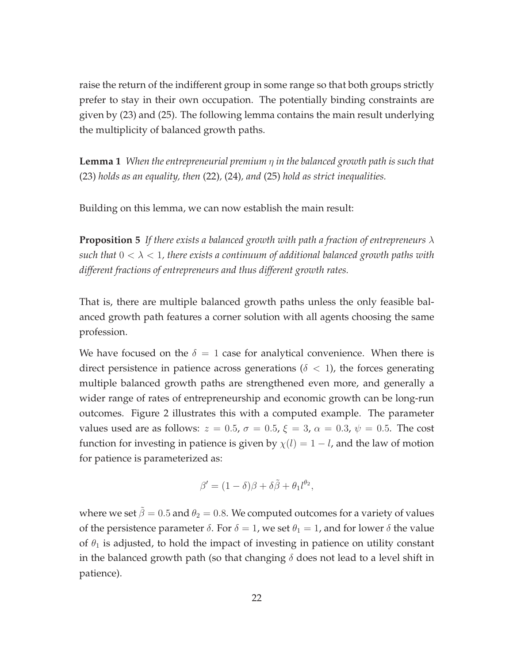raise the return of the indifferent group in some range so that both groups strictly prefer to stay in their own occupation. The potentially binding constraints are given by (23) and (25). The following lemma contains the main result underlying the multiplicity of balanced growth paths.

**Lemma 1** *When the entrepreneurial premium* η *in the balanced growth path is such that* (23) *holds as an equality, then* (22)*,* (24)*, and* (25) *hold as strict inequalities.*

Building on this lemma, we can now establish the main result:

**Proposition 5** *If there exists a balanced growth with path a fraction of entrepreneurs* λ *such that*  $0 < \lambda < 1$ , there exists a continuum of additional balanced growth paths with *different fractions of entrepreneurs and thus different growth rates.*

That is, there are multiple balanced growth paths unless the only feasible balanced growth path features a corner solution with all agents choosing the same profession.

We have focused on the  $\delta = 1$  case for analytical convenience. When there is direct persistence in patience across generations ( $\delta$  < 1), the forces generating multiple balanced growth paths are strengthened even more, and generally a wider range of rates of entrepreneurship and economic growth can be long-run outcomes. Figure 2 illustrates this with a computed example. The parameter values used are as follows:  $z = 0.5$ ,  $\sigma = 0.5$ ,  $\xi = 3$ ,  $\alpha = 0.3$ ,  $\psi = 0.5$ . The cost function for investing in patience is given by  $\chi(l) = 1 - l$ , and the law of motion for patience is parameterized as:

$$
\beta' = (1 - \delta)\beta + \delta\tilde{\beta} + \theta_1 l^{\theta_2},
$$

where we set  $\tilde{\beta} = 0.5$  and  $\theta_2 = 0.8$ . We computed outcomes for a variety of values of the persistence parameter  $\delta$ . For  $\delta = 1$ , we set  $\theta_1 = 1$ , and for lower  $\delta$  the value of  $\theta_1$  is adjusted, to hold the impact of investing in patience on utility constant in the balanced growth path (so that changing  $\delta$  does not lead to a level shift in patience).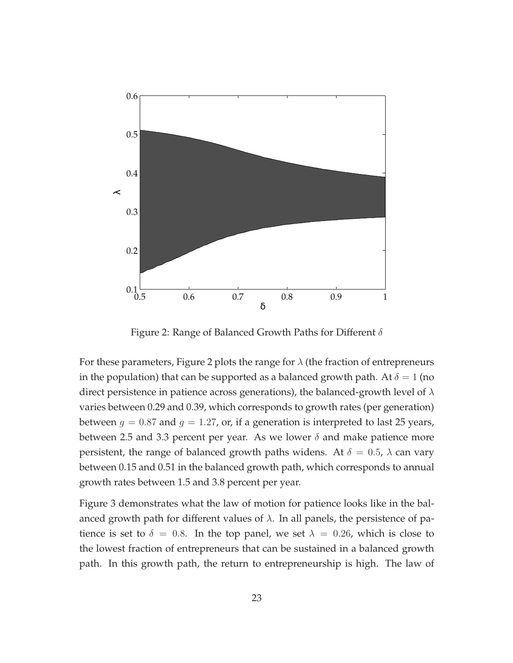

Figure 2: Range of Balanced Growth Paths for Different  $\delta$ 

For these parameters, Figure 2 plots the range for  $\lambda$  (the fraction of entrepreneurs in the population) that can be supported as a balanced growth path. At  $\delta = 1$  (no direct persistence in patience across generations), the balanced-growth level of  $\lambda$ varies between 0.29 and 0.39, which corresponds to growth rates (per generation) between  $g = 0.87$  and  $g = 1.27$ , or, if a generation is interpreted to last 25 years, between 2.5 and 3.3 percent per year. As we lower  $\delta$  and make patience more persistent, the range of balanced growth paths widens. At  $\delta = 0.5$ ,  $\lambda$  can vary between 0.15 and 0.51 in the balanced growth path, which corresponds to annual growth rates between 1.5 and 3.8 percent per year.

Figure 3 demonstrates what the law of motion for patience looks like in the balanced growth path for different values of  $\lambda$ . In all panels, the persistence of patience is set to  $\delta = 0.8$ . In the top panel, we set  $\lambda = 0.26$ , which is close to the lowest fraction of entrepreneurs that can be sustained in a balanced growth path. In this growth path, the return to entrepreneurship is high. The law of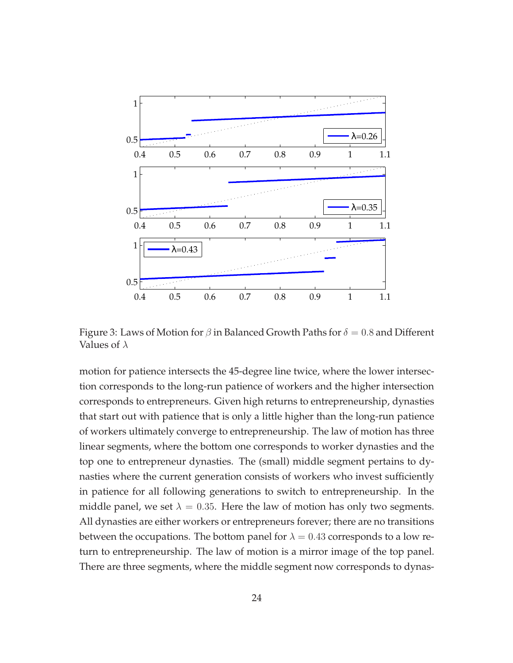

Figure 3: Laws of Motion for  $\beta$  in Balanced Growth Paths for  $\delta = 0.8$  and Different Values of  $\lambda$ 

motion for patience intersects the 45-degree line twice, where the lower intersection corresponds to the long-run patience of workers and the higher intersection corresponds to entrepreneurs. Given high returns to entrepreneurship, dynasties that start out with patience that is only a little higher than the long-run patience of workers ultimately converge to entrepreneurship. The law of motion has three linear segments, where the bottom one corresponds to worker dynasties and the top one to entrepreneur dynasties. The (small) middle segment pertains to dynasties where the current generation consists of workers who invest sufficiently in patience for all following generations to switch to entrepreneurship. In the middle panel, we set  $\lambda = 0.35$ . Here the law of motion has only two segments. All dynasties are either workers or entrepreneurs forever; there are no transitions between the occupations. The bottom panel for  $\lambda = 0.43$  corresponds to a low return to entrepreneurship. The law of motion is a mirror image of the top panel. There are three segments, where the middle segment now corresponds to dynas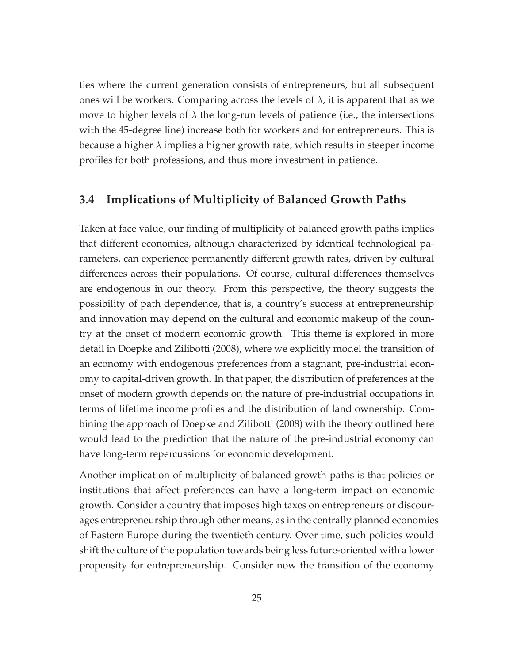ties where the current generation consists of entrepreneurs, but all subsequent ones will be workers. Comparing across the levels of  $\lambda$ , it is apparent that as we move to higher levels of  $\lambda$  the long-run levels of patience (i.e., the intersections with the 45-degree line) increase both for workers and for entrepreneurs. This is because a higher  $\lambda$  implies a higher growth rate, which results in steeper income profiles for both professions, and thus more investment in patience.

#### **3.4 Implications of Multiplicity of Balanced Growth Paths**

Taken at face value, our finding of multiplicity of balanced growth paths implies that different economies, although characterized by identical technological parameters, can experience permanently different growth rates, driven by cultural differences across their populations. Of course, cultural differences themselves are endogenous in our theory. From this perspective, the theory suggests the possibility of path dependence, that is, a country's success at entrepreneurship and innovation may depend on the cultural and economic makeup of the country at the onset of modern economic growth. This theme is explored in more detail in Doepke and Zilibotti (2008), where we explicitly model the transition of an economy with endogenous preferences from a stagnant, pre-industrial economy to capital-driven growth. In that paper, the distribution of preferences at the onset of modern growth depends on the nature of pre-industrial occupations in terms of lifetime income profiles and the distribution of land ownership. Combining the approach of Doepke and Zilibotti (2008) with the theory outlined here would lead to the prediction that the nature of the pre-industrial economy can have long-term repercussions for economic development.

Another implication of multiplicity of balanced growth paths is that policies or institutions that affect preferences can have a long-term impact on economic growth. Consider a country that imposes high taxes on entrepreneurs or discourages entrepreneurship through other means, as in the centrally planned economies of Eastern Europe during the twentieth century. Over time, such policies would shift the culture of the population towards being less future-oriented with a lower propensity for entrepreneurship. Consider now the transition of the economy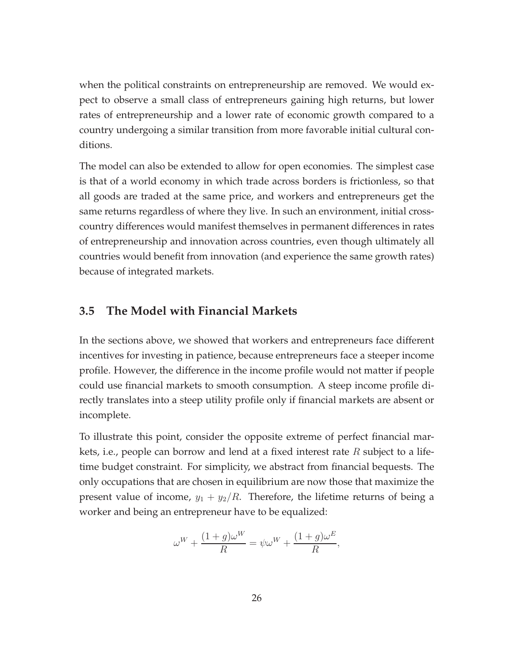when the political constraints on entrepreneurship are removed. We would expect to observe a small class of entrepreneurs gaining high returns, but lower rates of entrepreneurship and a lower rate of economic growth compared to a country undergoing a similar transition from more favorable initial cultural conditions.

The model can also be extended to allow for open economies. The simplest case is that of a world economy in which trade across borders is frictionless, so that all goods are traded at the same price, and workers and entrepreneurs get the same returns regardless of where they live. In such an environment, initial crosscountry differences would manifest themselves in permanent differences in rates of entrepreneurship and innovation across countries, even though ultimately all countries would benefit from innovation (and experience the same growth rates) because of integrated markets.

#### **3.5 The Model with Financial Markets**

In the sections above, we showed that workers and entrepreneurs face different incentives for investing in patience, because entrepreneurs face a steeper income profile. However, the difference in the income profile would not matter if people could use financial markets to smooth consumption. A steep income profile directly translates into a steep utility profile only if financial markets are absent or incomplete.

To illustrate this point, consider the opposite extreme of perfect financial markets, i.e., people can borrow and lend at a fixed interest rate  $R$  subject to a lifetime budget constraint. For simplicity, we abstract from financial bequests. The only occupations that are chosen in equilibrium are now those that maximize the present value of income,  $y_1 + y_2/R$ . Therefore, the lifetime returns of being a worker and being an entrepreneur have to be equalized:

$$
\omega^{W} + \frac{(1+g)\omega^{W}}{R} = \psi \omega^{W} + \frac{(1+g)\omega^{E}}{R},
$$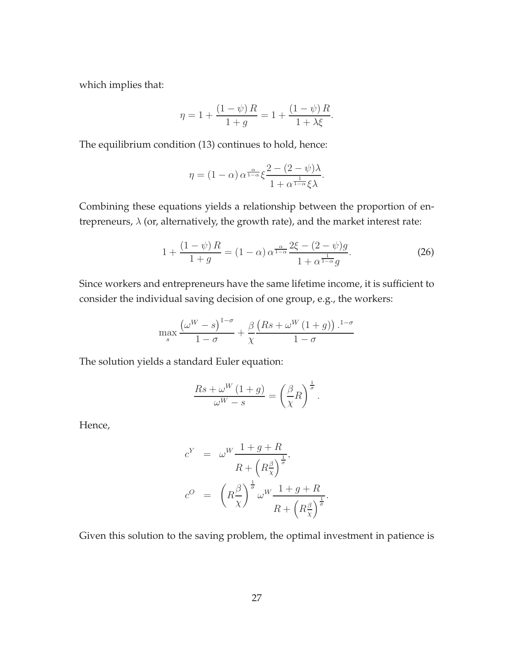which implies that:

$$
\eta = 1 + \frac{(1 - \psi) R}{1 + g} = 1 + \frac{(1 - \psi) R}{1 + \lambda \xi}.
$$

The equilibrium condition (13) continues to hold, hence:

$$
\eta = (1 - \alpha) \alpha^{\frac{\alpha}{1 - \alpha}} \xi \frac{2 - (2 - \psi)\lambda}{1 + \alpha^{\frac{1}{1 - \alpha}} \xi \lambda}.
$$

Combining these equations yields a relationship between the proportion of entrepreneurs,  $\lambda$  (or, alternatively, the growth rate), and the market interest rate:

$$
1 + \frac{(1 - \psi) R}{1 + g} = (1 - \alpha) \alpha^{\frac{\alpha}{1 - \alpha}} \frac{2\xi - (2 - \psi)g}{1 + \alpha^{\frac{1}{1 - \alpha}} g}.
$$
 (26)

Since workers and entrepreneurs have the same lifetime income, it is sufficient to consider the individual saving decision of one group, e.g., the workers:

$$
\max_{s} \frac{(\omega^W - s)^{1-\sigma}}{1-\sigma} + \frac{\beta}{\chi} \frac{(Rs + \omega^W (1+g))^{1-\sigma}}{1-\sigma}
$$

The solution yields a standard Euler equation:

$$
\frac{Rs + \omega^W (1+g)}{\omega^W - s} = \left(\frac{\beta}{\chi}R\right)^{\frac{1}{\sigma}}.
$$

Hence,

$$
c^{Y} = \omega^{W} \frac{1+g+R}{R+\left(R_{\chi}^{\beta}\right)^{\frac{1}{\sigma}}},
$$
  

$$
c^{O} = \left(R_{\chi}^{\beta}\right)^{\frac{1}{\sigma}} \omega^{W} \frac{1+g+R}{R+\left(R_{\chi}^{\beta}\right)^{\frac{1}{\sigma}}}.
$$

Given this solution to the saving problem, the optimal investment in patience is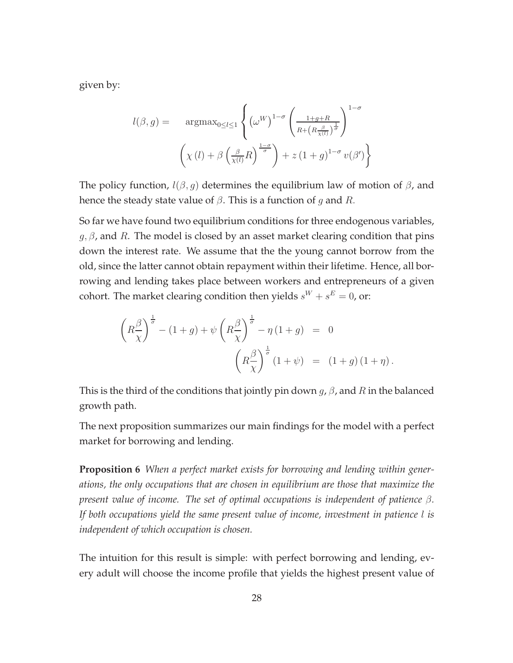given by:

$$
l(\beta, g) = \operatorname{argmax}_{0 \le l \le 1} \left\{ (\omega^W)^{1-\sigma} \left( \frac{1+g+R}{R+\left(R\frac{\beta}{\chi(l)}\right)^{\frac{1}{\sigma}}} \right)^{1-\sigma} \times \left( \chi(l) + \beta \left( \frac{\beta}{\chi(l)} R \right)^{\frac{1-\sigma}{\sigma}} \right) + z (1+g)^{1-\sigma} v(\beta') \right\}
$$

The policy function,  $l(\beta, g)$  determines the equilibrium law of motion of  $\beta$ , and hence the steady state value of  $\beta$ . This is a function of g and R.

So far we have found two equilibrium conditions for three endogenous variables,  $g, \beta$ , and R. The model is closed by an asset market clearing condition that pins down the interest rate. We assume that the the young cannot borrow from the old, since the latter cannot obtain repayment within their lifetime. Hence, all borrowing and lending takes place between workers and entrepreneurs of a given cohort. The market clearing condition then yields  $s^W + s^E = 0$ , or:

$$
\left(R\frac{\beta}{\chi}\right)^{\frac{1}{\sigma}} - (1+g) + \psi\left(R\frac{\beta}{\chi}\right)^{\frac{1}{\sigma}} - \eta(1+g) = 0
$$

$$
\left(R\frac{\beta}{\chi}\right)^{\frac{1}{\sigma}}(1+\psi) = (1+g)(1+\eta).
$$

This is the third of the conditions that jointly pin down  $g$ ,  $\beta$ , and R in the balanced growth path.

The next proposition summarizes our main findings for the model with a perfect market for borrowing and lending.

**Proposition 6** *When a perfect market exists for borrowing and lending within generations, the only occupations that are chosen in equilibrium are those that maximize the present value of income. The set of optimal occupations is independent of patience* β*. If both occupations yield the same present value of income, investment in patience* l *is independent of which occupation is chosen.*

The intuition for this result is simple: with perfect borrowing and lending, every adult will choose the income profile that yields the highest present value of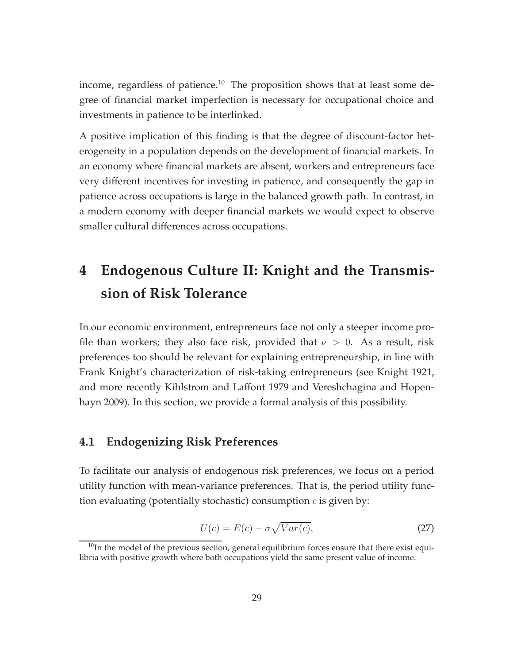income, regardless of patience.<sup>10</sup> The proposition shows that at least some degree of financial market imperfection is necessary for occupational choice and investments in patience to be interlinked.

A positive implication of this finding is that the degree of discount-factor heterogeneity in a population depends on the development of financial markets. In an economy where financial markets are absent, workers and entrepreneurs face very different incentives for investing in patience, and consequently the gap in patience across occupations is large in the balanced growth path. In contrast, in a modern economy with deeper financial markets we would expect to observe smaller cultural differences across occupations.

# **4 Endogenous Culture II: Knight and the Transmission of Risk Tolerance**

In our economic environment, entrepreneurs face not only a steeper income profile than workers; they also face risk, provided that  $\nu > 0$ . As a result, risk preferences too should be relevant for explaining entrepreneurship, in line with Frank Knight's characterization of risk-taking entrepreneurs (see Knight 1921, and more recently Kihlstrom and Laffont 1979 and Vereshchagina and Hopenhayn 2009). In this section, we provide a formal analysis of this possibility.

#### **4.1 Endogenizing Risk Preferences**

To facilitate our analysis of endogenous risk preferences, we focus on a period utility function with mean-variance preferences. That is, the period utility function evaluating (potentially stochastic) consumption  $c$  is given by:

$$
U(c) = E(c) - \sigma \sqrt{Var(c)},
$$
\n(27)

 $10$ In the model of the previous section, general equilibrium forces ensure that there exist equilibria with positive growth where both occupations yield the same present value of income.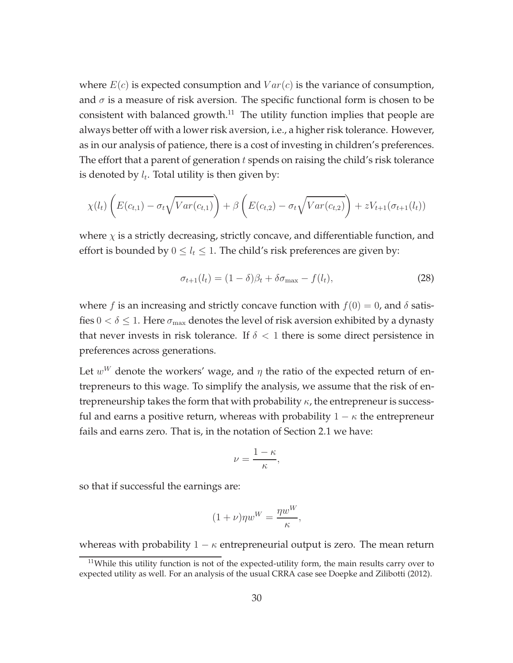where  $E(c)$  is expected consumption and  $Var(c)$  is the variance of consumption, and  $\sigma$  is a measure of risk aversion. The specific functional form is chosen to be consistent with balanced growth. $11$  The utility function implies that people are always better off with a lower risk aversion, i.e., a higher risk tolerance. However, as in our analysis of patience, there is a cost of investing in children's preferences. The effort that a parent of generation  $t$  spends on raising the child's risk tolerance is denoted by  $l_t$ . Total utility is then given by:

$$
\chi(l_t)\left(E(c_{t,1})-\sigma_t\sqrt{Var(c_{t,1})}\right)+\beta\left(E(c_{t,2})-\sigma_t\sqrt{Var(c_{t,2})}\right)+zV_{t+1}(\sigma_{t+1}(l_t))
$$

where  $\chi$  is a strictly decreasing, strictly concave, and differentiable function, and effort is bounded by  $0 \le l_t \le 1$ . The child's risk preferences are given by:

$$
\sigma_{t+1}(l_t) = (1 - \delta)\beta_t + \delta\sigma_{\text{max}} - f(l_t), \qquad (28)
$$

where f is an increasing and strictly concave function with  $f(0) = 0$ , and  $\delta$  satisfies  $0 < \delta \leq 1$ . Here  $\sigma_{\text{max}}$  denotes the level of risk aversion exhibited by a dynasty that never invests in risk tolerance. If  $\delta$  < 1 there is some direct persistence in preferences across generations.

Let  $w^W$  denote the workers' wage, and  $\eta$  the ratio of the expected return of entrepreneurs to this wage. To simplify the analysis, we assume that the risk of entrepreneurship takes the form that with probability  $\kappa$ , the entrepreneur is successful and earns a positive return, whereas with probability  $1 - \kappa$  the entrepreneur fails and earns zero. That is, in the notation of Section 2.1 we have:

$$
\nu = \frac{1 - \kappa}{\kappa},
$$

so that if successful the earnings are:

$$
(1+\nu)\eta w^W = \frac{\eta w^W}{\kappa},
$$

whereas with probability  $1 - \kappa$  entrepreneurial output is zero. The mean return

<sup>11</sup>While this utility function is not of the expected-utility form, the main results carry over to expected utility as well. For an analysis of the usual CRRA case see Doepke and Zilibotti (2012).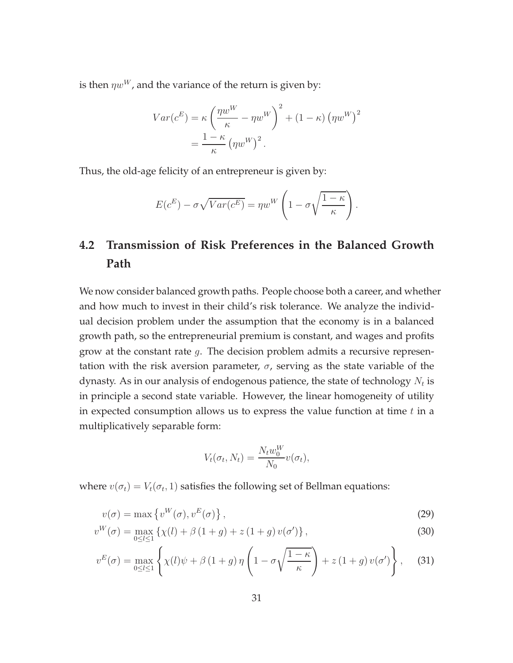is then  $\eta w^W$ , and the variance of the return is given by:

$$
Var(c^{E}) = \kappa \left(\frac{\eta w^{W}}{\kappa} - \eta w^{W}\right)^{2} + (1 - \kappa) (\eta w^{W})^{2}
$$

$$
= \frac{1 - \kappa}{\kappa} (\eta w^{W})^{2}.
$$

Thus, the old-age felicity of an entrepreneur is given by:

$$
E(c^{E}) - \sigma \sqrt{Var(c^{E})} = \eta w^{W} \left( 1 - \sigma \sqrt{\frac{1 - \kappa}{\kappa}} \right).
$$

## **4.2 Transmission of Risk Preferences in the Balanced Growth Path**

We now consider balanced growth paths. People choose both a career, and whether and how much to invest in their child's risk tolerance. We analyze the individual decision problem under the assumption that the economy is in a balanced growth path, so the entrepreneurial premium is constant, and wages and profits grow at the constant rate  $g$ . The decision problem admits a recursive representation with the risk aversion parameter,  $\sigma$ , serving as the state variable of the dynasty. As in our analysis of endogenous patience, the state of technology  $N_t$  is in principle a second state variable. However, the linear homogeneity of utility in expected consumption allows us to express the value function at time  $t$  in a multiplicatively separable form:

$$
V_t(\sigma_t, N_t) = \frac{N_t w_0^W}{N_0} v(\sigma_t),
$$

where  $v(\sigma_t) = V_t(\sigma_t, 1)$  satisfies the following set of Bellman equations:

$$
v(\sigma) = \max \left\{ v^W(\sigma), v^E(\sigma) \right\},\tag{29}
$$

$$
v^{W}(\sigma) = \max_{0 \le l \le 1} \left\{ \chi(l) + \beta \left( 1 + g \right) + z \left( 1 + g \right) v(\sigma') \right\},\tag{30}
$$

$$
v^{E}(\sigma) = \max_{0 \le l \le 1} \left\{ \chi(l)\psi + \beta \left(1+g\right)\eta \left(1 - \sigma\sqrt{\frac{1-\kappa}{\kappa}}\right) + z\left(1+g\right)v(\sigma') \right\},\tag{31}
$$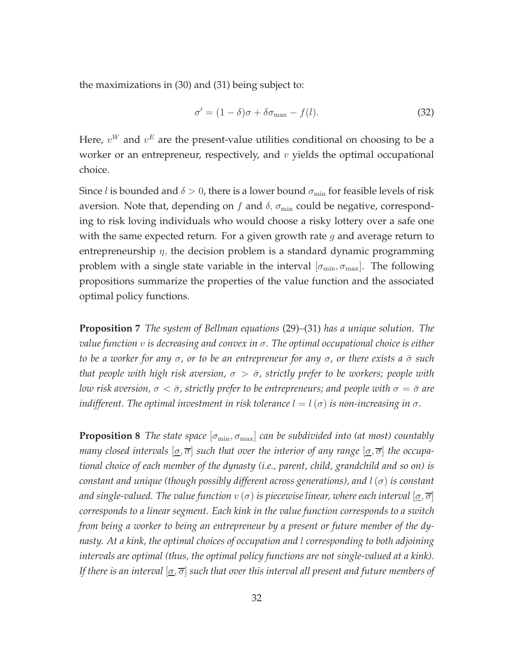the maximizations in (30) and (31) being subject to:

$$
\sigma' = (1 - \delta)\sigma + \delta\sigma_{\text{max}} - f(l). \tag{32}
$$

Here,  $v^{W}$  and  $v^{E}$  are the present-value utilities conditional on choosing to be a worker or an entrepreneur, respectively, and  $v$  yields the optimal occupational choice.

Since *l* is bounded and  $\delta > 0$ , there is a lower bound  $\sigma_{min}$  for feasible levels of risk aversion. Note that, depending on f and  $\delta$ ,  $\sigma_{\min}$  could be negative, corresponding to risk loving individuals who would choose a risky lottery over a safe one with the same expected return. For a given growth rate g and average return to entrepreneurship  $\eta$ , the decision problem is a standard dynamic programming problem with a single state variable in the interval  $[\sigma_{min}, \sigma_{max}]$ . The following propositions summarize the properties of the value function and the associated optimal policy functions.

**Proposition 7** *The system of Bellman equations* (29)*–*(31) *has a unique solution. The value function* v *is decreasing and convex in* σ*. The optimal occupational choice is either to be a worker for any* σ*, or to be an entrepreneur for any* σ*, or there exists a* σ¯ *such that people with high risk aversion,*  $\sigma > \bar{\sigma}$ , strictly prefer to be workers; people with *low risk aversion,*  $\sigma < \bar{\sigma}$ , strictly prefer to be entrepreneurs; and people with  $\sigma = \bar{\sigma}$  are *indifferent. The optimal investment in risk tolerance*  $l = l(\sigma)$  *is non-increasing in*  $\sigma$ *.* 

**Proposition 8** *The state space*  $[\sigma_{\min}, \sigma_{\max}]$  *can be subdivided into (at most) countably many closed intervals*  $[\sigma, \overline{\sigma}]$  *such that over the interior of any range*  $[\sigma, \overline{\sigma}]$  *the occupational choice of each member of the dynasty (i.e., parent, child, grandchild and so on) is constant and unique (though possibly different across generations), and* l(σ) *is constant and single-valued. The value function*  $v(\sigma)$  *is piecewise linear, where each interval*  $[\sigma, \overline{\sigma}]$ *corresponds to a linear segment. Each kink in the value function corresponds to a switch from being a worker to being an entrepreneur by a present or future member of the dynasty. At a kink, the optimal choices of occupation and* l *corresponding to both adjoining intervals are optimal (thus, the optimal policy functions are not single-valued at a kink). If there is an interval* [σ, σ] *such that over this interval all present and future members of*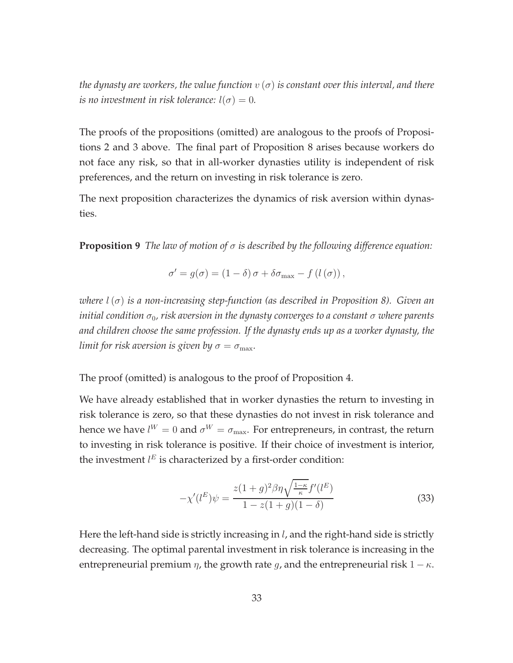*the dynasty are workers, the value function*  $v(\sigma)$  *is constant over this interval, and there is no investment in risk tolerance:*  $l(\sigma) = 0$ .

The proofs of the propositions (omitted) are analogous to the proofs of Propositions 2 and 3 above. The final part of Proposition 8 arises because workers do not face any risk, so that in all-worker dynasties utility is independent of risk preferences, and the return on investing in risk tolerance is zero.

The next proposition characterizes the dynamics of risk aversion within dynasties.

**Proposition 9** *The law of motion of* σ *is described by the following difference equation:*

$$
\sigma' = g(\sigma) = (1 - \delta) \sigma + \delta \sigma_{\text{max}} - f(l(\sigma)),
$$

*where* l (σ) *is a non-increasing step-function (as described in Proposition 8). Given an initial condition*  $\sigma_0$ , risk aversion in the dynasty converges to a constant  $\sigma$  where parents *and children choose the same profession. If the dynasty ends up as a worker dynasty, the limit for risk aversion is given by*  $\sigma = \sigma_{\text{max}}$ *.* 

The proof (omitted) is analogous to the proof of Proposition 4.

We have already established that in worker dynasties the return to investing in risk tolerance is zero, so that these dynasties do not invest in risk tolerance and hence we have  $l^W=0$  and  $\sigma^W=\sigma_{\max}.$  For entrepreneurs, in contrast, the return to investing in risk tolerance is positive. If their choice of investment is interior, the investment  $l^E$  is characterized by a first-order condition:

$$
-\chi'(l^{E})\psi = \frac{z(1+g)^{2}\beta\eta\sqrt{\frac{1-\kappa}{\kappa}}f'(l^{E})}{1-z(1+g)(1-\delta)}
$$
(33)

Here the left-hand side is strictly increasing in  $l$ , and the right-hand side is strictly decreasing. The optimal parental investment in risk tolerance is increasing in the entrepreneurial premium  $\eta$ , the growth rate g, and the entrepreneurial risk  $1 - \kappa$ .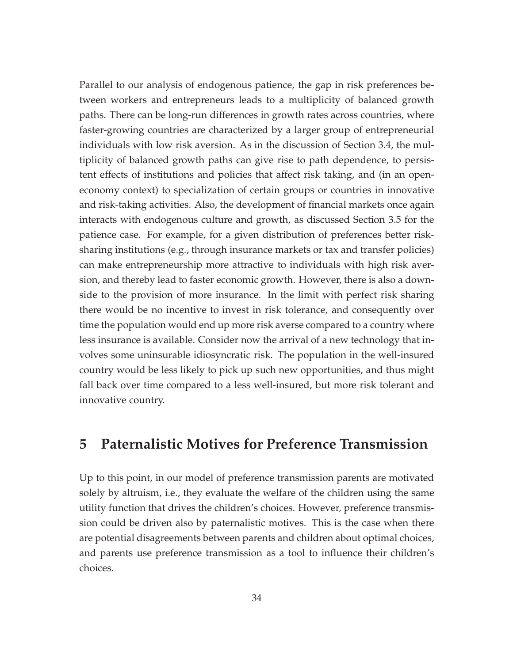Parallel to our analysis of endogenous patience, the gap in risk preferences between workers and entrepreneurs leads to a multiplicity of balanced growth paths. There can be long-run differences in growth rates across countries, where faster-growing countries are characterized by a larger group of entrepreneurial individuals with low risk aversion. As in the discussion of Section 3.4, the multiplicity of balanced growth paths can give rise to path dependence, to persistent effects of institutions and policies that affect risk taking, and (in an openeconomy context) to specialization of certain groups or countries in innovative and risk-taking activities. Also, the development of financial markets once again interacts with endogenous culture and growth, as discussed Section 3.5 for the patience case. For example, for a given distribution of preferences better risksharing institutions (e.g., through insurance markets or tax and transfer policies) can make entrepreneurship more attractive to individuals with high risk aversion, and thereby lead to faster economic growth. However, there is also a downside to the provision of more insurance. In the limit with perfect risk sharing there would be no incentive to invest in risk tolerance, and consequently over time the population would end up more risk averse compared to a country where less insurance is available. Consider now the arrival of a new technology that involves some uninsurable idiosyncratic risk. The population in the well-insured country would be less likely to pick up such new opportunities, and thus might fall back over time compared to a less well-insured, but more risk tolerant and innovative country.

## **5 Paternalistic Motives for Preference Transmission**

Up to this point, in our model of preference transmission parents are motivated solely by altruism, i.e., they evaluate the welfare of the children using the same utility function that drives the children's choices. However, preference transmission could be driven also by paternalistic motives. This is the case when there are potential disagreements between parents and children about optimal choices, and parents use preference transmission as a tool to influence their children's choices.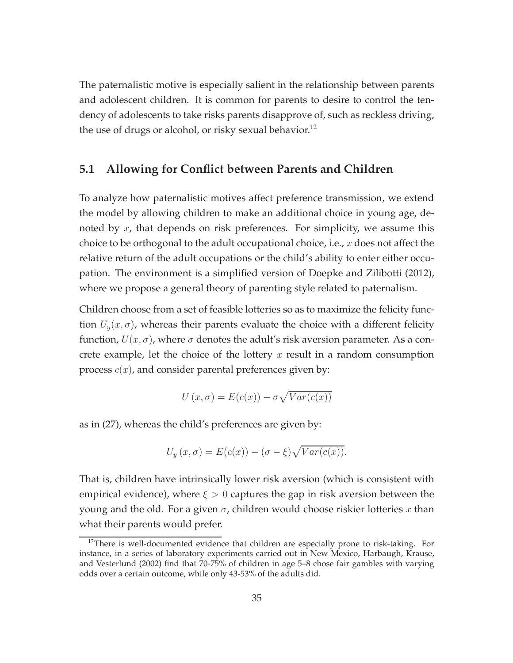The paternalistic motive is especially salient in the relationship between parents and adolescent children. It is common for parents to desire to control the tendency of adolescents to take risks parents disapprove of, such as reckless driving, the use of drugs or alcohol, or risky sexual behavior.<sup>12</sup>

#### **5.1 Allowing for Conflict between Parents and Children**

To analyze how paternalistic motives affect preference transmission, we extend the model by allowing children to make an additional choice in young age, denoted by  $x$ , that depends on risk preferences. For simplicity, we assume this choice to be orthogonal to the adult occupational choice, i.e.,  $x$  does not affect the relative return of the adult occupations or the child's ability to enter either occupation. The environment is a simplified version of Doepke and Zilibotti (2012), where we propose a general theory of parenting style related to paternalism.

Children choose from a set of feasible lotteries so as to maximize the felicity function  $U_{\nu}(x,\sigma)$ , whereas their parents evaluate the choice with a different felicity function,  $U(x, \sigma)$ , where  $\sigma$  denotes the adult's risk aversion parameter. As a concrete example, let the choice of the lottery  $x$  result in a random consumption process  $c(x)$ , and consider parental preferences given by:

$$
U(x, \sigma) = E(c(x)) - \sigma \sqrt{Var(c(x))}
$$

as in (27), whereas the child's preferences are given by:

$$
U_y(x, \sigma) = E(c(x)) - (\sigma - \xi)\sqrt{Var(c(x))}.
$$

That is, children have intrinsically lower risk aversion (which is consistent with empirical evidence), where  $\xi > 0$  captures the gap in risk aversion between the young and the old. For a given  $\sigma$ , children would choose riskier lotteries x than what their parents would prefer.

<sup>&</sup>lt;sup>12</sup>There is well-documented evidence that children are especially prone to risk-taking. For instance, in a series of laboratory experiments carried out in New Mexico, Harbaugh, Krause, and Vesterlund (2002) find that 70-75% of children in age 5–8 chose fair gambles with varying odds over a certain outcome, while only 43-53% of the adults did.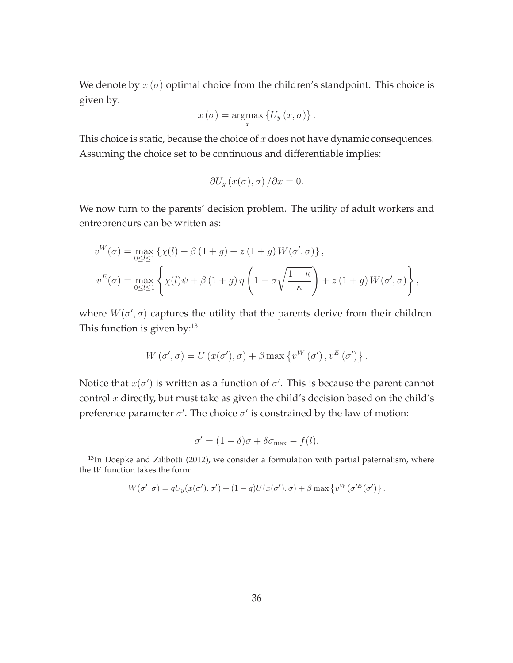We denote by  $x(\sigma)$  optimal choice from the children's standpoint. This choice is given by:

$$
x(\sigma) = \operatorname*{argmax}_{x} \left\{ U_y(x, \sigma) \right\}.
$$

This choice is static, because the choice of  $x$  does not have dynamic consequences. Assuming the choice set to be continuous and differentiable implies:

$$
\partial U_y(x(\sigma), \sigma)/\partial x = 0.
$$

We now turn to the parents' decision problem. The utility of adult workers and entrepreneurs can be written as:

$$
v^{W}(\sigma) = \max_{0 \le l \le 1} \left\{ \chi(l) + \beta (1 + g) + z (1 + g) W(\sigma', \sigma) \right\},
$$
  

$$
v^{E}(\sigma) = \max_{0 \le l \le 1} \left\{ \chi(l)\psi + \beta (1 + g) \eta \left( 1 - \sigma \sqrt{\frac{1 - \kappa}{\kappa}} \right) + z (1 + g) W(\sigma', \sigma) \right\},
$$

where  $W(\sigma', \sigma)$  captures the utility that the parents derive from their children. This function is given by: $13$ 

$$
W(\sigma', \sigma) = U(x(\sigma'), \sigma) + \beta \max \{v^W(\sigma'), v^E(\sigma')\}.
$$

Notice that  $x(\sigma')$  is written as a function of  $\sigma'$ . This is because the parent cannot control  $x$  directly, but must take as given the child's decision based on the child's preference parameter  $\sigma'$ . The choice  $\sigma'$  is constrained by the law of motion:

$$
\sigma' = (1 - \delta)\sigma + \delta\sigma_{\text{max}} - f(l).
$$

$$
W(\sigma', \sigma) = qU_y(x(\sigma'), \sigma') + (1-q)U(x(\sigma'), \sigma) + \beta \max \{v^{W}(\sigma'^{E}(\sigma')\}.
$$

 $13$ In Doepke and Zilibotti (2012), we consider a formulation with partial paternalism, where the  $W$  function takes the form: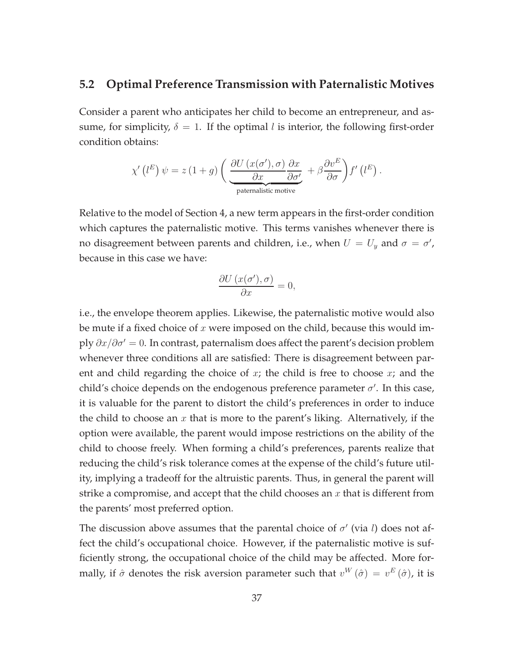#### **5.2 Optimal Preference Transmission with Paternalistic Motives**

Consider a parent who anticipates her child to become an entrepreneur, and assume, for simplicity,  $\delta = 1$ . If the optimal l is interior, the following first-order condition obtains:

$$
\chi'\left(l^{E}\right)\psi = z\left(1+g\right)\left(\underbrace{\frac{\partial U\left(x(\sigma'),\sigma\right)}{\partial x}\frac{\partial x}{\partial \sigma'}}_{\text{potentialistic motive}} + \beta \frac{\partial v^{E}}{\partial \sigma}\right)f'\left(l^{E}\right).
$$

Relative to the model of Section 4, a new term appears in the first-order condition which captures the paternalistic motive. This terms vanishes whenever there is no disagreement between parents and children, i.e., when  $U = U_y$  and  $\sigma = \sigma'$ , because in this case we have:

$$
\frac{\partial U\left(x(\sigma'),\sigma\right)}{\partial x}=0,
$$

i.e., the envelope theorem applies. Likewise, the paternalistic motive would also be mute if a fixed choice of x were imposed on the child, because this would imply  $\partial x/\partial \sigma' = 0$ . In contrast, paternalism does affect the parent's decision problem whenever three conditions all are satisfied: There is disagreement between parent and child regarding the choice of  $x$ ; the child is free to choose  $x$ ; and the child's choice depends on the endogenous preference parameter  $\sigma'$ . In this case, it is valuable for the parent to distort the child's preferences in order to induce the child to choose an  $x$  that is more to the parent's liking. Alternatively, if the option were available, the parent would impose restrictions on the ability of the child to choose freely. When forming a child's preferences, parents realize that reducing the child's risk tolerance comes at the expense of the child's future utility, implying a tradeoff for the altruistic parents. Thus, in general the parent will strike a compromise, and accept that the child chooses an  $x$  that is different from the parents' most preferred option.

The discussion above assumes that the parental choice of  $\sigma'$  (via l) does not affect the child's occupational choice. However, if the paternalistic motive is sufficiently strong, the occupational choice of the child may be affected. More formally, if  $\hat{\sigma}$  denotes the risk aversion parameter such that  $v^W\left(\hat{\sigma}\right) = v^E\left(\hat{\sigma}\right)$ , it is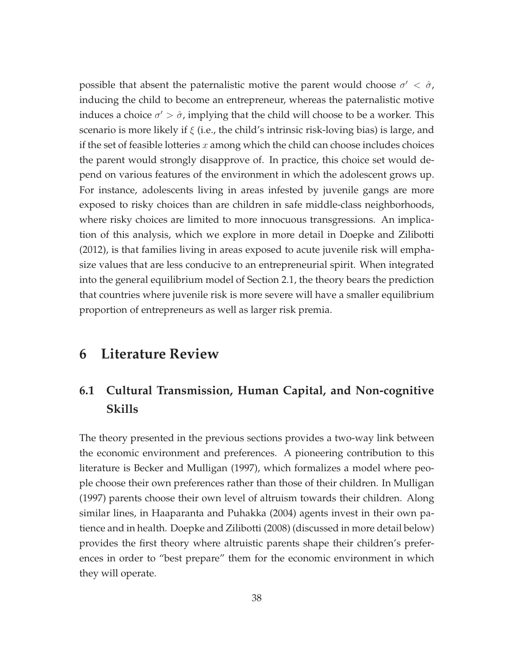possible that absent the paternalistic motive the parent would choose  $\sigma' < \hat{\sigma}$ , inducing the child to become an entrepreneur, whereas the paternalistic motive induces a choice  $\sigma' > \hat{\sigma}$ , implying that the child will choose to be a worker. This scenario is more likely if  $\xi$  (i.e., the child's intrinsic risk-loving bias) is large, and if the set of feasible lotteries  $x$  among which the child can choose includes choices the parent would strongly disapprove of. In practice, this choice set would depend on various features of the environment in which the adolescent grows up. For instance, adolescents living in areas infested by juvenile gangs are more exposed to risky choices than are children in safe middle-class neighborhoods, where risky choices are limited to more innocuous transgressions. An implication of this analysis, which we explore in more detail in Doepke and Zilibotti (2012), is that families living in areas exposed to acute juvenile risk will emphasize values that are less conducive to an entrepreneurial spirit. When integrated into the general equilibrium model of Section 2.1, the theory bears the prediction that countries where juvenile risk is more severe will have a smaller equilibrium proportion of entrepreneurs as well as larger risk premia.

### **6 Literature Review**

## **6.1 Cultural Transmission, Human Capital, and Non-cognitive Skills**

The theory presented in the previous sections provides a two-way link between the economic environment and preferences. A pioneering contribution to this literature is Becker and Mulligan (1997), which formalizes a model where people choose their own preferences rather than those of their children. In Mulligan (1997) parents choose their own level of altruism towards their children. Along similar lines, in Haaparanta and Puhakka (2004) agents invest in their own patience and in health. Doepke and Zilibotti (2008) (discussed in more detail below) provides the first theory where altruistic parents shape their children's preferences in order to "best prepare" them for the economic environment in which they will operate.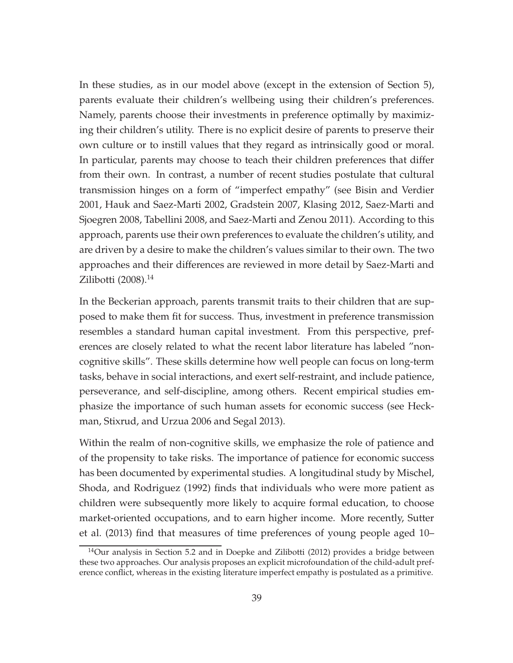In these studies, as in our model above (except in the extension of Section 5), parents evaluate their children's wellbeing using their children's preferences. Namely, parents choose their investments in preference optimally by maximizing their children's utility. There is no explicit desire of parents to preserve their own culture or to instill values that they regard as intrinsically good or moral. In particular, parents may choose to teach their children preferences that differ from their own. In contrast, a number of recent studies postulate that cultural transmission hinges on a form of "imperfect empathy" (see Bisin and Verdier 2001, Hauk and Saez-Marti 2002, Gradstein 2007, Klasing 2012, Saez-Marti and Sjoegren 2008, Tabellini 2008, and Saez-Marti and Zenou 2011). According to this approach, parents use their own preferences to evaluate the children's utility, and are driven by a desire to make the children's values similar to their own. The two approaches and their differences are reviewed in more detail by Saez-Marti and Zilibotti (2008).<sup>14</sup>

In the Beckerian approach, parents transmit traits to their children that are supposed to make them fit for success. Thus, investment in preference transmission resembles a standard human capital investment. From this perspective, preferences are closely related to what the recent labor literature has labeled "noncognitive skills". These skills determine how well people can focus on long-term tasks, behave in social interactions, and exert self-restraint, and include patience, perseverance, and self-discipline, among others. Recent empirical studies emphasize the importance of such human assets for economic success (see Heckman, Stixrud, and Urzua 2006 and Segal 2013).

Within the realm of non-cognitive skills, we emphasize the role of patience and of the propensity to take risks. The importance of patience for economic success has been documented by experimental studies. A longitudinal study by Mischel, Shoda, and Rodriguez (1992) finds that individuals who were more patient as children were subsequently more likely to acquire formal education, to choose market-oriented occupations, and to earn higher income. More recently, Sutter et al. (2013) find that measures of time preferences of young people aged 10–

<sup>&</sup>lt;sup>14</sup>Our analysis in Section 5.2 and in Doepke and Zilibotti (2012) provides a bridge between these two approaches. Our analysis proposes an explicit microfoundation of the child-adult preference conflict, whereas in the existing literature imperfect empathy is postulated as a primitive.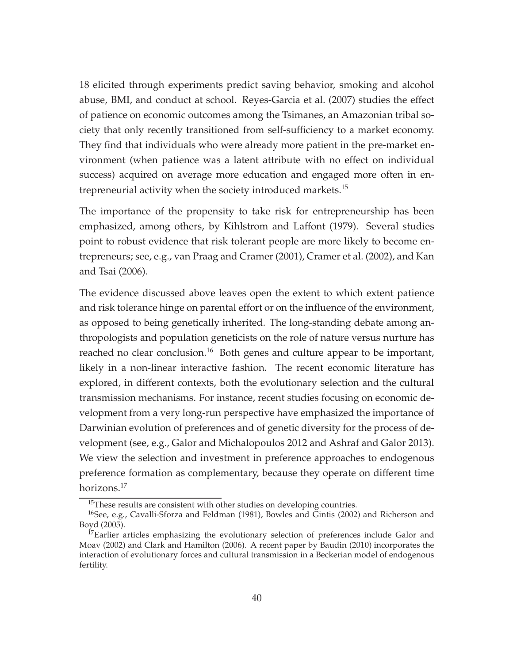18 elicited through experiments predict saving behavior, smoking and alcohol abuse, BMI, and conduct at school. Reyes-Garcia et al. (2007) studies the effect of patience on economic outcomes among the Tsimanes, an Amazonian tribal society that only recently transitioned from self-sufficiency to a market economy. They find that individuals who were already more patient in the pre-market environment (when patience was a latent attribute with no effect on individual success) acquired on average more education and engaged more often in entrepreneurial activity when the society introduced markets.<sup>15</sup>

The importance of the propensity to take risk for entrepreneurship has been emphasized, among others, by Kihlstrom and Laffont (1979). Several studies point to robust evidence that risk tolerant people are more likely to become entrepreneurs; see, e.g., van Praag and Cramer (2001), Cramer et al. (2002), and Kan and Tsai (2006).

The evidence discussed above leaves open the extent to which extent patience and risk tolerance hinge on parental effort or on the influence of the environment, as opposed to being genetically inherited. The long-standing debate among anthropologists and population geneticists on the role of nature versus nurture has reached no clear conclusion.<sup>16</sup> Both genes and culture appear to be important, likely in a non-linear interactive fashion. The recent economic literature has explored, in different contexts, both the evolutionary selection and the cultural transmission mechanisms. For instance, recent studies focusing on economic development from a very long-run perspective have emphasized the importance of Darwinian evolution of preferences and of genetic diversity for the process of development (see, e.g., Galor and Michalopoulos 2012 and Ashraf and Galor 2013). We view the selection and investment in preference approaches to endogenous preference formation as complementary, because they operate on different time horizons.<sup>17</sup>

<sup>&</sup>lt;sup>15</sup>These results are consistent with other studies on developing countries.

<sup>&</sup>lt;sup>16</sup>See, e.g., Cavalli-Sforza and Feldman (1981), Bowles and Gintis (2002) and Richerson and Boyd (2005).

 $17$ Earlier articles emphasizing the evolutionary selection of preferences include Galor and Moav (2002) and Clark and Hamilton (2006). A recent paper by Baudin (2010) incorporates the interaction of evolutionary forces and cultural transmission in a Beckerian model of endogenous fertility.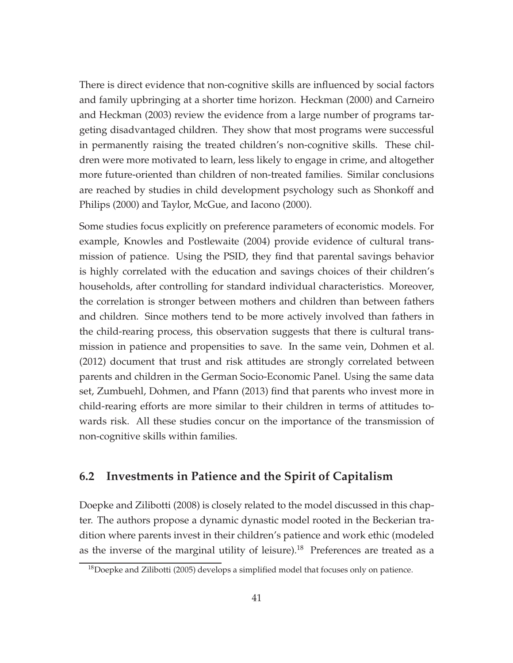There is direct evidence that non-cognitive skills are influenced by social factors and family upbringing at a shorter time horizon. Heckman (2000) and Carneiro and Heckman (2003) review the evidence from a large number of programs targeting disadvantaged children. They show that most programs were successful in permanently raising the treated children's non-cognitive skills. These children were more motivated to learn, less likely to engage in crime, and altogether more future-oriented than children of non-treated families. Similar conclusions are reached by studies in child development psychology such as Shonkoff and Philips (2000) and Taylor, McGue, and Iacono (2000).

Some studies focus explicitly on preference parameters of economic models. For example, Knowles and Postlewaite (2004) provide evidence of cultural transmission of patience. Using the PSID, they find that parental savings behavior is highly correlated with the education and savings choices of their children's households, after controlling for standard individual characteristics. Moreover, the correlation is stronger between mothers and children than between fathers and children. Since mothers tend to be more actively involved than fathers in the child-rearing process, this observation suggests that there is cultural transmission in patience and propensities to save. In the same vein, Dohmen et al. (2012) document that trust and risk attitudes are strongly correlated between parents and children in the German Socio-Economic Panel. Using the same data set, Zumbuehl, Dohmen, and Pfann (2013) find that parents who invest more in child-rearing efforts are more similar to their children in terms of attitudes towards risk. All these studies concur on the importance of the transmission of non-cognitive skills within families.

#### **6.2 Investments in Patience and the Spirit of Capitalism**

Doepke and Zilibotti (2008) is closely related to the model discussed in this chapter. The authors propose a dynamic dynastic model rooted in the Beckerian tradition where parents invest in their children's patience and work ethic (modeled as the inverse of the marginal utility of leisure).<sup>18</sup> Preferences are treated as a

 $18$ Doepke and Zilibotti (2005) develops a simplified model that focuses only on patience.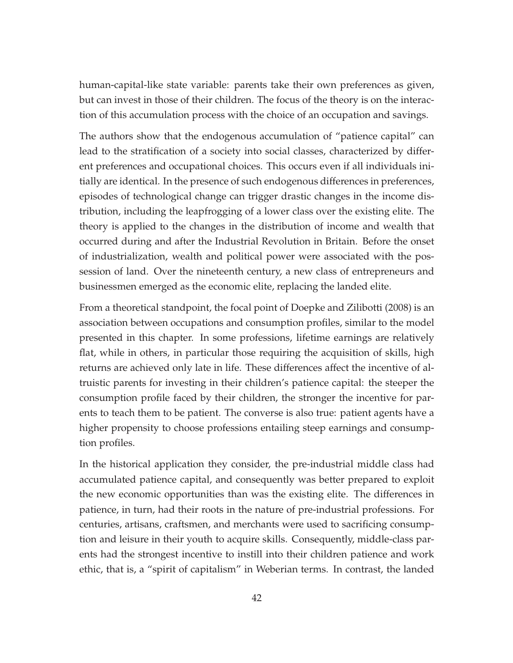human-capital-like state variable: parents take their own preferences as given, but can invest in those of their children. The focus of the theory is on the interaction of this accumulation process with the choice of an occupation and savings.

The authors show that the endogenous accumulation of "patience capital" can lead to the stratification of a society into social classes, characterized by different preferences and occupational choices. This occurs even if all individuals initially are identical. In the presence of such endogenous differences in preferences, episodes of technological change can trigger drastic changes in the income distribution, including the leapfrogging of a lower class over the existing elite. The theory is applied to the changes in the distribution of income and wealth that occurred during and after the Industrial Revolution in Britain. Before the onset of industrialization, wealth and political power were associated with the possession of land. Over the nineteenth century, a new class of entrepreneurs and businessmen emerged as the economic elite, replacing the landed elite.

From a theoretical standpoint, the focal point of Doepke and Zilibotti (2008) is an association between occupations and consumption profiles, similar to the model presented in this chapter. In some professions, lifetime earnings are relatively flat, while in others, in particular those requiring the acquisition of skills, high returns are achieved only late in life. These differences affect the incentive of altruistic parents for investing in their children's patience capital: the steeper the consumption profile faced by their children, the stronger the incentive for parents to teach them to be patient. The converse is also true: patient agents have a higher propensity to choose professions entailing steep earnings and consumption profiles.

In the historical application they consider, the pre-industrial middle class had accumulated patience capital, and consequently was better prepared to exploit the new economic opportunities than was the existing elite. The differences in patience, in turn, had their roots in the nature of pre-industrial professions. For centuries, artisans, craftsmen, and merchants were used to sacrificing consumption and leisure in their youth to acquire skills. Consequently, middle-class parents had the strongest incentive to instill into their children patience and work ethic, that is, a "spirit of capitalism" in Weberian terms. In contrast, the landed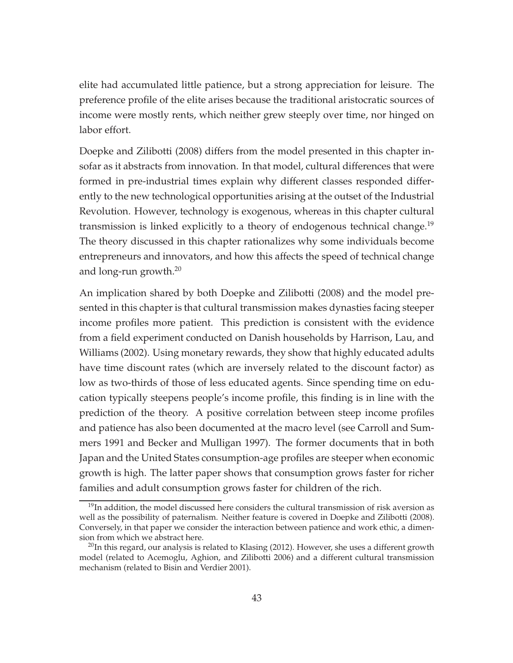elite had accumulated little patience, but a strong appreciation for leisure. The preference profile of the elite arises because the traditional aristocratic sources of income were mostly rents, which neither grew steeply over time, nor hinged on labor effort.

Doepke and Zilibotti (2008) differs from the model presented in this chapter insofar as it abstracts from innovation. In that model, cultural differences that were formed in pre-industrial times explain why different classes responded differently to the new technological opportunities arising at the outset of the Industrial Revolution. However, technology is exogenous, whereas in this chapter cultural transmission is linked explicitly to a theory of endogenous technical change.<sup>19</sup> The theory discussed in this chapter rationalizes why some individuals become entrepreneurs and innovators, and how this affects the speed of technical change and long-run growth. $20$ 

An implication shared by both Doepke and Zilibotti (2008) and the model presented in this chapter is that cultural transmission makes dynasties facing steeper income profiles more patient. This prediction is consistent with the evidence from a field experiment conducted on Danish households by Harrison, Lau, and Williams (2002). Using monetary rewards, they show that highly educated adults have time discount rates (which are inversely related to the discount factor) as low as two-thirds of those of less educated agents. Since spending time on education typically steepens people's income profile, this finding is in line with the prediction of the theory. A positive correlation between steep income profiles and patience has also been documented at the macro level (see Carroll and Summers 1991 and Becker and Mulligan 1997). The former documents that in both Japan and the United States consumption-age profiles are steeper when economic growth is high. The latter paper shows that consumption grows faster for richer families and adult consumption grows faster for children of the rich.

 $19$ In addition, the model discussed here considers the cultural transmission of risk aversion as well as the possibility of paternalism. Neither feature is covered in Doepke and Zilibotti (2008). Conversely, in that paper we consider the interaction between patience and work ethic, a dimension from which we abstract here.

 $^{20}$ In this regard, our analysis is related to Klasing (2012). However, she uses a different growth model (related to Acemoglu, Aghion, and Zilibotti 2006) and a different cultural transmission mechanism (related to Bisin and Verdier 2001).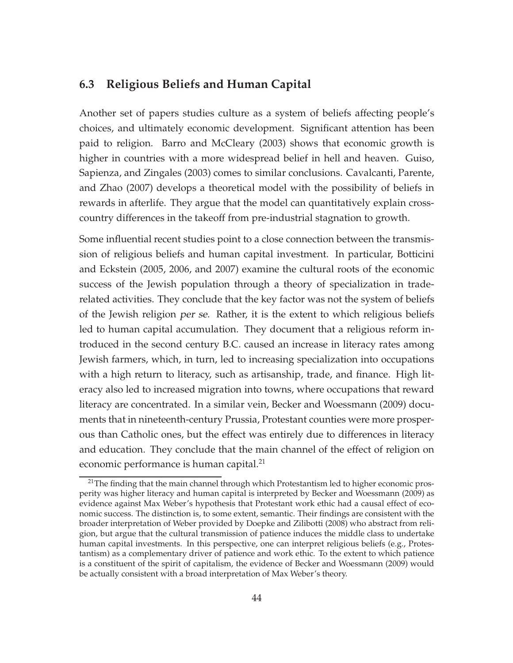#### **6.3 Religious Beliefs and Human Capital**

Another set of papers studies culture as a system of beliefs affecting people's choices, and ultimately economic development. Significant attention has been paid to religion. Barro and McCleary (2003) shows that economic growth is higher in countries with a more widespread belief in hell and heaven. Guiso, Sapienza, and Zingales (2003) comes to similar conclusions. Cavalcanti, Parente, and Zhao (2007) develops a theoretical model with the possibility of beliefs in rewards in afterlife. They argue that the model can quantitatively explain crosscountry differences in the takeoff from pre-industrial stagnation to growth.

Some influential recent studies point to a close connection between the transmission of religious beliefs and human capital investment. In particular, Botticini and Eckstein (2005, 2006, and 2007) examine the cultural roots of the economic success of the Jewish population through a theory of specialization in traderelated activities. They conclude that the key factor was not the system of beliefs of the Jewish religion per se. Rather, it is the extent to which religious beliefs led to human capital accumulation. They document that a religious reform introduced in the second century B.C. caused an increase in literacy rates among Jewish farmers, which, in turn, led to increasing specialization into occupations with a high return to literacy, such as artisanship, trade, and finance. High literacy also led to increased migration into towns, where occupations that reward literacy are concentrated. In a similar vein, Becker and Woessmann (2009) documents that in nineteenth-century Prussia, Protestant counties were more prosperous than Catholic ones, but the effect was entirely due to differences in literacy and education. They conclude that the main channel of the effect of religion on economic performance is human capital.<sup>21</sup>

 $21$ The finding that the main channel through which Protestantism led to higher economic prosperity was higher literacy and human capital is interpreted by Becker and Woessmann (2009) as evidence against Max Weber's hypothesis that Protestant work ethic had a causal effect of economic success. The distinction is, to some extent, semantic. Their findings are consistent with the broader interpretation of Weber provided by Doepke and Zilibotti (2008) who abstract from religion, but argue that the cultural transmission of patience induces the middle class to undertake human capital investments. In this perspective, one can interpret religious beliefs (e.g., Protestantism) as a complementary driver of patience and work ethic. To the extent to which patience is a constituent of the spirit of capitalism, the evidence of Becker and Woessmann (2009) would be actually consistent with a broad interpretation of Max Weber's theory.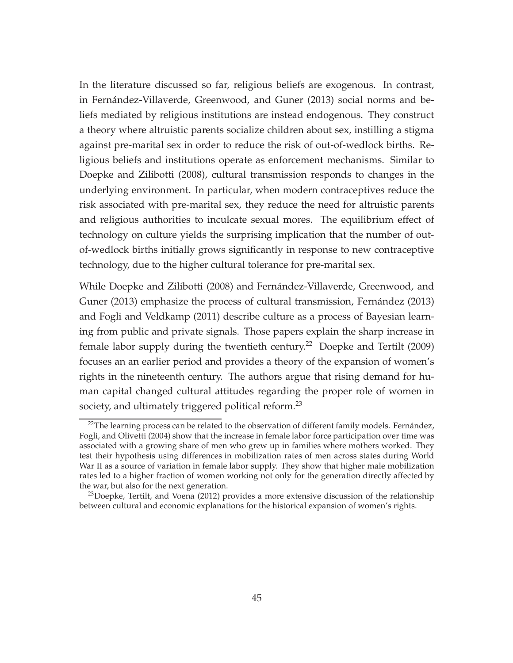In the literature discussed so far, religious beliefs are exogenous. In contrast, in Fernández-Villaverde, Greenwood, and Guner (2013) social norms and beliefs mediated by religious institutions are instead endogenous. They construct a theory where altruistic parents socialize children about sex, instilling a stigma against pre-marital sex in order to reduce the risk of out-of-wedlock births. Religious beliefs and institutions operate as enforcement mechanisms. Similar to Doepke and Zilibotti (2008), cultural transmission responds to changes in the underlying environment. In particular, when modern contraceptives reduce the risk associated with pre-marital sex, they reduce the need for altruistic parents and religious authorities to inculcate sexual mores. The equilibrium effect of technology on culture yields the surprising implication that the number of outof-wedlock births initially grows significantly in response to new contraceptive technology, due to the higher cultural tolerance for pre-marital sex.

While Doepke and Zilibotti (2008) and Fernández-Villaverde, Greenwood, and Guner (2013) emphasize the process of cultural transmission, Fernández (2013) and Fogli and Veldkamp (2011) describe culture as a process of Bayesian learning from public and private signals. Those papers explain the sharp increase in female labor supply during the twentieth century.<sup>22</sup> Doepke and Tertilt  $(2009)$ focuses an an earlier period and provides a theory of the expansion of women's rights in the nineteenth century. The authors argue that rising demand for human capital changed cultural attitudes regarding the proper role of women in society, and ultimately triggered political reform.<sup>23</sup>

<sup>&</sup>lt;sup>22</sup>The learning process can be related to the observation of different family models. Fernández, Fogli, and Olivetti (2004) show that the increase in female labor force participation over time was associated with a growing share of men who grew up in families where mothers worked. They test their hypothesis using differences in mobilization rates of men across states during World War II as a source of variation in female labor supply. They show that higher male mobilization rates led to a higher fraction of women working not only for the generation directly affected by the war, but also for the next generation.

 $23$ Doepke, Tertilt, and Voena (2012) provides a more extensive discussion of the relationship between cultural and economic explanations for the historical expansion of women's rights.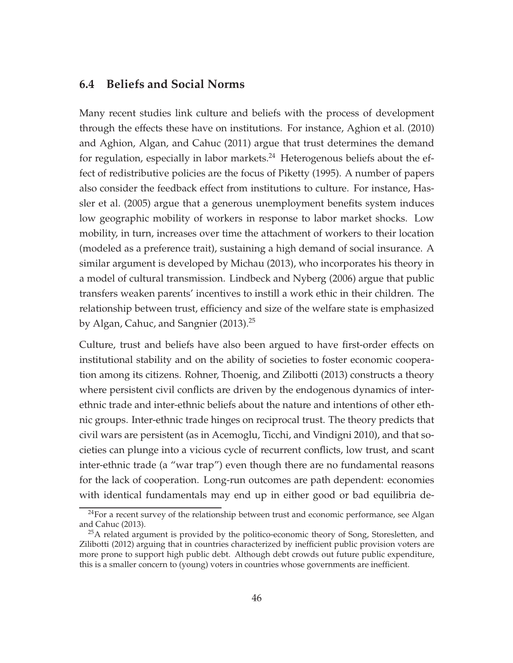#### **6.4 Beliefs and Social Norms**

Many recent studies link culture and beliefs with the process of development through the effects these have on institutions. For instance, Aghion et al. (2010) and Aghion, Algan, and Cahuc (2011) argue that trust determines the demand for regulation, especially in labor markets.<sup>24</sup> Heterogenous beliefs about the effect of redistributive policies are the focus of Piketty (1995). A number of papers also consider the feedback effect from institutions to culture. For instance, Hassler et al. (2005) argue that a generous unemployment benefits system induces low geographic mobility of workers in response to labor market shocks. Low mobility, in turn, increases over time the attachment of workers to their location (modeled as a preference trait), sustaining a high demand of social insurance. A similar argument is developed by Michau (2013), who incorporates his theory in a model of cultural transmission. Lindbeck and Nyberg (2006) argue that public transfers weaken parents' incentives to instill a work ethic in their children. The relationship between trust, efficiency and size of the welfare state is emphasized by Algan, Cahuc, and Sangnier  $(2013).^{25}$ 

Culture, trust and beliefs have also been argued to have first-order effects on institutional stability and on the ability of societies to foster economic cooperation among its citizens. Rohner, Thoenig, and Zilibotti (2013) constructs a theory where persistent civil conflicts are driven by the endogenous dynamics of interethnic trade and inter-ethnic beliefs about the nature and intentions of other ethnic groups. Inter-ethnic trade hinges on reciprocal trust. The theory predicts that civil wars are persistent (as in Acemoglu, Ticchi, and Vindigni 2010), and that societies can plunge into a vicious cycle of recurrent conflicts, low trust, and scant inter-ethnic trade (a "war trap") even though there are no fundamental reasons for the lack of cooperation. Long-run outcomes are path dependent: economies with identical fundamentals may end up in either good or bad equilibria de-

 $24$ For a recent survey of the relationship between trust and economic performance, see Algan and Cahuc (2013).

<sup>&</sup>lt;sup>25</sup>A related argument is provided by the politico-economic theory of Song, Storesletten, and Zilibotti (2012) arguing that in countries characterized by inefficient public provision voters are more prone to support high public debt. Although debt crowds out future public expenditure, this is a smaller concern to (young) voters in countries whose governments are inefficient.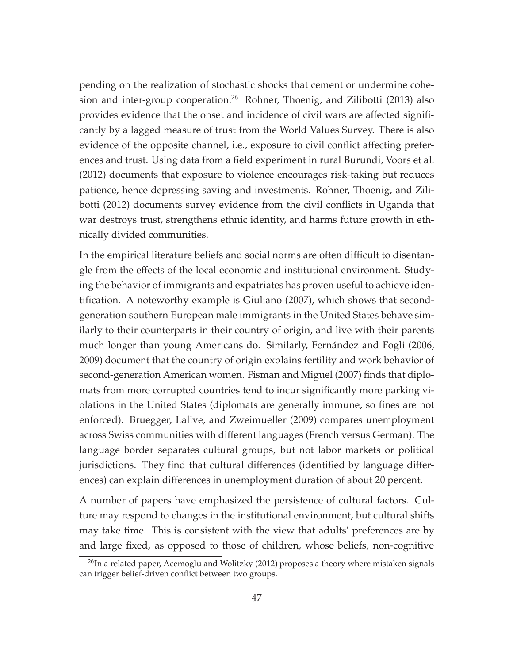pending on the realization of stochastic shocks that cement or undermine cohesion and inter-group cooperation.<sup>26</sup> Rohner, Thoenig, and Zilibotti (2013) also provides evidence that the onset and incidence of civil wars are affected significantly by a lagged measure of trust from the World Values Survey. There is also evidence of the opposite channel, i.e., exposure to civil conflict affecting preferences and trust. Using data from a field experiment in rural Burundi, Voors et al. (2012) documents that exposure to violence encourages risk-taking but reduces patience, hence depressing saving and investments. Rohner, Thoenig, and Zilibotti (2012) documents survey evidence from the civil conflicts in Uganda that war destroys trust, strengthens ethnic identity, and harms future growth in ethnically divided communities.

In the empirical literature beliefs and social norms are often difficult to disentangle from the effects of the local economic and institutional environment. Studying the behavior of immigrants and expatriates has proven useful to achieve identification. A noteworthy example is Giuliano (2007), which shows that secondgeneration southern European male immigrants in the United States behave similarly to their counterparts in their country of origin, and live with their parents much longer than young Americans do. Similarly, Fernández and Fogli (2006, 2009) document that the country of origin explains fertility and work behavior of second-generation American women. Fisman and Miguel (2007) finds that diplomats from more corrupted countries tend to incur significantly more parking violations in the United States (diplomats are generally immune, so fines are not enforced). Bruegger, Lalive, and Zweimueller (2009) compares unemployment across Swiss communities with different languages (French versus German). The language border separates cultural groups, but not labor markets or political jurisdictions. They find that cultural differences (identified by language differences) can explain differences in unemployment duration of about 20 percent.

A number of papers have emphasized the persistence of cultural factors. Culture may respond to changes in the institutional environment, but cultural shifts may take time. This is consistent with the view that adults' preferences are by and large fixed, as opposed to those of children, whose beliefs, non-cognitive

 $^{26}$ In a related paper, Acemoglu and Wolitzky (2012) proposes a theory where mistaken signals can trigger belief-driven conflict between two groups.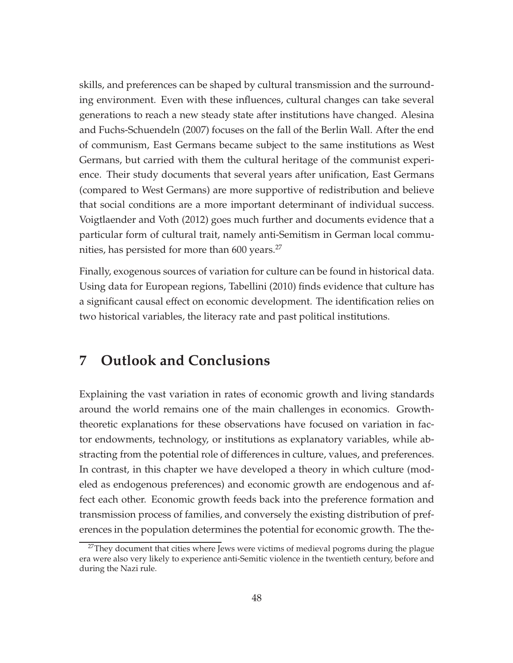skills, and preferences can be shaped by cultural transmission and the surrounding environment. Even with these influences, cultural changes can take several generations to reach a new steady state after institutions have changed. Alesina and Fuchs-Schuendeln (2007) focuses on the fall of the Berlin Wall. After the end of communism, East Germans became subject to the same institutions as West Germans, but carried with them the cultural heritage of the communist experience. Their study documents that several years after unification, East Germans (compared to West Germans) are more supportive of redistribution and believe that social conditions are a more important determinant of individual success. Voigtlaender and Voth (2012) goes much further and documents evidence that a particular form of cultural trait, namely anti-Semitism in German local communities, has persisted for more than 600 years.<sup>27</sup>

Finally, exogenous sources of variation for culture can be found in historical data. Using data for European regions, Tabellini (2010) finds evidence that culture has a significant causal effect on economic development. The identification relies on two historical variables, the literacy rate and past political institutions.

## **7 Outlook and Conclusions**

Explaining the vast variation in rates of economic growth and living standards around the world remains one of the main challenges in economics. Growththeoretic explanations for these observations have focused on variation in factor endowments, technology, or institutions as explanatory variables, while abstracting from the potential role of differences in culture, values, and preferences. In contrast, in this chapter we have developed a theory in which culture (modeled as endogenous preferences) and economic growth are endogenous and affect each other. Economic growth feeds back into the preference formation and transmission process of families, and conversely the existing distribution of preferences in the population determines the potential for economic growth. The the-

 $27$ They document that cities where Jews were victims of medieval pogroms during the plague era were also very likely to experience anti-Semitic violence in the twentieth century, before and during the Nazi rule.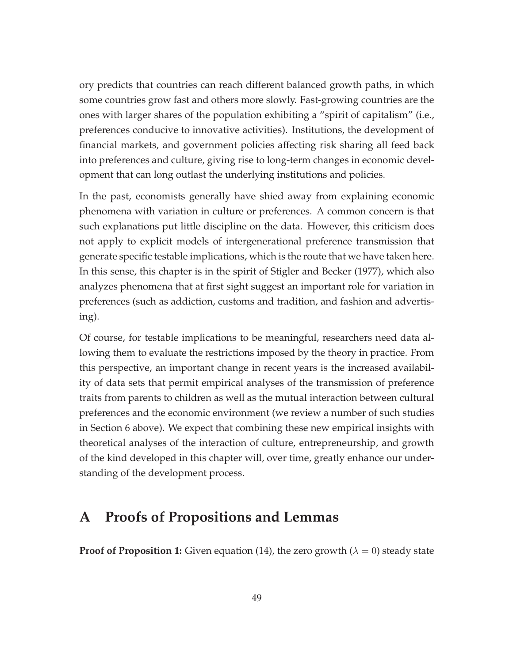ory predicts that countries can reach different balanced growth paths, in which some countries grow fast and others more slowly. Fast-growing countries are the ones with larger shares of the population exhibiting a "spirit of capitalism" (i.e., preferences conducive to innovative activities). Institutions, the development of financial markets, and government policies affecting risk sharing all feed back into preferences and culture, giving rise to long-term changes in economic development that can long outlast the underlying institutions and policies.

In the past, economists generally have shied away from explaining economic phenomena with variation in culture or preferences. A common concern is that such explanations put little discipline on the data. However, this criticism does not apply to explicit models of intergenerational preference transmission that generate specific testable implications, which is the route that we have taken here. In this sense, this chapter is in the spirit of Stigler and Becker (1977), which also analyzes phenomena that at first sight suggest an important role for variation in preferences (such as addiction, customs and tradition, and fashion and advertising).

Of course, for testable implications to be meaningful, researchers need data allowing them to evaluate the restrictions imposed by the theory in practice. From this perspective, an important change in recent years is the increased availability of data sets that permit empirical analyses of the transmission of preference traits from parents to children as well as the mutual interaction between cultural preferences and the economic environment (we review a number of such studies in Section 6 above). We expect that combining these new empirical insights with theoretical analyses of the interaction of culture, entrepreneurship, and growth of the kind developed in this chapter will, over time, greatly enhance our understanding of the development process.

### **A Proofs of Propositions and Lemmas**

**Proof of Proposition 1:** Given equation (14), the zero growth ( $\lambda = 0$ ) steady state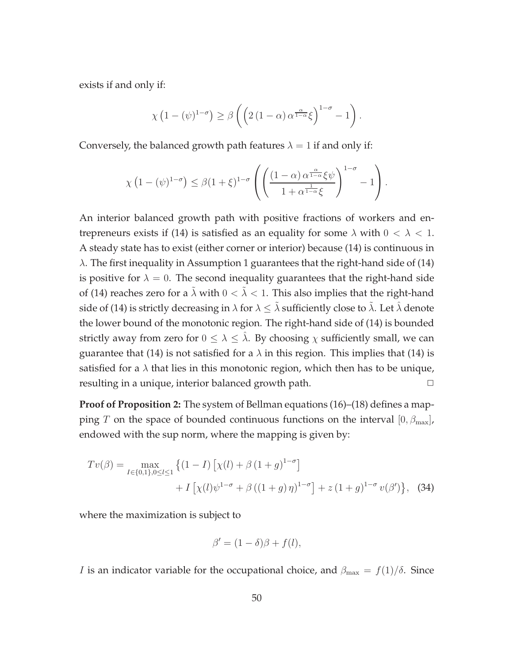exists if and only if:

$$
\chi\left(1-(\psi)^{1-\sigma}\right) \geq \beta\left(\left(2\left(1-\alpha\right)\alpha^{\frac{\alpha}{1-\alpha}}\xi\right)^{1-\sigma}-1\right).
$$

Conversely, the balanced growth path features  $\lambda = 1$  if and only if:

$$
\chi\left(1-(\psi)^{1-\sigma}\right) \leq \beta(1+\xi)^{1-\sigma}\left(\left(\frac{(1-\alpha)\alpha^{\frac{\alpha}{1-\alpha}}\xi\psi}{1+\alpha^{\frac{1}{1-\alpha}}\xi}\right)^{1-\sigma}-1\right).
$$

An interior balanced growth path with positive fractions of workers and entrepreneurs exists if (14) is satisfied as an equality for some  $\lambda$  with  $0 < \lambda < 1$ . A steady state has to exist (either corner or interior) because (14) is continuous in  $\lambda$ . The first inequality in Assumption 1 guarantees that the right-hand side of (14) is positive for  $\lambda = 0$ . The second inequality guarantees that the right-hand side of (14) reaches zero for a  $\lambda$  with  $0 < \lambda < 1$ . This also implies that the right-hand side of (14) is strictly decreasing in  $\lambda$  for  $\lambda \leq \tilde{\lambda}$  sufficiently close to  $\tilde{\lambda}$ . Let  $\tilde{\lambda}$  denote the lower bound of the monotonic region. The right-hand side of (14) is bounded strictly away from zero for  $0 \leq \lambda \leq \lambda$ . By choosing  $\chi$  sufficiently small, we can guarantee that (14) is not satisfied for a  $\lambda$  in this region. This implies that (14) is satisfied for a  $\lambda$  that lies in this monotonic region, which then has to be unique, resulting in a unique, interior balanced growth path.  $\Box$ 

**Proof of Proposition 2:** The system of Bellman equations (16)–(18) defines a mapping T on the space of bounded continuous functions on the interval  $[0, \beta_{\text{max}}]$ , endowed with the sup norm, where the mapping is given by:

$$
Tv(\beta) = \max_{I \in \{0,1\}, 0 \le l \le 1} \left\{ (1-I) \left[ \chi(l) + \beta (1+g)^{1-\sigma} \right] + I \left[ \chi(l)\psi^{1-\sigma} + \beta ((1+g)\eta)^{1-\sigma} \right] + z (1+g)^{1-\sigma} v(\beta') \right\}, \quad (34)
$$

where the maximization is subject to

$$
\beta' = (1 - \delta)\beta + f(l),
$$

*I* is an indicator variable for the occupational choice, and  $\beta_{\text{max}} = f(1)/\delta$ . Since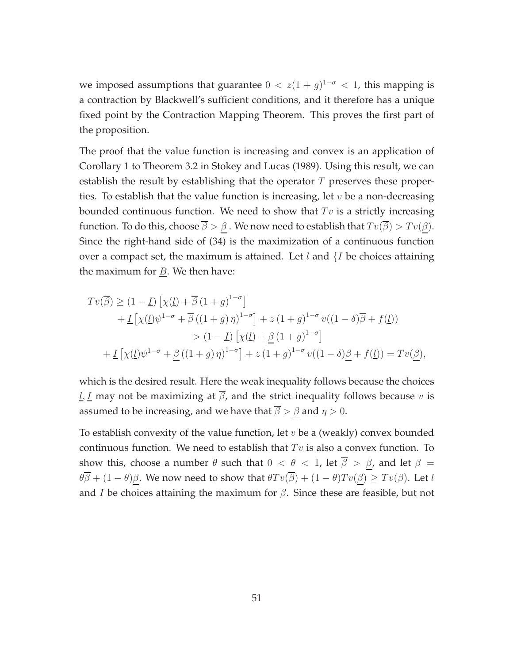we imposed assumptions that guarantee  $0 < z(1 + g)^{1-\sigma} < 1$ , this mapping is a contraction by Blackwell's sufficient conditions, and it therefore has a unique fixed point by the Contraction Mapping Theorem. This proves the first part of the proposition.

The proof that the value function is increasing and convex is an application of Corollary 1 to Theorem 3.2 in Stokey and Lucas (1989). Using this result, we can establish the result by establishing that the operator  $T$  preserves these properties. To establish that the value function is increasing, let  $v$  be a non-decreasing bounded continuous function. We need to show that  $Tv$  is a strictly increasing function. To do this, choose  $\overline{\beta} > \beta$ . We now need to establish that  $Tv(\overline{\beta}) > Tv(\beta)$ . Since the right-hand side of (34) is the maximization of a continuous function over a compact set, the maximum is attained. Let  $\underline{l}$  and  $\underline{l}$  be choices attaining the maximum for  $\underline{B}$ . We then have:

$$
Tv(\overline{\beta}) \ge (1 - \underline{I}) \left[ \chi(\underline{l}) + \overline{\beta} (1 + g)^{1-\sigma} \right] + \underline{I} \left[ \chi(\underline{l}) \psi^{1-\sigma} + \overline{\beta} ((1 + g) \eta)^{1-\sigma} \right] + z (1 + g)^{1-\sigma} v ((1 - \delta) \overline{\beta} + f(\underline{l})) > (1 - \underline{I}) \left[ \chi(\underline{l}) + \underline{\beta} (1 + g)^{1-\sigma} \right] + \underline{I} \left[ \chi(\underline{l}) \psi^{1-\sigma} + \underline{\beta} ((1 + g) \eta)^{1-\sigma} \right] + z (1 + g)^{1-\sigma} v ((1 - \delta) \underline{\beta} + f(\underline{l})) = Tv(\underline{\beta}),
$$

which is the desired result. Here the weak inequality follows because the choices <u>l, I</u> may not be maximizing at  $\overline{\beta}$ , and the strict inequality follows because v is assumed to be increasing, and we have that  $\overline{\beta} > \beta$  and  $\eta > 0$ .

To establish convexity of the value function, let  $v$  be a (weakly) convex bounded continuous function. We need to establish that  $Tv$  is also a convex function. To show this, choose a number  $\theta$  such that  $0 < \theta < 1$ , let  $\overline{\beta} > \beta$ , and let  $\beta =$  $\theta \overline{\beta} + (1 - \theta) \underline{\beta}$ . We now need to show that  $\theta T v(\overline{\beta}) + (1 - \theta) T v(\beta) \geq T v(\beta)$ . Let l and I be choices attaining the maximum for  $\beta$ . Since these are feasible, but not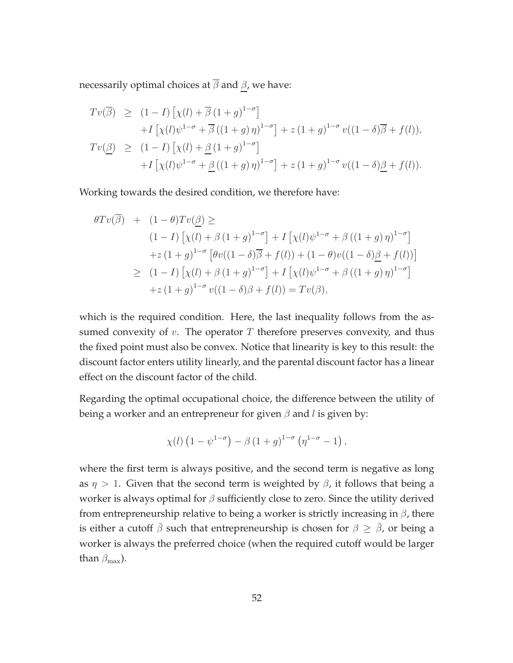necessarily optimal choices at  $\overline{\beta}$  and  $\beta$ , we have:

$$
Tv(\overline{\beta}) \ge (1-I) \left[ \chi(l) + \overline{\beta} (1+g)^{1-\sigma} \right] + I \left[ \chi(l)\psi^{1-\sigma} + \overline{\beta} ((1+g)\eta)^{1-\sigma} \right] + z (1+g)^{1-\sigma} v((1-\delta)\overline{\beta} + f(l)),
$$
  

$$
Tv(\underline{\beta}) \ge (1-I) \left[ \chi(l) + \underline{\beta} (1+g)^{1-\sigma} \right] + I \left[ \chi(l)\psi^{1-\sigma} + \underline{\beta} ((1+g)\eta)^{1-\sigma} \right] + z (1+g)^{1-\sigma} v((1-\delta)\underline{\beta} + f(l)).
$$

Working towards the desired condition, we therefore have:

$$
\theta Tv(\overline{\beta}) + (1 - \theta) Tv(\underline{\beta}) \ge
$$
\n
$$
(1 - I) \left[ \chi(l) + \beta (1 + g)^{1 - \sigma} \right] + I \left[ \chi(l) \psi^{1 - \sigma} + \beta ((1 + g) \eta)^{1 - \sigma} \right]
$$
\n
$$
+ z (1 + g)^{1 - \sigma} \left[ \theta v((1 - \delta)\overline{\beta} + f(l)) + (1 - \theta)v((1 - \delta)\underline{\beta} + f(l)) \right]
$$
\n
$$
\geq (1 - I) \left[ \chi(l) + \beta (1 + g)^{1 - \sigma} \right] + I \left[ \chi(l) \psi^{1 - \sigma} + \beta ((1 + g) \eta)^{1 - \sigma} \right]
$$
\n
$$
+ z (1 + g)^{1 - \sigma} v((1 - \delta)\beta + f(l)) = Tv(\beta),
$$

which is the required condition. Here, the last inequality follows from the assumed convexity of  $v$ . The operator  $T$  therefore preserves convexity, and thus the fixed point must also be convex. Notice that linearity is key to this result: the discount factor enters utility linearly, and the parental discount factor has a linear effect on the discount factor of the child.

Regarding the optimal occupational choice, the difference between the utility of being a worker and an entrepreneur for given  $\beta$  and l is given by:

$$
\chi(l)\left(1-\psi^{1-\sigma}\right)-\beta\left(1+g\right)^{1-\sigma}\left(\eta^{1-\sigma}-1\right),\,
$$

where the first term is always positive, and the second term is negative as long as  $\eta > 1$ . Given that the second term is weighted by  $\beta$ , it follows that being a worker is always optimal for  $\beta$  sufficiently close to zero. Since the utility derived from entrepreneurship relative to being a worker is strictly increasing in  $\beta$ , there is either a cutoff  $\beta$  such that entrepreneurship is chosen for  $\beta \geq \beta$ , or being a worker is always the preferred choice (when the required cutoff would be larger than  $\beta_{\text{max}}$ ).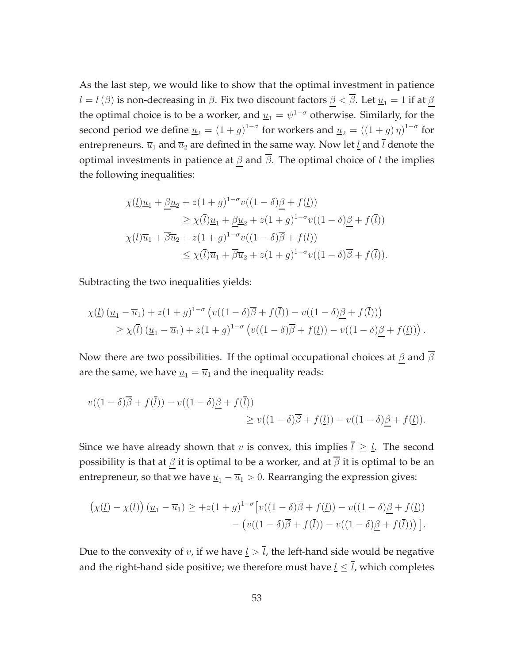As the last step, we would like to show that the optimal investment in patience  $l = l(\beta)$  is non-decreasing in  $\beta$ . Fix two discount factors  $\beta < \overline{\beta}$ . Let  $\underline{u}_1 = 1$  if at  $\beta$ the optimal choice is to be a worker, and  $\underline{u}_1 = \psi^{1-\sigma}$  otherwise. Similarly, for the second period we define  $\underline{u}_2 = (1+g)^{1-\sigma}$  for workers and  $\underline{u}_2 = ((1+g)\eta)^{1-\sigma}$  for entrepreneurs.  $\overline{u}_1$  and  $\overline{u}_2$  are defined in the same way. Now let *l* and *l* denote the optimal investments in patience at  $\beta$  and  $\overline{\beta}$ . The optimal choice of l the implies the following inequalities:

$$
\chi(\underline{l})\underline{u}_1 + \underline{\beta}\underline{u}_2 + z(1+g)^{1-\sigma}v((1-\delta)\underline{\beta} + f(\underline{l}))
$$
  
\n
$$
\geq \chi(\overline{l})\underline{u}_1 + \underline{\beta}\underline{u}_2 + z(1+g)^{1-\sigma}v((1-\delta)\underline{\beta} + f(\overline{l}))
$$
  
\n
$$
\chi(\underline{l})\overline{u}_1 + \overline{\beta}\overline{u}_2 + z(1+g)^{1-\sigma}v((1-\delta)\overline{\beta} + f(\underline{l}))
$$
  
\n
$$
\leq \chi(\overline{l})\overline{u}_1 + \overline{\beta}\overline{u}_2 + z(1+g)^{1-\sigma}v((1-\delta)\overline{\beta} + f(\overline{l})).
$$

Subtracting the two inequalities yields:

$$
\chi(\underline{l})\left(\underline{u}_1-\overline{u}_1\right)+z(1+g)^{1-\sigma}\left(v((1-\delta)\overline{\beta}+f(\overline{l}))-v((1-\delta)\underline{\beta}+f(\overline{l}))\right) \geq \chi(\overline{l})\left(\underline{u}_1-\overline{u}_1\right)+z(1+g)^{1-\sigma}\left(v((1-\delta)\overline{\beta}+f(\underline{l}))-v((1-\delta)\underline{\beta}+f(\underline{l}))\right).
$$

Now there are two possibilities. If the optimal occupational choices at  $\beta$  and  $\overline{\beta}$ are the same, we have  $\underline{u}_1 = \overline{u}_1$  and the inequality reads:

$$
v((1 - \delta)\overline{\beta} + f(\overline{l})) - v((1 - \delta)\underline{\beta} + f(\overline{l}))
$$
  
\n
$$
\geq v((1 - \delta)\overline{\beta} + f(\underline{l})) - v((1 - \delta)\underline{\beta} + f(\underline{l})).
$$

Since we have already shown that v is convex, this implies  $\overline{l} \geq \underline{l}$ . The second possibility is that at  $\beta$  it is optimal to be a worker, and at  $\overline{\beta}$  it is optimal to be an entrepreneur, so that we have  $\underline{u}_1 - \overline{u}_1 > 0$ . Rearranging the expression gives:

$$
\left(\chi(\underline{l}) - \chi(\overline{l})\right) \left(\underline{u}_1 - \overline{u}_1\right) \geq +z(1+g)^{1-\sigma} \left[v((1-\delta)\overline{\beta} + f(\underline{l})) - v((1-\delta)\underline{\beta} + f(\underline{l})) - \left(v((1-\delta)\overline{\beta} + f(\overline{l})) - v((1-\delta)\beta + f(\overline{l}))\right)\right].
$$

Due to the convexity of v, if we have  $l > \overline{l}$ , the left-hand side would be negative and the right-hand side positive; we therefore must have  $l \leq \overline{l}$ , which completes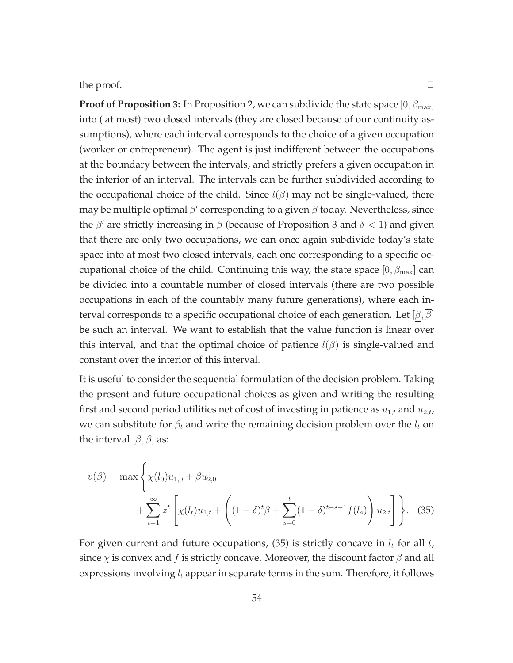the proof.  $\Box$ 

**Proof of Proposition 3:** In Proposition 2, we can subdivide the state space  $[0, \beta_{\text{max}}]$ into ( at most) two closed intervals (they are closed because of our continuity assumptions), where each interval corresponds to the choice of a given occupation (worker or entrepreneur). The agent is just indifferent between the occupations at the boundary between the intervals, and strictly prefers a given occupation in the interior of an interval. The intervals can be further subdivided according to the occupational choice of the child. Since  $l(\beta)$  may not be single-valued, there may be multiple optimal  $\beta'$  corresponding to a given  $\beta$  today. Nevertheless, since the  $\beta'$  are strictly increasing in  $\beta$  (because of Proposition 3 and  $\delta$  < 1) and given that there are only two occupations, we can once again subdivide today's state space into at most two closed intervals, each one corresponding to a specific occupational choice of the child. Continuing this way, the state space  $[0, \beta_{\text{max}}]$  can be divided into a countable number of closed intervals (there are two possible occupations in each of the countably many future generations), where each interval corresponds to a specific occupational choice of each generation. Let  $[\beta, \beta]$ be such an interval. We want to establish that the value function is linear over this interval, and that the optimal choice of patience  $l(\beta)$  is single-valued and constant over the interior of this interval.

It is useful to consider the sequential formulation of the decision problem. Taking the present and future occupational choices as given and writing the resulting first and second period utilities net of cost of investing in patience as  $u_{1,t}$  and  $u_{2,t}$ , we can substitute for  $\beta_t$  and write the remaining decision problem over the  $l_t$  on the interval  $[\beta, \overline{\beta}]$  as:

$$
v(\beta) = \max \left\{ \chi(l_0)u_{1,0} + \beta u_{2,0} + \sum_{t=1}^{\infty} z^t \left[ \chi(l_t)u_{1,t} + \left( (1-\delta)^t \beta + \sum_{s=0}^t (1-\delta)^{t-s-1} f(l_s) \right) u_{2,t} \right] \right\}.
$$
 (35)

For given current and future occupations, (35) is strictly concave in  $l_t$  for all t, since  $\chi$  is convex and f is strictly concave. Moreover, the discount factor  $\beta$  and all expressions involving  $l_t$  appear in separate terms in the sum. Therefore, it follows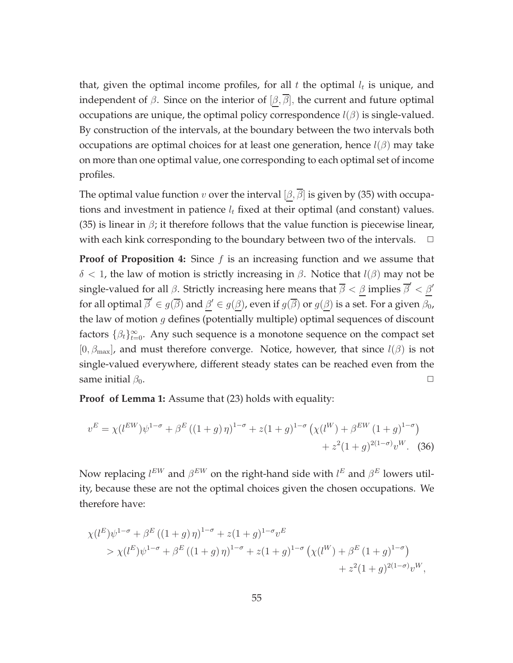that, given the optimal income profiles, for all  $t$  the optimal  $l_t$  is unique, and independent of  $\beta$ . Since on the interior of  $[\beta, \overline{\beta}]$ , the current and future optimal occupations are unique, the optimal policy correspondence  $l(\beta)$  is single-valued. By construction of the intervals, at the boundary between the two intervals both occupations are optimal choices for at least one generation, hence  $l(\beta)$  may take on more than one optimal value, one corresponding to each optimal set of income profiles.

The optimal value function v over the interval  $[\beta, \overline{\beta}]$  is given by (35) with occupations and investment in patience  $l_t$  fixed at their optimal (and constant) values. (35) is linear in  $\beta$ ; it therefore follows that the value function is piecewise linear, with each kink corresponding to the boundary between two of the intervals.  $\Box$ 

**Proof of Proposition 4:** Since f is an increasing function and we assume that  $\delta$  < 1, the law of motion is strictly increasing in  $\beta$ . Notice that  $l(\beta)$  may not be single-valued for all  $\beta$ . Strictly increasing here means that  $\overline{\beta} < \beta$  implies  $\overline{\beta}' < \beta'$ for all optimal  $\overline{\beta}'\in g(\overline{\beta})$  and  $\beta'\in g(\beta)$ , even if  $g(\overline{\beta})$  or  $g(\beta)$  is a set. For a given  $\beta_0$ , the law of motion  $g$  defines (potentially multiple) optimal sequences of discount factors  $\{\beta_t\}_{t=0}^{\infty}$ . Any such sequence is a monotone sequence on the compact set  $[0, \beta_{\text{max}}]$ , and must therefore converge. Notice, however, that since  $l(\beta)$  is not single-valued everywhere, different steady states can be reached even from the same initial  $\beta_0$ .

**Proof of Lemma 1:** Assume that (23) holds with equality:

$$
v^{E} = \chi(l^{EW})\psi^{1-\sigma} + \beta^{E}((1+g)\eta)^{1-\sigma} + z(1+g)^{1-\sigma}(\chi(l^{W}) + \beta^{EW}(1+g)^{1-\sigma}) + z^{2}(1+g)^{2(1-\sigma)}v^{W}.
$$
 (36)

Now replacing  $l^{EW}$  and  $\beta^{EW}$  on the right-hand side with  $l^E$  and  $\beta^E$  lowers utility, because these are not the optimal choices given the chosen occupations. We therefore have:

$$
\chi(l^{E})\psi^{1-\sigma} + \beta^{E} ((1+g)\eta)^{1-\sigma} + z(1+g)^{1-\sigma}v^{E}
$$
  
> 
$$
\chi(l^{E})\psi^{1-\sigma} + \beta^{E} ((1+g)\eta)^{1-\sigma} + z(1+g)^{1-\sigma} (\chi(l^{W}) + \beta^{E} (1+g)^{1-\sigma})
$$
  
+ 
$$
z^{2}(1+g)^{2(1-\sigma)}v^{W},
$$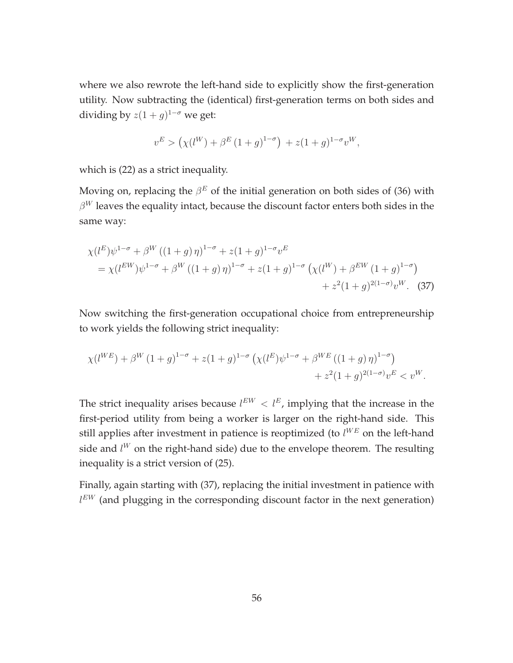where we also rewrote the left-hand side to explicitly show the first-generation utility. Now subtracting the (identical) first-generation terms on both sides and dividing by  $z(1+g)^{1-\sigma}$  we get:

$$
v^{E} > (\chi(l^{W}) + \beta^{E} (1+g)^{1-\sigma}) + z(1+g)^{1-\sigma} v^{W},
$$

which is (22) as a strict inequality.

Moving on, replacing the  $\beta^E$  of the initial generation on both sides of (36) with  $\beta^W$  leaves the equality intact, because the discount factor enters both sides in the same way:

$$
\chi(l^{E})\psi^{1-\sigma} + \beta^{W} ((1+g)\eta)^{1-\sigma} + z(1+g)^{1-\sigma}v^{E}
$$
  
=  $\chi(l^{EW})\psi^{1-\sigma} + \beta^{W} ((1+g)\eta)^{1-\sigma} + z(1+g)^{1-\sigma} (\chi(l^{W}) + \beta^{EW} (1+g)^{1-\sigma})$   
+  $z^{2}(1+g)^{2(1-\sigma)}v^{W}$ . (37)

Now switching the first-generation occupational choice from entrepreneurship to work yields the following strict inequality:

$$
\chi(l^{WE}) + \beta^{W} (1+g)^{1-\sigma} + z(1+g)^{1-\sigma} \left( \chi(l^{E}) \psi^{1-\sigma} + \beta^{WE} \left( (1+g)\eta \right)^{1-\sigma} \right) + z^{2} (1+g)^{2(1-\sigma)} v^{E} < v^{W}.
$$

The strict inequality arises because  $l^{EW} < l^{E}$ , implying that the increase in the first-period utility from being a worker is larger on the right-hand side. This still applies after investment in patience is reoptimized (to  $l^{WE}$  on the left-hand side and  $l^W$  on the right-hand side) due to the envelope theorem. The resulting inequality is a strict version of (25).

Finally, again starting with (37), replacing the initial investment in patience with  $l^{EW}$  (and plugging in the corresponding discount factor in the next generation)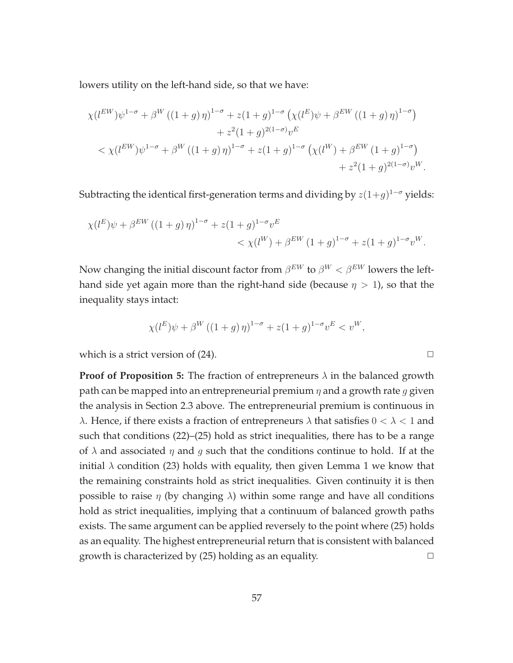lowers utility on the left-hand side, so that we have:

$$
\chi(l^{EW})\psi^{1-\sigma} + \beta^{W} ((1+g)\eta)^{1-\sigma} + z(1+g)^{1-\sigma} \left(\chi(l^{E})\psi + \beta^{EW} ((1+g)\eta)^{1-\sigma}\right) \n+ z^{2}(1+g)^{2(1-\sigma)}v^{E} \n< \chi(l^{EW})\psi^{1-\sigma} + \beta^{W} ((1+g)\eta)^{1-\sigma} + z(1+g)^{1-\sigma} \left(\chi(l^{W}) + \beta^{EW} (1+g)^{1-\sigma}\right) \n+ z^{2}(1+g)^{2(1-\sigma)}v^{W}.
$$

Subtracting the identical first-generation terms and dividing by  $z(1+g)^{1-\sigma}$  yields:

$$
\chi(l^{E})\psi + \beta^{EW} ((1+g)\eta)^{1-\sigma} + z(1+g)^{1-\sigma}v^{E}
$$
  

$$
< \chi(l^{W}) + \beta^{EW} (1+g)^{1-\sigma} + z(1+g)^{1-\sigma}v^{W}.
$$

Now changing the initial discount factor from  $\beta^{EW}$  to  $\beta^{W}<\beta^{EW}$  lowers the lefthand side yet again more than the right-hand side (because  $\eta > 1$ ), so that the inequality stays intact:

$$
\chi(l^{E})\psi + \beta^{W} ((1+g)\eta)^{1-\sigma} + z(1+g)^{1-\sigma}v^{E} < v^{W},
$$

which is a strict version of  $(24)$ .

**Proof of Proposition 5:** The fraction of entrepreneurs  $\lambda$  in the balanced growth path can be mapped into an entrepreneurial premium  $\eta$  and a growth rate g given the analysis in Section 2.3 above. The entrepreneurial premium is continuous in  $\lambda$ . Hence, if there exists a fraction of entrepreneurs  $\lambda$  that satisfies  $0 < \lambda < 1$  and such that conditions (22)–(25) hold as strict inequalities, there has to be a range of  $\lambda$  and associated  $\eta$  and g such that the conditions continue to hold. If at the initial  $\lambda$  condition (23) holds with equality, then given Lemma 1 we know that the remaining constraints hold as strict inequalities. Given continuity it is then possible to raise  $\eta$  (by changing  $\lambda$ ) within some range and have all conditions hold as strict inequalities, implying that a continuum of balanced growth paths exists. The same argument can be applied reversely to the point where (25) holds as an equality. The highest entrepreneurial return that is consistent with balanced growth is characterized by  $(25)$  holding as an equality.  $\Box$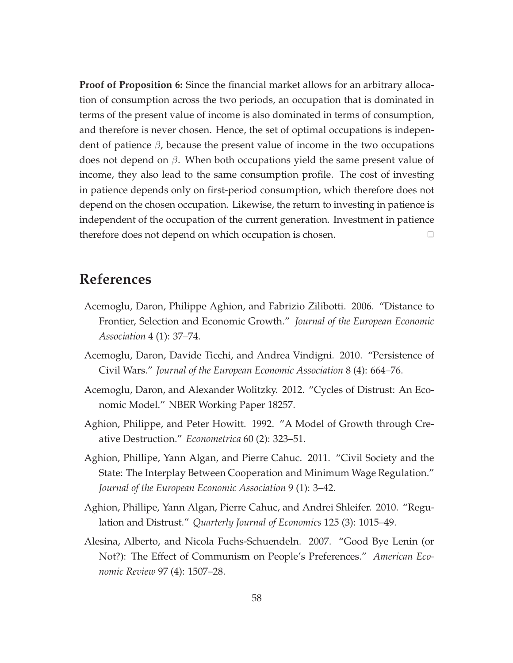**Proof of Proposition 6:** Since the financial market allows for an arbitrary allocation of consumption across the two periods, an occupation that is dominated in terms of the present value of income is also dominated in terms of consumption, and therefore is never chosen. Hence, the set of optimal occupations is independent of patience  $\beta$ , because the present value of income in the two occupations does not depend on  $\beta$ . When both occupations yield the same present value of income, they also lead to the same consumption profile. The cost of investing in patience depends only on first-period consumption, which therefore does not depend on the chosen occupation. Likewise, the return to investing in patience is independent of the occupation of the current generation. Investment in patience therefore does not depend on which occupation is chosen.  $\Box$ 

## **References**

- Acemoglu, Daron, Philippe Aghion, and Fabrizio Zilibotti. 2006. "Distance to Frontier, Selection and Economic Growth." *Journal of the European Economic Association* 4 (1): 37–74.
- Acemoglu, Daron, Davide Ticchi, and Andrea Vindigni. 2010. "Persistence of Civil Wars." *Journal of the European Economic Association* 8 (4): 664–76.
- Acemoglu, Daron, and Alexander Wolitzky. 2012. "Cycles of Distrust: An Economic Model." NBER Working Paper 18257.
- Aghion, Philippe, and Peter Howitt. 1992. "A Model of Growth through Creative Destruction." *Econometrica* 60 (2): 323–51.
- Aghion, Phillipe, Yann Algan, and Pierre Cahuc. 2011. "Civil Society and the State: The Interplay Between Cooperation and Minimum Wage Regulation." *Journal of the European Economic Association* 9 (1): 3–42.
- Aghion, Phillipe, Yann Algan, Pierre Cahuc, and Andrei Shleifer. 2010. "Regulation and Distrust." *Quarterly Journal of Economics* 125 (3): 1015–49.
- Alesina, Alberto, and Nicola Fuchs-Schuendeln. 2007. "Good Bye Lenin (or Not?): The Effect of Communism on People's Preferences." *American Economic Review* 97 (4): 1507–28.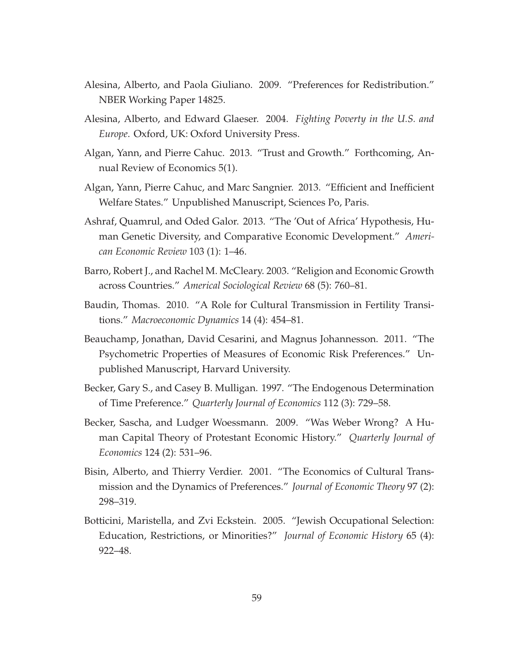- Alesina, Alberto, and Paola Giuliano. 2009. "Preferences for Redistribution." NBER Working Paper 14825.
- Alesina, Alberto, and Edward Glaeser. 2004. *Fighting Poverty in the U.S. and Europe*. Oxford, UK: Oxford University Press.
- Algan, Yann, and Pierre Cahuc. 2013. "Trust and Growth." Forthcoming, Annual Review of Economics 5(1).
- Algan, Yann, Pierre Cahuc, and Marc Sangnier. 2013. "Efficient and Inefficient Welfare States." Unpublished Manuscript, Sciences Po, Paris.
- Ashraf, Quamrul, and Oded Galor. 2013. "The 'Out of Africa' Hypothesis, Human Genetic Diversity, and Comparative Economic Development." *American Economic Review* 103 (1): 1–46.
- Barro, Robert J., and Rachel M. McCleary. 2003. "Religion and Economic Growth across Countries." *Americal Sociological Review* 68 (5): 760–81.
- Baudin, Thomas. 2010. "A Role for Cultural Transmission in Fertility Transitions." *Macroeconomic Dynamics* 14 (4): 454–81.
- Beauchamp, Jonathan, David Cesarini, and Magnus Johannesson. 2011. "The Psychometric Properties of Measures of Economic Risk Preferences." Unpublished Manuscript, Harvard University.
- Becker, Gary S., and Casey B. Mulligan. 1997. "The Endogenous Determination of Time Preference." *Quarterly Journal of Economics* 112 (3): 729–58.
- Becker, Sascha, and Ludger Woessmann. 2009. "Was Weber Wrong? A Human Capital Theory of Protestant Economic History." *Quarterly Journal of Economics* 124 (2): 531–96.
- Bisin, Alberto, and Thierry Verdier. 2001. "The Economics of Cultural Transmission and the Dynamics of Preferences." *Journal of Economic Theory* 97 (2): 298–319.
- Botticini, Maristella, and Zvi Eckstein. 2005. "Jewish Occupational Selection: Education, Restrictions, or Minorities?" *Journal of Economic History* 65 (4): 922–48.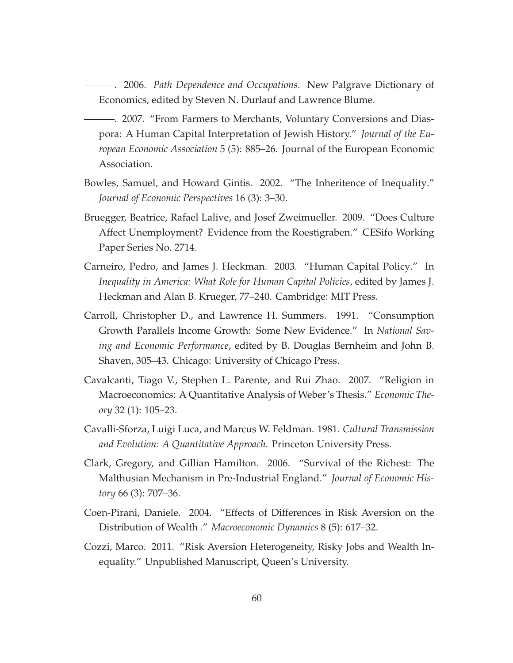- . 2006. *Path Dependence and Occupations*. New Palgrave Dictionary of Economics, edited by Steven N. Durlauf and Lawrence Blume.
- . 2007. "From Farmers to Merchants, Voluntary Conversions and Diaspora: A Human Capital Interpretation of Jewish History." *Journal of the European Economic Association* 5 (5): 885–26. Journal of the European Economic Association.
- Bowles, Samuel, and Howard Gintis. 2002. "The Inheritence of Inequality." *Journal of Economic Perspectives* 16 (3): 3–30.
- Bruegger, Beatrice, Rafael Lalive, and Josef Zweimueller. 2009. "Does Culture Affect Unemployment? Evidence from the Roestigraben." CESifo Working Paper Series No. 2714.
- Carneiro, Pedro, and James J. Heckman. 2003. "Human Capital Policy." In *Inequality in America: What Role for Human Capital Policies*, edited by James J. Heckman and Alan B. Krueger, 77–240. Cambridge: MIT Press.
- Carroll, Christopher D., and Lawrence H. Summers. 1991. "Consumption Growth Parallels Income Growth: Some New Evidence." In *National Saving and Economic Performance*, edited by B. Douglas Bernheim and John B. Shaven, 305–43. Chicago: University of Chicago Press.
- Cavalcanti, Tiago V., Stephen L. Parente, and Rui Zhao. 2007. "Religion in Macroeconomics: A Quantitative Analysis of Weber's Thesis." *Economic Theory* 32 (1): 105–23.
- Cavalli-Sforza, Luigi Luca, and Marcus W. Feldman. 1981. *Cultural Transmission and Evolution: A Quantitative Approach*. Princeton University Press.
- Clark, Gregory, and Gillian Hamilton. 2006. "Survival of the Richest: The Malthusian Mechanism in Pre-Industrial England." *Journal of Economic History* 66 (3): 707–36.
- Coen-Pirani, Daniele. 2004. "Effects of Differences in Risk Aversion on the Distribution of Wealth ." *Macroeconomic Dynamics* 8 (5): 617–32.
- Cozzi, Marco. 2011. "Risk Aversion Heterogeneity, Risky Jobs and Wealth Inequality." Unpublished Manuscript, Queen's University.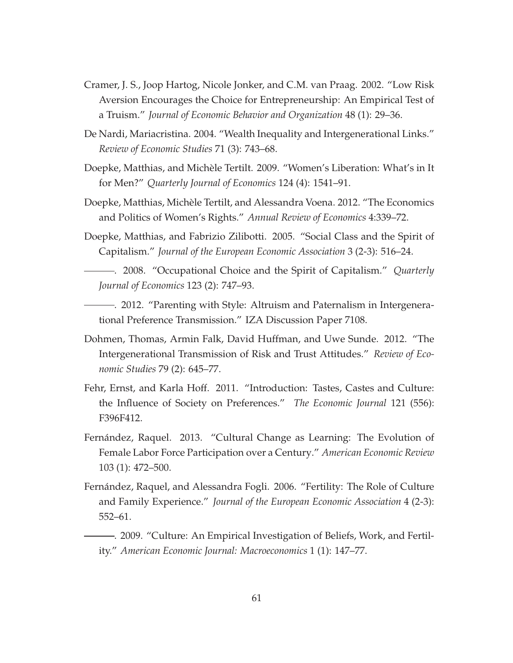- Cramer, J. S., Joop Hartog, Nicole Jonker, and C.M. van Praag. 2002. "Low Risk Aversion Encourages the Choice for Entrepreneurship: An Empirical Test of a Truism." *Journal of Economic Behavior and Organization* 48 (1): 29–36.
- De Nardi, Mariacristina. 2004. "Wealth Inequality and Intergenerational Links." *Review of Economic Studies* 71 (3): 743–68.
- Doepke, Matthias, and Michèle Tertilt. 2009. "Women's Liberation: What's in It for Men?" *Quarterly Journal of Economics* 124 (4): 1541–91.
- Doepke, Matthias, Michèle Tertilt, and Alessandra Voena. 2012. "The Economics and Politics of Women's Rights." *Annual Review of Economics* 4:339–72.
- Doepke, Matthias, and Fabrizio Zilibotti. 2005. "Social Class and the Spirit of Capitalism." *Journal of the European Economic Association* 3 (2-3): 516–24.
- . 2008. "Occupational Choice and the Spirit of Capitalism." *Quarterly Journal of Economics* 123 (2): 747–93.
- . 2012. "Parenting with Style: Altruism and Paternalism in Intergenerational Preference Transmission." IZA Discussion Paper 7108.
- Dohmen, Thomas, Armin Falk, David Huffman, and Uwe Sunde. 2012. "The Intergenerational Transmission of Risk and Trust Attitudes." *Review of Economic Studies* 79 (2): 645–77.
- Fehr, Ernst, and Karla Hoff. 2011. "Introduction: Tastes, Castes and Culture: the Influence of Society on Preferences." *The Economic Journal* 121 (556): F396F412.
- Fernández, Raquel. 2013. "Cultural Change as Learning: The Evolution of Female Labor Force Participation over a Century." *American Economic Review* 103 (1): 472–500.
- Fernández, Raquel, and Alessandra Fogli. 2006. "Fertility: The Role of Culture and Family Experience." *Journal of the European Economic Association* 4 (2-3): 552–61.
	- . 2009. "Culture: An Empirical Investigation of Beliefs, Work, and Fertility." *American Economic Journal: Macroeconomics* 1 (1): 147–77.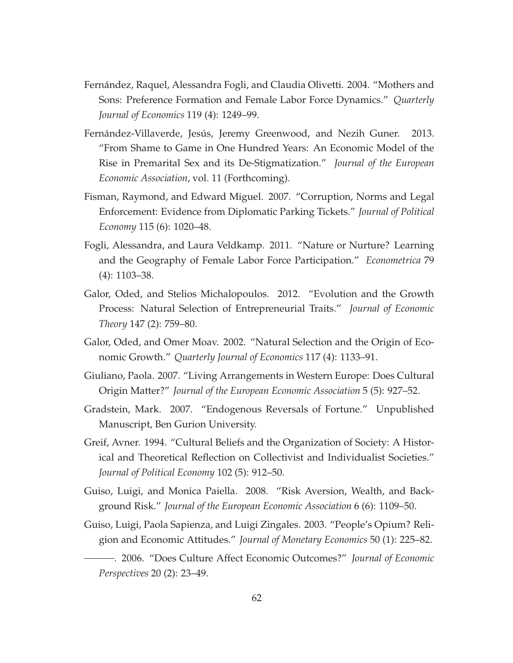- Fernández, Raquel, Alessandra Fogli, and Claudia Olivetti. 2004. "Mothers and Sons: Preference Formation and Female Labor Force Dynamics." *Quarterly Journal of Economics* 119 (4): 1249–99.
- Fernández-Villaverde, Jesús, Jeremy Greenwood, and Nezih Guner. 2013. "From Shame to Game in One Hundred Years: An Economic Model of the Rise in Premarital Sex and its De-Stigmatization." *Journal of the European Economic Association*, vol. 11 (Forthcoming).
- Fisman, Raymond, and Edward Miguel. 2007. "Corruption, Norms and Legal Enforcement: Evidence from Diplomatic Parking Tickets." *Journal of Political Economy* 115 (6): 1020–48.
- Fogli, Alessandra, and Laura Veldkamp. 2011. "Nature or Nurture? Learning and the Geography of Female Labor Force Participation." *Econometrica* 79 (4): 1103–38.
- Galor, Oded, and Stelios Michalopoulos. 2012. "Evolution and the Growth Process: Natural Selection of Entrepreneurial Traits." *Journal of Economic Theory* 147 (2): 759–80.
- Galor, Oded, and Omer Moav. 2002. "Natural Selection and the Origin of Economic Growth." *Quarterly Journal of Economics* 117 (4): 1133–91.
- Giuliano, Paola. 2007. "Living Arrangements in Western Europe: Does Cultural Origin Matter?" *Journal of the European Economic Association* 5 (5): 927–52.
- Gradstein, Mark. 2007. "Endogenous Reversals of Fortune." Unpublished Manuscript, Ben Gurion University.
- Greif, Avner. 1994. "Cultural Beliefs and the Organization of Society: A Historical and Theoretical Reflection on Collectivist and Individualist Societies." *Journal of Political Economy* 102 (5): 912–50.
- Guiso, Luigi, and Monica Paiella. 2008. "Risk Aversion, Wealth, and Background Risk." *Journal of the European Economic Association* 6 (6): 1109–50.
- Guiso, Luigi, Paola Sapienza, and Luigi Zingales. 2003. "People's Opium? Religion and Economic Attitudes." *Journal of Monetary Economics* 50 (1): 225–82.
- . 2006. "Does Culture Affect Economic Outcomes?" *Journal of Economic Perspectives* 20 (2): 23–49.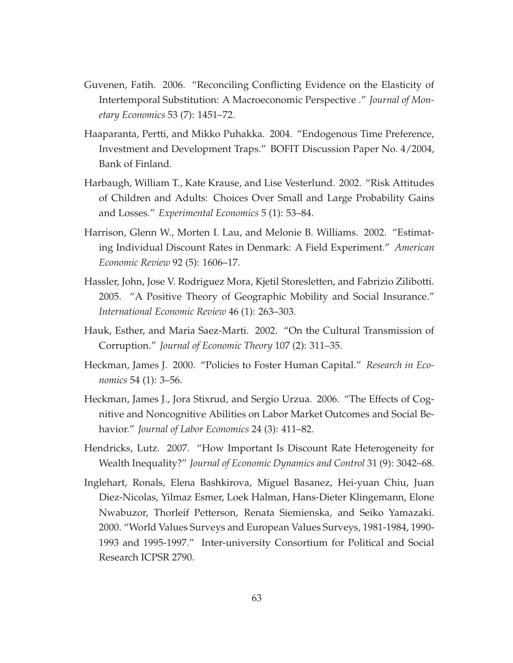- Guvenen, Fatih. 2006. "Reconciling Conflicting Evidence on the Elasticity of Intertemporal Substitution: A Macroeconomic Perspective ." *Journal of Monetary Economics* 53 (7): 1451–72.
- Haaparanta, Pertti, and Mikko Puhakka. 2004. "Endogenous Time Preference, Investment and Development Traps." BOFIT Discussion Paper No. 4/2004, Bank of Finland.
- Harbaugh, William T., Kate Krause, and Lise Vesterlund. 2002. "Risk Attitudes of Children and Adults: Choices Over Small and Large Probability Gains and Losses." *Experimental Economics* 5 (1): 53–84.
- Harrison, Glenn W., Morten I. Lau, and Melonie B. Williams. 2002. "Estimating Individual Discount Rates in Denmark: A Field Experiment." *American Economic Review* 92 (5): 1606–17.
- Hassler, John, Jose V. Rodriguez Mora, Kjetil Storesletten, and Fabrizio Zilibotti. 2005. "A Positive Theory of Geographic Mobility and Social Insurance." *International Economic Review* 46 (1): 263–303.
- Hauk, Esther, and Maria Saez-Marti. 2002. "On the Cultural Transmission of Corruption." *Journal of Economic Theory* 107 (2): 311–35.
- Heckman, James J. 2000. "Policies to Foster Human Capital." *Research in Economics* 54 (1): 3–56.
- Heckman, James J., Jora Stixrud, and Sergio Urzua. 2006. "The Effects of Cognitive and Noncognitive Abilities on Labor Market Outcomes and Social Behavior." *Journal of Labor Economics* 24 (3): 411–82.
- Hendricks, Lutz. 2007. "How Important Is Discount Rate Heterogeneity for Wealth Inequality?" *Journal of Economic Dynamics and Control* 31 (9): 3042–68.
- Inglehart, Ronals, Elena Bashkirova, Miguel Basanez, Hei-yuan Chiu, Juan Diez-Nicolas, Yilmaz Esmer, Loek Halman, Hans-Dieter Klingemann, Elone Nwabuzor, Thorleif Petterson, Renata Siemienska, and Seiko Yamazaki. 2000. "World Values Surveys and European Values Surveys, 1981-1984, 1990- 1993 and 1995-1997." Inter-university Consortium for Political and Social Research ICPSR 2790.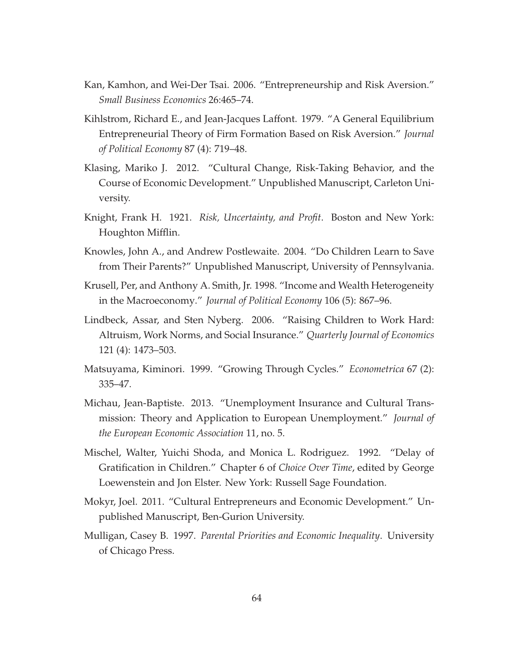- Kan, Kamhon, and Wei-Der Tsai. 2006. "Entrepreneurship and Risk Aversion." *Small Business Economics* 26:465–74.
- Kihlstrom, Richard E., and Jean-Jacques Laffont. 1979. "A General Equilibrium Entrepreneurial Theory of Firm Formation Based on Risk Aversion." *Journal of Political Economy* 87 (4): 719–48.
- Klasing, Mariko J. 2012. "Cultural Change, Risk-Taking Behavior, and the Course of Economic Development." Unpublished Manuscript, Carleton University.
- Knight, Frank H. 1921. *Risk, Uncertainty, and Profit*. Boston and New York: Houghton Mifflin.
- Knowles, John A., and Andrew Postlewaite. 2004. "Do Children Learn to Save from Their Parents?" Unpublished Manuscript, University of Pennsylvania.
- Krusell, Per, and Anthony A. Smith, Jr. 1998. "Income and Wealth Heterogeneity in the Macroeconomy." *Journal of Political Economy* 106 (5): 867–96.
- Lindbeck, Assar, and Sten Nyberg. 2006. "Raising Children to Work Hard: Altruism, Work Norms, and Social Insurance." *Quarterly Journal of Economics* 121 (4): 1473–503.
- Matsuyama, Kiminori. 1999. "Growing Through Cycles." *Econometrica* 67 (2): 335–47.
- Michau, Jean-Baptiste. 2013. "Unemployment Insurance and Cultural Transmission: Theory and Application to European Unemployment." *Journal of the European Economic Association* 11, no. 5.
- Mischel, Walter, Yuichi Shoda, and Monica L. Rodriguez. 1992. "Delay of Gratification in Children." Chapter 6 of *Choice Over Time*, edited by George Loewenstein and Jon Elster. New York: Russell Sage Foundation.
- Mokyr, Joel. 2011. "Cultural Entrepreneurs and Economic Development." Unpublished Manuscript, Ben-Gurion University.
- Mulligan, Casey B. 1997. *Parental Priorities and Economic Inequality*. University of Chicago Press.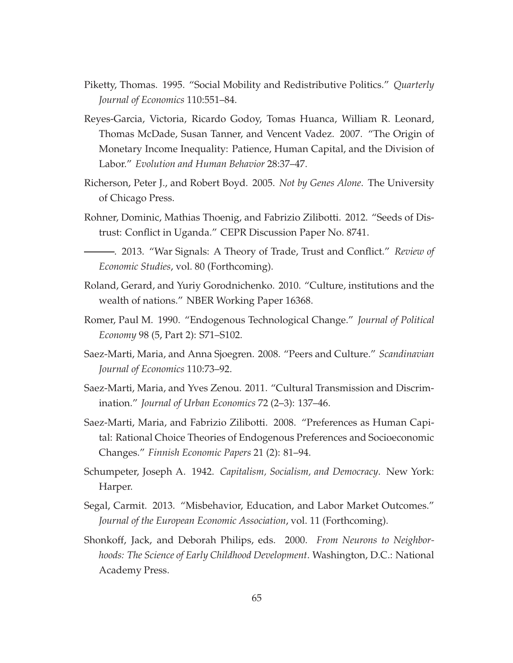- Piketty, Thomas. 1995. "Social Mobility and Redistributive Politics." *Quarterly Journal of Economics* 110:551–84.
- Reyes-Garcia, Victoria, Ricardo Godoy, Tomas Huanca, William R. Leonard, Thomas McDade, Susan Tanner, and Vencent Vadez. 2007. "The Origin of Monetary Income Inequality: Patience, Human Capital, and the Division of Labor." *Evolution and Human Behavior* 28:37–47.
- Richerson, Peter J., and Robert Boyd. 2005. *Not by Genes Alone*. The University of Chicago Press.
- Rohner, Dominic, Mathias Thoenig, and Fabrizio Zilibotti. 2012. "Seeds of Distrust: Conflict in Uganda." CEPR Discussion Paper No. 8741.
- . 2013. "War Signals: A Theory of Trade, Trust and Conflict." *Review of Economic Studies*, vol. 80 (Forthcoming).
- Roland, Gerard, and Yuriy Gorodnichenko. 2010. "Culture, institutions and the wealth of nations." NBER Working Paper 16368.
- Romer, Paul M. 1990. "Endogenous Technological Change." *Journal of Political Economy* 98 (5, Part 2): S71–S102.
- Saez-Marti, Maria, and Anna Sjoegren. 2008. "Peers and Culture." *Scandinavian Journal of Economics* 110:73–92.
- Saez-Marti, Maria, and Yves Zenou. 2011. "Cultural Transmission and Discrimination." *Journal of Urban Economics* 72 (2–3): 137–46.
- Saez-Marti, Maria, and Fabrizio Zilibotti. 2008. "Preferences as Human Capital: Rational Choice Theories of Endogenous Preferences and Socioeconomic Changes." *Finnish Economic Papers* 21 (2): 81–94.
- Schumpeter, Joseph A. 1942. *Capitalism, Socialism, and Democracy*. New York: Harper.
- Segal, Carmit. 2013. "Misbehavior, Education, and Labor Market Outcomes." *Journal of the European Economic Association*, vol. 11 (Forthcoming).
- Shonkoff, Jack, and Deborah Philips, eds. 2000. *From Neurons to Neighborhoods: The Science of Early Childhood Development*. Washington, D.C.: National Academy Press.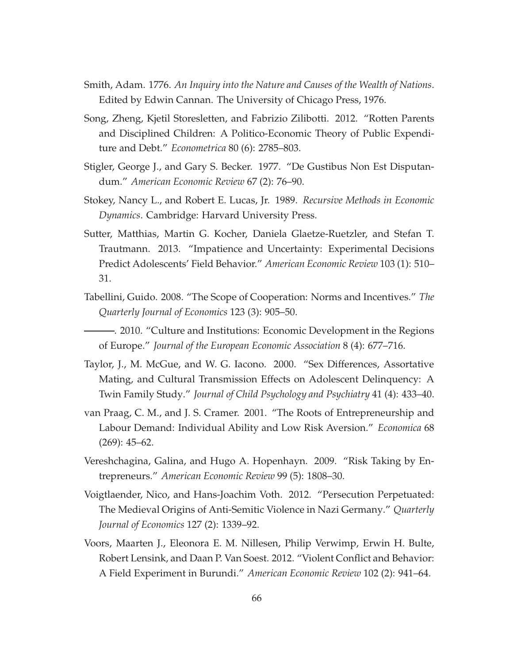- Smith, Adam. 1776. *An Inquiry into the Nature and Causes of the Wealth of Nations*. Edited by Edwin Cannan. The University of Chicago Press, 1976.
- Song, Zheng, Kjetil Storesletten, and Fabrizio Zilibotti. 2012. "Rotten Parents and Disciplined Children: A Politico-Economic Theory of Public Expenditure and Debt." *Econometrica* 80 (6): 2785–803.
- Stigler, George J., and Gary S. Becker. 1977. "De Gustibus Non Est Disputandum." *American Economic Review* 67 (2): 76–90.
- Stokey, Nancy L., and Robert E. Lucas, Jr. 1989. *Recursive Methods in Economic Dynamics*. Cambridge: Harvard University Press.
- Sutter, Matthias, Martin G. Kocher, Daniela Glaetze-Ruetzler, and Stefan T. Trautmann. 2013. "Impatience and Uncertainty: Experimental Decisions Predict Adolescents' Field Behavior." *American Economic Review* 103 (1): 510– 31.
- Tabellini, Guido. 2008. "The Scope of Cooperation: Norms and Incentives." *The Quarterly Journal of Economics* 123 (3): 905–50.
	- . 2010. "Culture and Institutions: Economic Development in the Regions of Europe." *Journal of the European Economic Association* 8 (4): 677–716.
- Taylor, J., M. McGue, and W. G. Iacono. 2000. "Sex Differences, Assortative Mating, and Cultural Transmission Effects on Adolescent Delinquency: A Twin Family Study." *Journal of Child Psychology and Psychiatry* 41 (4): 433–40.
- van Praag, C. M., and J. S. Cramer. 2001. "The Roots of Entrepreneurship and Labour Demand: Individual Ability and Low Risk Aversion." *Economica* 68 (269): 45–62.
- Vereshchagina, Galina, and Hugo A. Hopenhayn. 2009. "Risk Taking by Entrepreneurs." *American Economic Review* 99 (5): 1808–30.
- Voigtlaender, Nico, and Hans-Joachim Voth. 2012. "Persecution Perpetuated: The Medieval Origins of Anti-Semitic Violence in Nazi Germany." *Quarterly Journal of Economics* 127 (2): 1339–92.
- Voors, Maarten J., Eleonora E. M. Nillesen, Philip Verwimp, Erwin H. Bulte, Robert Lensink, and Daan P. Van Soest. 2012. "Violent Conflict and Behavior: A Field Experiment in Burundi." *American Economic Review* 102 (2): 941–64.